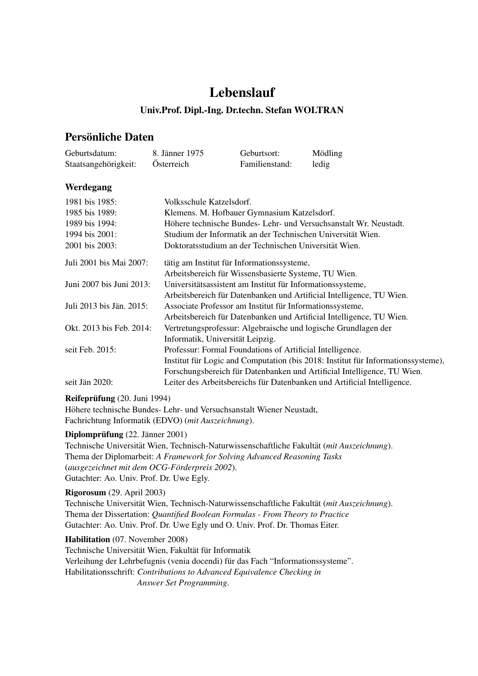# Lebenslauf

## Univ.Prof. Dipl.-Ing. Dr.techn. Stefan WOLTRAN

## Persönliche Daten

| Geburtsdatum:        | 8. Jänner 1975 | Geburtsort:    | Mödling |
|----------------------|----------------|----------------|---------|
| Staatsangehörigkeit: | Österreich     | Familienstand: | ledig   |

## Werdegang

| 1981 bis 1985:           | Volksschule Katzelsdorf.                                                         |  |
|--------------------------|----------------------------------------------------------------------------------|--|
| 1985 bis 1989:           | Klemens. M. Hofbauer Gymnasium Katzelsdorf.                                      |  |
| 1989 bis 1994:           | Höhere technische Bundes- Lehr- und Versuchsanstalt Wr. Neustadt.                |  |
| 1994 bis 2001:           | Studium der Informatik an der Technischen Universität Wien.                      |  |
| 2001 bis 2003:           | Doktoratsstudium an der Technischen Universität Wien.                            |  |
| Juli 2001 bis Mai 2007:  | tätig am Institut für Informationssysteme,                                       |  |
|                          | Arbeitsbereich für Wissensbasierte Systeme, TU Wien.                             |  |
| Juni 2007 bis Juni 2013: | Universitätsassistent am Institut für Informationssysteme,                       |  |
|                          | Arbeitsbereich für Datenbanken und Artificial Intelligence, TU Wien.             |  |
| Juli 2013 bis Jän. 2015: | Associate Professor am Institut für Informationssysteme,                         |  |
|                          | Arbeitsbereich für Datenbanken und Artificial Intelligence, TU Wien.             |  |
| Okt. 2013 bis Feb. 2014: | Vertretungsprofessur: Algebraische und logische Grundlagen der                   |  |
|                          | Informatik, Universität Leipzig.                                                 |  |
| seit Feb. 2015:          | Professur: Formal Foundations of Artificial Intelligence.                        |  |
|                          | Institut für Logic and Computation (bis 2018: Institut für Informationssysteme). |  |
|                          | Forschungsbereich für Datenbanken und Artificial Intelligence, TU Wien.          |  |
| seit Jän 2020:           | Leiter des Arbeitsbereichs für Datenbanken und Artificial Intelligence.          |  |

### Reifeprüfung (20. Juni 1994)

Höhere technische Bundes- Lehr- und Versuchsanstalt Wiener Neustadt, Fachrichtung Informatik (EDVO) (*mit Auszeichnung*).

### Diplomprüfung (22. Jänner 2001)

Technische Universität Wien, Technisch-Naturwissenschaftliche Fakultät (*mit Auszeichnung*). Thema der Diplomarbeit: *A Framework for Solving Advanced Reasoning Tasks* (*ausgezeichnet mit dem OCG-Forderpreis 2002 ¨* ). Gutachter: Ao. Univ. Prof. Dr. Uwe Egly.

#### Rigorosum (29. April 2003)

Technische Universität Wien, Technisch-Naturwissenschaftliche Fakultät (mit Auszeichnung). Thema der Dissertation: *Quantified Boolean Formulas - From Theory to Practice* Gutachter: Ao. Univ. Prof. Dr. Uwe Egly und O. Univ. Prof. Dr. Thomas Eiter.

Habilitation (07. November 2008) Technische Universität Wien, Fakultät für Informatik Verleihung der Lehrbefugnis (venia docendi) für das Fach "Informationssysteme". Habilitationsschrift: *Contributions to Advanced Equivalence Checking in Answer Set Programming*.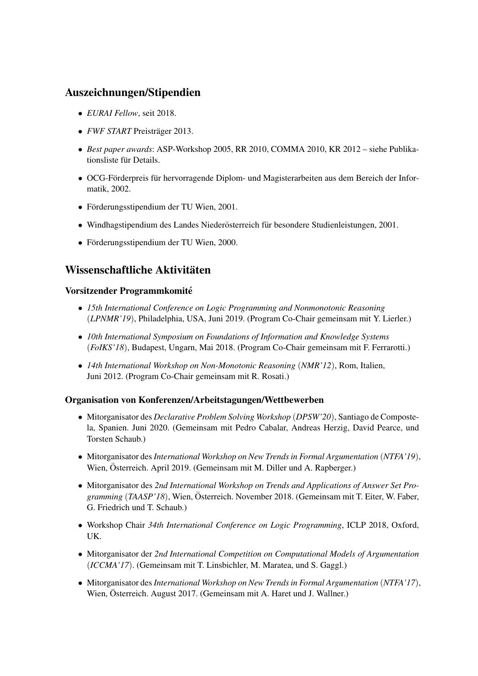## Auszeichnungen/Stipendien

- *EURAI Fellow*, seit 2018.
- *FWF START* Preisträger 2013.
- *Best paper awards*: ASP-Workshop 2005, RR 2010, COMMA 2010, KR 2012 siehe Publikationsliste für Details.
- OCG-Förderpreis für hervorragende Diplom- und Magisterarbeiten aus dem Bereich der Informatik, 2002.
- Förderungsstipendium der TU Wien, 2001.
- Windhagstipendium des Landes Niederösterreich für besondere Studienleistungen, 2001.
- Förderungsstipendium der TU Wien, 2000.

## Wissenschaftliche Aktivitäten

### Vorsitzender Programmkomite´

- *15th International Conference on Logic Programming and Nonmonotonic Reasoning* (*LPNMR'19*), Philadelphia, USA, Juni 2019. (Program Co-Chair gemeinsam mit Y. Lierler.)
- *10th International Symposium on Foundations of Information and Knowledge Systems* (*FoIKS'18*), Budapest, Ungarn, Mai 2018. (Program Co-Chair gemeinsam mit F. Ferrarotti.)
- *14th International Workshop on Non-Monotonic Reasoning* (*NMR'12*), Rom, Italien, Juni 2012. (Program Co-Chair gemeinsam mit R. Rosati.)

## Organisation von Konferenzen/Arbeitstagungen/Wettbewerben

- Mitorganisator des *Declarative Problem Solving Workshop* (*DPSW'20*), Santiago de Compostela, Spanien. Juni 2020. (Gemeinsam mit Pedro Cabalar, Andreas Herzig, David Pearce, und Torsten Schaub.)
- Mitorganisator des*International Workshop on New Trends in Formal Argumentation* (*NTFA'19*), Wien, Osterreich. April 2019. (Gemeinsam mit M. Diller und A. Rapberger.) ¨
- Mitorganisator des *2nd International Workshop on Trends and Applications of Answer Set Programming* (*TAASP'18*), Wien, Osterreich. November 2018. (Gemeinsam mit T. Eiter, W. Faber, ¨ G. Friedrich und T. Schaub.)
- Workshop Chair *34th International Conference on Logic Programming*, ICLP 2018, Oxford, UK.
- Mitorganisator der *2nd International Competition on Computational Models of Argumentation* (*ICCMA'17*). (Gemeinsam mit T. Linsbichler, M. Maratea, und S. Gaggl.)
- Mitorganisator des*International Workshop on New Trends in Formal Argumentation* (*NTFA'17*), Wien, Österreich. August 2017. (Gemeinsam mit A. Haret und J. Wallner.)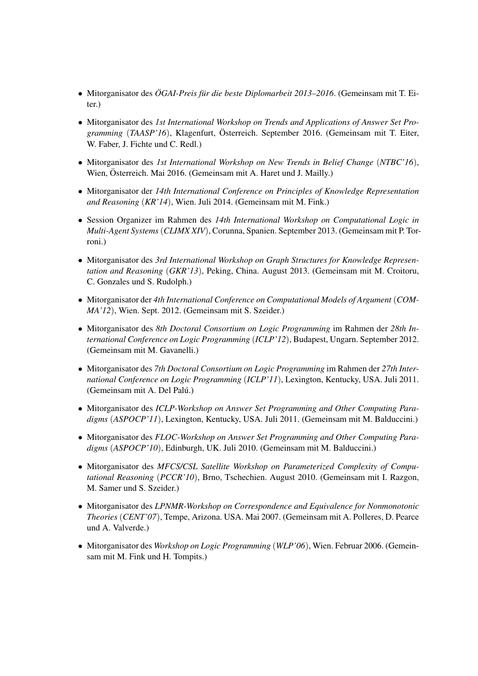- Mitorganisator des *OGAI-Preis f ¨ ur die beste Diplomarbeit 2013–2016 ¨* . (Gemeinsam mit T. Eiter.)
- Mitorganisator des *1st International Workshop on Trends and Applications of Answer Set Programming* (*TAASP'16*), Klagenfurt, Osterreich. September 2016. (Gemeinsam mit T. Eiter, ¨ W. Faber, J. Fichte und C. Redl.)
- Mitorganisator des *1st International Workshop on New Trends in Belief Change* (*NTBC'16*), Wien, Österreich. Mai 2016. (Gemeinsam mit A. Haret und J. Mailly.)
- Mitorganisator der *14th International Conference on Principles of Knowledge Representation and Reasoning* (*KR'14*), Wien. Juli 2014. (Gemeinsam mit M. Fink.)
- Session Organizer im Rahmen des *14th International Workshop on Computational Logic in Multi-Agent Systems*(*CLIMX XIV*), Corunna, Spanien. September 2013. (Gemeinsam mit P. Torroni.)
- Mitorganisator des *3rd International Workshop on Graph Structures for Knowledge Representation and Reasoning* (*GKR'13*), Peking, China. August 2013. (Gemeinsam mit M. Croitoru, C. Gonzales und S. Rudolph.)
- Mitorganisator der *4th International Conference on Computational Models of Argument* (*COM-MA'12*), Wien. Sept. 2012. (Gemeinsam mit S. Szeider.)
- Mitorganisator des *8th Doctoral Consortium on Logic Programming* im Rahmen der *28th International Conference on Logic Programming* (*ICLP'12*), Budapest, Ungarn. September 2012. (Gemeinsam mit M. Gavanelli.)
- Mitorganisator des *7th Doctoral Consortium on Logic Programming* im Rahmen der *27th International Conference on Logic Programming* (*ICLP'11*), Lexington, Kentucky, USA. Juli 2011. (Gemeinsam mit A. Del Palú.)
- Mitorganisator des *ICLP-Workshop on Answer Set Programming and Other Computing Paradigms* (*ASPOCP'11*), Lexington, Kentucky, USA. Juli 2011. (Gemeinsam mit M. Balduccini.)
- Mitorganisator des *FLOC-Workshop on Answer Set Programming and Other Computing Paradigms* (*ASPOCP'10*), Edinburgh, UK. Juli 2010. (Gemeinsam mit M. Balduccini.)
- Mitorganisator des *MFCS/CSL Satellite Workshop on Parameterized Complexity of Computational Reasoning* (*PCCR'10*), Brno, Tschechien. August 2010. (Gemeinsam mit I. Razgon, M. Samer und S. Szeider.)
- Mitorganisator des *LPNMR-Workshop on Correspondence and Equivalence for Nonmonotonic Theories* (*CENT'07*), Tempe, Arizona. USA. Mai 2007. (Gemeinsam mit A. Polleres, D. Pearce und A. Valverde.)
- Mitorganisator des *Workshop on Logic Programming* (*WLP'06*), Wien. Februar 2006. (Gemeinsam mit M. Fink und H. Tompits.)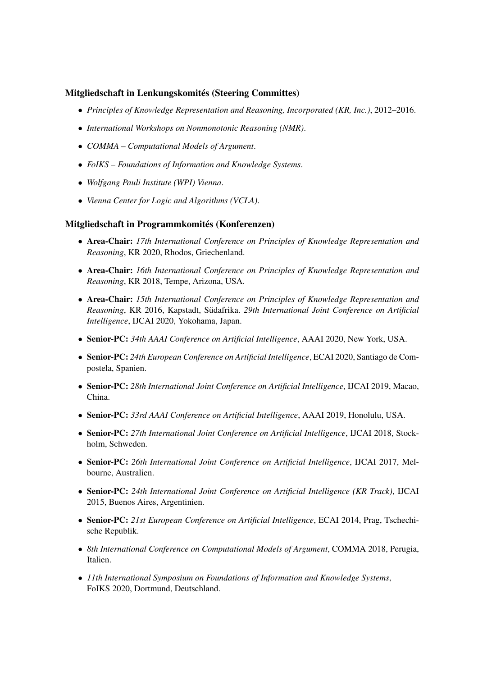### Mitgliedschaft in Lenkungskomités (Steering Committes)

- *Principles of Knowledge Representation and Reasoning, Incorporated (KR, Inc.)*, 2012–2016.
- *International Workshops on Nonmonotonic Reasoning (NMR)*.
- *COMMA Computational Models of Argument*.
- *FoIKS Foundations of Information and Knowledge Systems*.
- *Wolfgang Pauli Institute (WPI) Vienna*.
- *Vienna Center for Logic and Algorithms (VCLA)*.

#### Mitgliedschaft in Programmkomités (Konferenzen)

- Area-Chair: *17th International Conference on Principles of Knowledge Representation and Reasoning*, KR 2020, Rhodos, Griechenland.
- Area-Chair: *16th International Conference on Principles of Knowledge Representation and Reasoning*, KR 2018, Tempe, Arizona, USA.
- Area-Chair: *15th International Conference on Principles of Knowledge Representation and Reasoning*, KR 2016, Kapstadt, Südafrika. 29th International Joint Conference on Artificial *Intelligence*, IJCAI 2020, Yokohama, Japan.
- Senior-PC: *34th AAAI Conference on Artificial Intelligence*, AAAI 2020, New York, USA.
- Senior-PC: *24th European Conference on Artificial Intelligence*, ECAI 2020, Santiago de Compostela, Spanien.
- Senior-PC: *28th International Joint Conference on Artificial Intelligence*, IJCAI 2019, Macao, China.
- Senior-PC: *33rd AAAI Conference on Artificial Intelligence*, AAAI 2019, Honolulu, USA.
- Senior-PC: *27th International Joint Conference on Artificial Intelligence*, IJCAI 2018, Stockholm, Schweden.
- Senior-PC: *26th International Joint Conference on Artificial Intelligence*, IJCAI 2017, Melbourne, Australien.
- Senior-PC: *24th International Joint Conference on Artificial Intelligence (KR Track)*, IJCAI 2015, Buenos Aires, Argentinien.
- Senior-PC: *21st European Conference on Artificial Intelligence*, ECAI 2014, Prag, Tschechische Republik.
- *8th International Conference on Computational Models of Argument*, COMMA 2018, Perugia, Italien.
- *11th International Symposium on Foundations of Information and Knowledge Systems*, FoIKS 2020, Dortmund, Deutschland.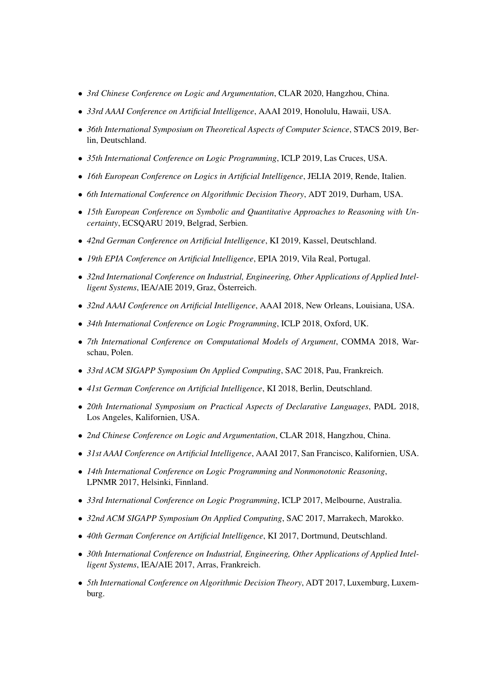- *3rd Chinese Conference on Logic and Argumentation*, CLAR 2020, Hangzhou, China.
- *33rd AAAI Conference on Artificial Intelligence*, AAAI 2019, Honolulu, Hawaii, USA.
- *36th International Symposium on Theoretical Aspects of Computer Science*, STACS 2019, Berlin, Deutschland.
- *35th International Conference on Logic Programming*, ICLP 2019, Las Cruces, USA.
- *16th European Conference on Logics in Artificial Intelligence*, JELIA 2019, Rende, Italien.
- *6th International Conference on Algorithmic Decision Theory*, ADT 2019, Durham, USA.
- *15th European Conference on Symbolic and Quantitative Approaches to Reasoning with Uncertainty*, ECSQARU 2019, Belgrad, Serbien.
- *42nd German Conference on Artificial Intelligence*, KI 2019, Kassel, Deutschland.
- *19th EPIA Conference on Artificial Intelligence*, EPIA 2019, Vila Real, Portugal.
- *32nd International Conference on Industrial, Engineering, Other Applications of Applied Intelligent Systems*, IEA/AIE 2019, Graz, Österreich.
- *32nd AAAI Conference on Artificial Intelligence*, AAAI 2018, New Orleans, Louisiana, USA.
- *34th International Conference on Logic Programming*, ICLP 2018, Oxford, UK.
- *7th International Conference on Computational Models of Argument*, COMMA 2018, Warschau, Polen.
- *33rd ACM SIGAPP Symposium On Applied Computing*, SAC 2018, Pau, Frankreich.
- *41st German Conference on Artificial Intelligence*, KI 2018, Berlin, Deutschland.
- *20th International Symposium on Practical Aspects of Declarative Languages*, PADL 2018, Los Angeles, Kalifornien, USA.
- *2nd Chinese Conference on Logic and Argumentation*, CLAR 2018, Hangzhou, China.
- *31st AAAI Conference on Artificial Intelligence*, AAAI 2017, San Francisco, Kalifornien, USA.
- *14th International Conference on Logic Programming and Nonmonotonic Reasoning*, LPNMR 2017, Helsinki, Finnland.
- *33rd International Conference on Logic Programming*, ICLP 2017, Melbourne, Australia.
- *32nd ACM SIGAPP Symposium On Applied Computing*, SAC 2017, Marrakech, Marokko.
- *40th German Conference on Artificial Intelligence*, KI 2017, Dortmund, Deutschland.
- *30th International Conference on Industrial, Engineering, Other Applications of Applied Intelligent Systems*, IEA/AIE 2017, Arras, Frankreich.
- *5th International Conference on Algorithmic Decision Theory*, ADT 2017, Luxemburg, Luxemburg.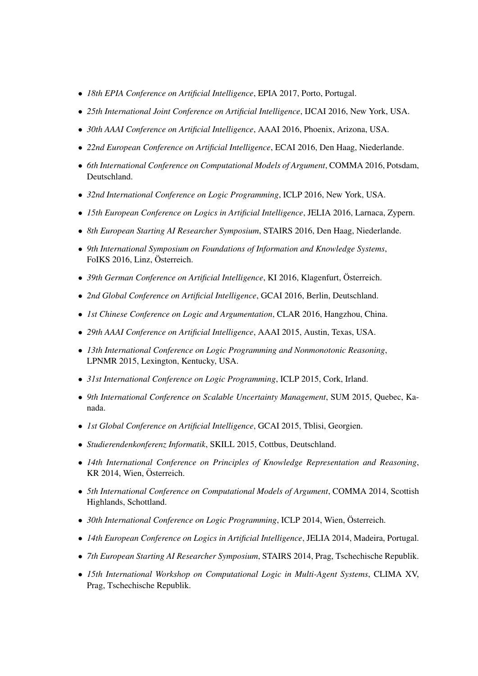- *18th EPIA Conference on Artificial Intelligence*, EPIA 2017, Porto, Portugal.
- *25th International Joint Conference on Artificial Intelligence*, IJCAI 2016, New York, USA.
- *30th AAAI Conference on Artificial Intelligence*, AAAI 2016, Phoenix, Arizona, USA.
- *22nd European Conference on Artificial Intelligence*, ECAI 2016, Den Haag, Niederlande.
- *6th International Conference on Computational Models of Argument*, COMMA 2016, Potsdam, Deutschland.
- *32nd International Conference on Logic Programming*, ICLP 2016, New York, USA.
- *15th European Conference on Logics in Artificial Intelligence*, JELIA 2016, Larnaca, Zypern.
- *8th European Starting AI Researcher Symposium*, STAIRS 2016, Den Haag, Niederlande.
- *9th International Symposium on Foundations of Information and Knowledge Systems*, FoIKS 2016, Linz, Österreich.
- *39th German Conference on Artificial Intelligence*, KI 2016, Klagenfurt, Österreich.
- *2nd Global Conference on Artificial Intelligence*, GCAI 2016, Berlin, Deutschland.
- *1st Chinese Conference on Logic and Argumentation*, CLAR 2016, Hangzhou, China.
- *29th AAAI Conference on Artificial Intelligence*, AAAI 2015, Austin, Texas, USA.
- *13th International Conference on Logic Programming and Nonmonotonic Reasoning*, LPNMR 2015, Lexington, Kentucky, USA.
- *31st International Conference on Logic Programming*, ICLP 2015, Cork, Irland.
- *9th International Conference on Scalable Uncertainty Management*, SUM 2015, Quebec, Kanada.
- *1st Global Conference on Artificial Intelligence*, GCAI 2015, Tblisi, Georgien.
- *Studierendenkonferenz Informatik*, SKILL 2015, Cottbus, Deutschland.
- *14th International Conference on Principles of Knowledge Representation and Reasoning*, KR 2014, Wien, Österreich.
- *5th International Conference on Computational Models of Argument*, COMMA 2014, Scottish Highlands, Schottland.
- *30th International Conference on Logic Programming*, ICLP 2014, Wien, Österreich.
- *14th European Conference on Logics in Artificial Intelligence*, JELIA 2014, Madeira, Portugal.
- *7th European Starting AI Researcher Symposium*, STAIRS 2014, Prag, Tschechische Republik.
- *15th International Workshop on Computational Logic in Multi-Agent Systems*, CLIMA XV, Prag, Tschechische Republik.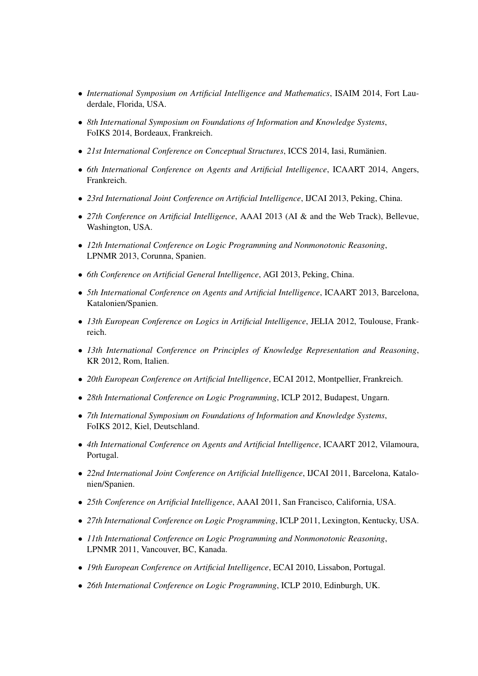- *International Symposium on Artificial Intelligence and Mathematics*, ISAIM 2014, Fort Lauderdale, Florida, USA.
- *8th International Symposium on Foundations of Information and Knowledge Systems*, FoIKS 2014, Bordeaux, Frankreich.
- *21st International Conference on Conceptual Structures*, ICCS 2014, Iasi, Rumanien. ¨
- *6th International Conference on Agents and Artificial Intelligence*, ICAART 2014, Angers, Frankreich.
- *23rd International Joint Conference on Artificial Intelligence*, IJCAI 2013, Peking, China.
- *27th Conference on Artificial Intelligence*, AAAI 2013 (AI & and the Web Track), Bellevue, Washington, USA.
- *12th International Conference on Logic Programming and Nonmonotonic Reasoning*, LPNMR 2013, Corunna, Spanien.
- *6th Conference on Artificial General Intelligence*, AGI 2013, Peking, China.
- *5th International Conference on Agents and Artificial Intelligence*, ICAART 2013, Barcelona, Katalonien/Spanien.
- *13th European Conference on Logics in Artificial Intelligence*, JELIA 2012, Toulouse, Frankreich.
- *13th International Conference on Principles of Knowledge Representation and Reasoning*, KR 2012, Rom, Italien.
- *20th European Conference on Artificial Intelligence*, ECAI 2012, Montpellier, Frankreich.
- *28th International Conference on Logic Programming*, ICLP 2012, Budapest, Ungarn.
- *7th International Symposium on Foundations of Information and Knowledge Systems*, FoIKS 2012, Kiel, Deutschland.
- *4th International Conference on Agents and Artificial Intelligence*, ICAART 2012, Vilamoura, Portugal.
- *22nd International Joint Conference on Artificial Intelligence*, IJCAI 2011, Barcelona, Katalonien/Spanien.
- *25th Conference on Artificial Intelligence*, AAAI 2011, San Francisco, California, USA.
- *27th International Conference on Logic Programming*, ICLP 2011, Lexington, Kentucky, USA.
- *11th International Conference on Logic Programming and Nonmonotonic Reasoning*, LPNMR 2011, Vancouver, BC, Kanada.
- *19th European Conference on Artificial Intelligence*, ECAI 2010, Lissabon, Portugal.
- *26th International Conference on Logic Programming*, ICLP 2010, Edinburgh, UK.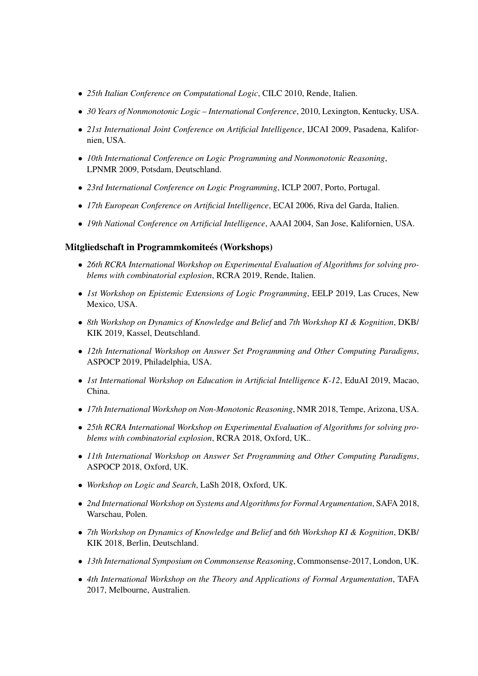- *25th Italian Conference on Computational Logic*, CILC 2010, Rende, Italien.
- *30 Years of Nonmonotonic Logic International Conference*, 2010, Lexington, Kentucky, USA.
- *21st International Joint Conference on Artificial Intelligence*, IJCAI 2009, Pasadena, Kalifornien, USA.
- *10th International Conference on Logic Programming and Nonmonotonic Reasoning*, LPNMR 2009, Potsdam, Deutschland.
- *23rd International Conference on Logic Programming*, ICLP 2007, Porto, Portugal.
- *17th European Conference on Artificial Intelligence*, ECAI 2006, Riva del Garda, Italien.
- *19th National Conference on Artificial Intelligence*, AAAI 2004, San Jose, Kalifornien, USA.

#### Mitgliedschaft in Programmkomiteés (Workshops)

- *26th RCRA International Workshop on Experimental Evaluation of Algorithms for solving problems with combinatorial explosion*, RCRA 2019, Rende, Italien.
- *1st Workshop on Epistemic Extensions of Logic Programming*, EELP 2019, Las Cruces, New Mexico, USA.
- *8th Workshop on Dynamics of Knowledge and Belief* and *7th Workshop KI & Kognition*, DKB/ KIK 2019, Kassel, Deutschland.
- *12th International Workshop on Answer Set Programming and Other Computing Paradigms*, ASPOCP 2019, Philadelphia, USA.
- *1st International Workshop on Education in Artificial Intelligence K-12*, EduAI 2019, Macao, China.
- *17th International Workshop on Non-Monotonic Reasoning*, NMR 2018, Tempe, Arizona, USA.
- *25th RCRA International Workshop on Experimental Evaluation of Algorithms for solving problems with combinatorial explosion*, RCRA 2018, Oxford, UK..
- *11th International Workshop on Answer Set Programming and Other Computing Paradigms*, ASPOCP 2018, Oxford, UK.
- *Workshop on Logic and Search*, LaSh 2018, Oxford, UK.
- *2nd International Workshop on Systems and Algorithms for Formal Argumentation*, SAFA 2018, Warschau, Polen.
- *7th Workshop on Dynamics of Knowledge and Belief* and *6th Workshop KI & Kognition*, DKB/ KIK 2018, Berlin, Deutschland.
- *13th International Symposium on Commonsense Reasoning*, Commonsense-2017, London, UK.
- *4th International Workshop on the Theory and Applications of Formal Argumentation*, TAFA 2017, Melbourne, Australien.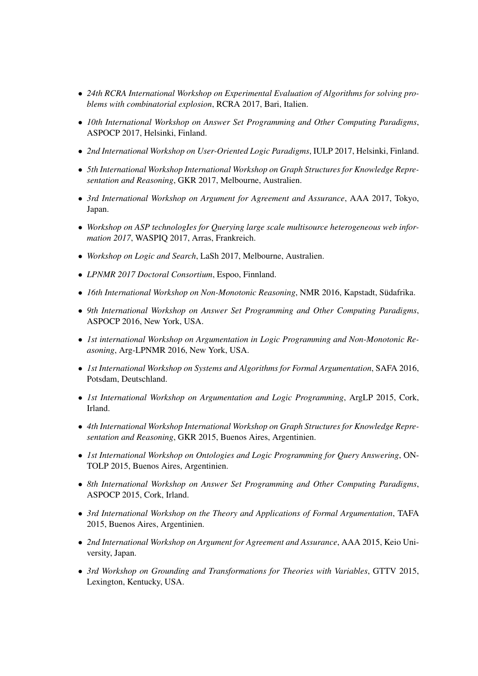- *24th RCRA International Workshop on Experimental Evaluation of Algorithms for solving problems with combinatorial explosion*, RCRA 2017, Bari, Italien.
- *10th International Workshop on Answer Set Programming and Other Computing Paradigms*, ASPOCP 2017, Helsinki, Finland.
- *2nd International Workshop on User-Oriented Logic Paradigms*, IULP 2017, Helsinki, Finland.
- *5th International Workshop International Workshop on Graph Structures for Knowledge Representation and Reasoning*, GKR 2017, Melbourne, Australien.
- *3rd International Workshop on Argument for Agreement and Assurance*, AAA 2017, Tokyo, Japan.
- *Workshop on ASP technologIes for Querying large scale multisource heterogeneous web information 2017*, WASPIQ 2017, Arras, Frankreich.
- *Workshop on Logic and Search*, LaSh 2017, Melbourne, Australien.
- *LPNMR 2017 Doctoral Consortium*, Espoo, Finnland.
- *16th International Workshop on Non-Monotonic Reasoning*, NMR 2016, Kapstadt, Südafrika.
- *9th International Workshop on Answer Set Programming and Other Computing Paradigms*, ASPOCP 2016, New York, USA.
- *1st international Workshop on Argumentation in Logic Programming and Non-Monotonic Reasoning*, Arg-LPNMR 2016, New York, USA.
- *1st International Workshop on Systems and Algorithms for Formal Argumentation*, SAFA 2016, Potsdam, Deutschland.
- *1st International Workshop on Argumentation and Logic Programming*, ArgLP 2015, Cork, Irland.
- *4th International Workshop International Workshop on Graph Structures for Knowledge Representation and Reasoning*, GKR 2015, Buenos Aires, Argentinien.
- *1st International Workshop on Ontologies and Logic Programming for Query Answering*, ON-TOLP 2015, Buenos Aires, Argentinien.
- *8th International Workshop on Answer Set Programming and Other Computing Paradigms*, ASPOCP 2015, Cork, Irland.
- *3rd International Workshop on the Theory and Applications of Formal Argumentation*, TAFA 2015, Buenos Aires, Argentinien.
- *2nd International Workshop on Argument for Agreement and Assurance*, AAA 2015, Keio University, Japan.
- *3rd Workshop on Grounding and Transformations for Theories with Variables*, GTTV 2015, Lexington, Kentucky, USA.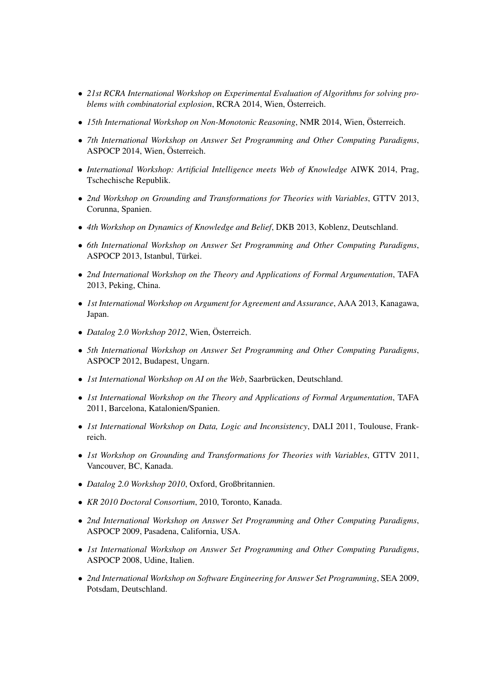- *21st RCRA International Workshop on Experimental Evaluation of Algorithms for solving problems with combinatorial explosion*, RCRA 2014, Wien, Österreich.
- *15th International Workshop on Non-Monotonic Reasoning*, NMR 2014, Wien, Österreich.
- *7th International Workshop on Answer Set Programming and Other Computing Paradigms*, ASPOCP 2014, Wien, Österreich.
- *International Workshop: Artificial Intelligence meets Web of Knowledge* AIWK 2014, Prag, Tschechische Republik.
- *2nd Workshop on Grounding and Transformations for Theories with Variables*, GTTV 2013, Corunna, Spanien.
- *4th Workshop on Dynamics of Knowledge and Belief*, DKB 2013, Koblenz, Deutschland.
- *6th International Workshop on Answer Set Programming and Other Computing Paradigms*, ASPOCP 2013, Istanbul, Türkei.
- *2nd International Workshop on the Theory and Applications of Formal Argumentation*, TAFA 2013, Peking, China.
- *1st International Workshop on Argument for Agreement and Assurance*, AAA 2013, Kanagawa, Japan.
- *Datalog 2.0 Workshop 2012*, Wien, Österreich.
- *5th International Workshop on Answer Set Programming and Other Computing Paradigms*, ASPOCP 2012, Budapest, Ungarn.
- *1st International Workshop on AI on the Web*, Saarbrücken, Deutschland.
- *1st International Workshop on the Theory and Applications of Formal Argumentation*, TAFA 2011, Barcelona, Katalonien/Spanien.
- *1st International Workshop on Data, Logic and Inconsistency*, DALI 2011, Toulouse, Frankreich.
- *1st Workshop on Grounding and Transformations for Theories with Variables*, GTTV 2011, Vancouver, BC, Kanada.
- *Datalog 2.0 Workshop 2010*, Oxford, Großbritannien.
- *KR 2010 Doctoral Consortium*, 2010, Toronto, Kanada.
- *2nd International Workshop on Answer Set Programming and Other Computing Paradigms*, ASPOCP 2009, Pasadena, California, USA.
- *1st International Workshop on Answer Set Programming and Other Computing Paradigms*, ASPOCP 2008, Udine, Italien.
- *2nd International Workshop on Software Engineering for Answer Set Programming*, SEA 2009, Potsdam, Deutschland.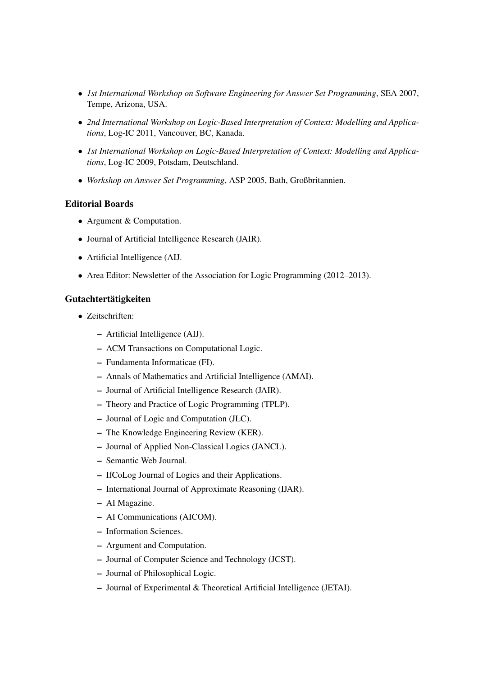- *1st International Workshop on Software Engineering for Answer Set Programming*, SEA 2007, Tempe, Arizona, USA.
- *2nd International Workshop on Logic-Based Interpretation of Context: Modelling and Applications*, Log-IC 2011, Vancouver, BC, Kanada.
- *1st International Workshop on Logic-Based Interpretation of Context: Modelling and Applications*, Log-IC 2009, Potsdam, Deutschland.
- *Workshop on Answer Set Programming*, ASP 2005, Bath, Großbritannien.

### Editorial Boards

- Argument & Computation.
- Journal of Artificial Intelligence Research (JAIR).
- Artificial Intelligence (AIJ.
- Area Editor: Newsletter of the Association for Logic Programming (2012–2013).

## Gutachtertätigkeiten

- Zeitschriften:
	- Artificial Intelligence (AIJ).
	- ACM Transactions on Computational Logic.
	- Fundamenta Informaticae (FI).
	- Annals of Mathematics and Artificial Intelligence (AMAI).
	- Journal of Artificial Intelligence Research (JAIR).
	- Theory and Practice of Logic Programming (TPLP).
	- Journal of Logic and Computation (JLC).
	- The Knowledge Engineering Review (KER).
	- Journal of Applied Non-Classical Logics (JANCL).
	- Semantic Web Journal.
	- IfCoLog Journal of Logics and their Applications.
	- International Journal of Approximate Reasoning (IJAR).
	- AI Magazine.
	- AI Communications (AICOM).
	- Information Sciences.
	- Argument and Computation.
	- Journal of Computer Science and Technology (JCST).
	- Journal of Philosophical Logic.
	- Journal of Experimental & Theoretical Artificial Intelligence (JETAI).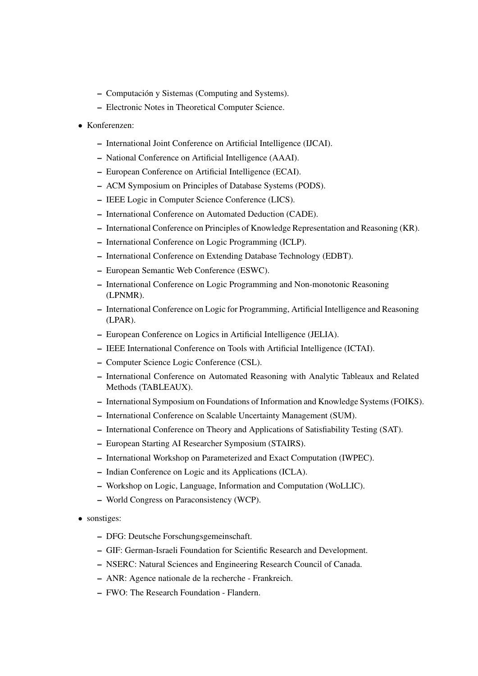- Computacion y Sistemas (Computing and Systems). ´
- Electronic Notes in Theoretical Computer Science.
- Konferenzen:
	- International Joint Conference on Artificial Intelligence (IJCAI).
	- National Conference on Artificial Intelligence (AAAI).
	- European Conference on Artificial Intelligence (ECAI).
	- ACM Symposium on Principles of Database Systems (PODS).
	- IEEE Logic in Computer Science Conference (LICS).
	- International Conference on Automated Deduction (CADE).
	- International Conference on Principles of Knowledge Representation and Reasoning (KR).
	- International Conference on Logic Programming (ICLP).
	- International Conference on Extending Database Technology (EDBT).
	- European Semantic Web Conference (ESWC).
	- International Conference on Logic Programming and Non-monotonic Reasoning (LPNMR).
	- International Conference on Logic for Programming, Artificial Intelligence and Reasoning (LPAR).
	- European Conference on Logics in Artificial Intelligence (JELIA).
	- IEEE International Conference on Tools with Artificial Intelligence (ICTAI).
	- Computer Science Logic Conference (CSL).
	- International Conference on Automated Reasoning with Analytic Tableaux and Related Methods (TABLEAUX).
	- International Symposium on Foundations of Information and Knowledge Systems (FOIKS).
	- International Conference on Scalable Uncertainty Management (SUM).
	- International Conference on Theory and Applications of Satisfiability Testing (SAT).
	- European Starting AI Researcher Symposium (STAIRS).
	- International Workshop on Parameterized and Exact Computation (IWPEC).
	- Indian Conference on Logic and its Applications (ICLA).
	- Workshop on Logic, Language, Information and Computation (WoLLIC).
	- World Congress on Paraconsistency (WCP).
- sonstiges:
	- DFG: Deutsche Forschungsgemeinschaft.
	- GIF: German-Israeli Foundation for Scientific Research and Development.
	- NSERC: Natural Sciences and Engineering Research Council of Canada.
	- ANR: Agence nationale de la recherche Frankreich.
	- FWO: The Research Foundation Flandern.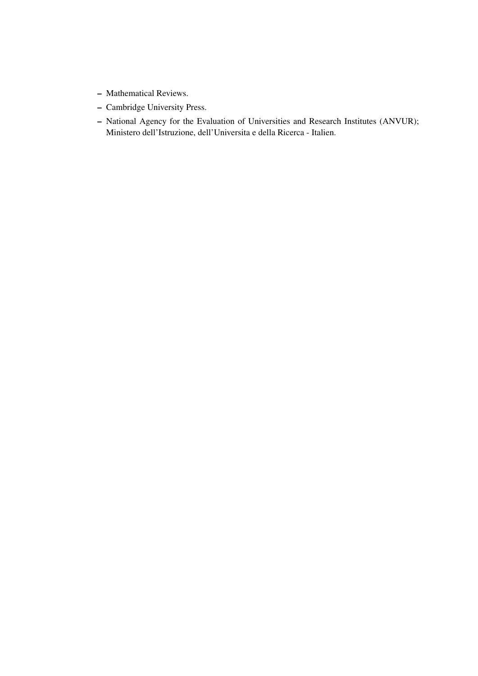- Mathematical Reviews.
- Cambridge University Press.
- National Agency for the Evaluation of Universities and Research Institutes (ANVUR); Ministero dell'Istruzione, dell'Universita e della Ricerca - Italien.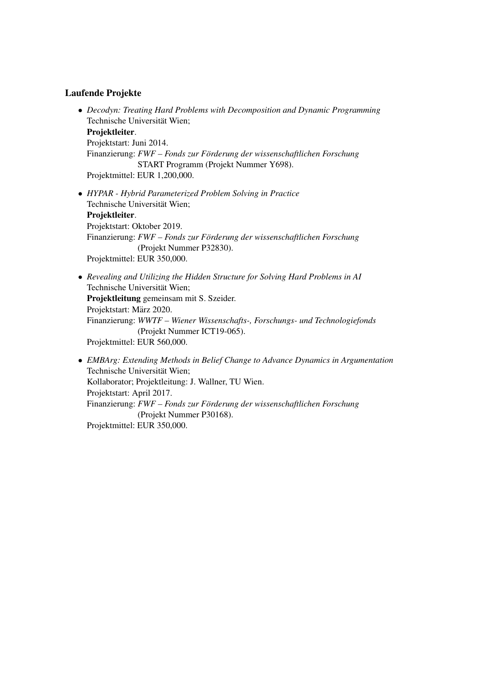### Laufende Projekte

- *Decodyn: Treating Hard Problems with Decomposition and Dynamic Programming* Technische Universität Wien; Projektleiter. Projektstart: Juni 2014. Finanzierung: *FWF – Fonds zur Förderung der wissenschaftlichen Forschung* START Programm (Projekt Nummer Y698). Projektmittel: EUR 1,200,000.
- *HYPAR Hybrid Parameterized Problem Solving in Practice* Technische Universität Wien: Projektleiter. Projektstart: Oktober 2019. Finanzierung: *FWF – Fonds zur Förderung der wissenschaftlichen Forschung* (Projekt Nummer P32830). Projektmittel: EUR 350,000.
- *Revealing and Utilizing the Hidden Structure for Solving Hard Problems in AI* Technische Universität Wien; Projektleitung gemeinsam mit S. Szeider. Projektstart: März 2020. Finanzierung: *WWTF – Wiener Wissenschafts-, Forschungs- und Technologiefonds* (Projekt Nummer ICT19-065). Projektmittel: EUR 560,000.
- *EMBArg: Extending Methods in Belief Change to Advance Dynamics in Argumentation* Technische Universität Wien; Kollaborator; Projektleitung: J. Wallner, TU Wien. Projektstart: April 2017. Finanzierung: *FWF – Fonds zur Förderung der wissenschaftlichen Forschung* (Projekt Nummer P30168). Projektmittel: EUR 350,000.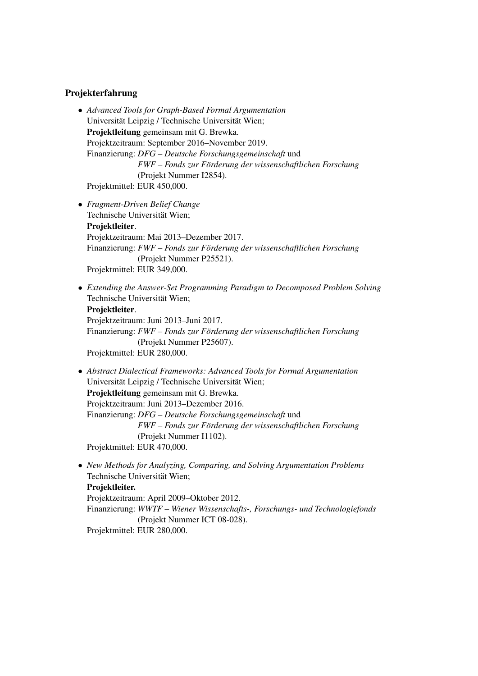### Projekterfahrung

- *Advanced Tools for Graph-Based Formal Argumentation* Universität Leipzig / Technische Universität Wien; Projektleitung gemeinsam mit G. Brewka. Projektzeitraum: September 2016–November 2019. Finanzierung: *DFG – Deutsche Forschungsgemeinschaft* und *FWF – Fonds zur Forderung der wissenschaftlichen Forschung ¨* (Projekt Nummer I2854). Projektmittel: EUR 450,000.
- *Fragment-Driven Belief Change* Technische Universität Wien; Projektleiter. Projektzeitraum: Mai 2013–Dezember 2017. Finanzierung: *FWF – Fonds zur Förderung der wissenschaftlichen Forschung* (Projekt Nummer P25521). Projektmittel: EUR 349,000.
- *Extending the Answer-Set Programming Paradigm to Decomposed Problem Solving* Technische Universität Wien; Projektleiter. Projektzeitraum: Juni 2013–Juni 2017. Finanzierung: *FWF – Fonds zur Förderung der wissenschaftlichen Forschung* (Projekt Nummer P25607).

Projektmittel: EUR 280,000.

• *Abstract Dialectical Frameworks: Advanced Tools for Formal Argumentation* Universität Leipzig / Technische Universität Wien; Projektleitung gemeinsam mit G. Brewka. Projektzeitraum: Juni 2013–Dezember 2016. Finanzierung: *DFG – Deutsche Forschungsgemeinschaft* und *FWF – Fonds zur Forderung der wissenschaftlichen Forschung ¨* (Projekt Nummer I1102). Projektmittel: EUR 470,000.

• *New Methods for Analyzing, Comparing, and Solving Argumentation Problems* Technische Universität Wien; Projektleiter. Projektzeitraum: April 2009–Oktober 2012. Finanzierung: *WWTF – Wiener Wissenschafts-, Forschungs- und Technologiefonds* (Projekt Nummer ICT 08-028). Projektmittel: EUR 280,000.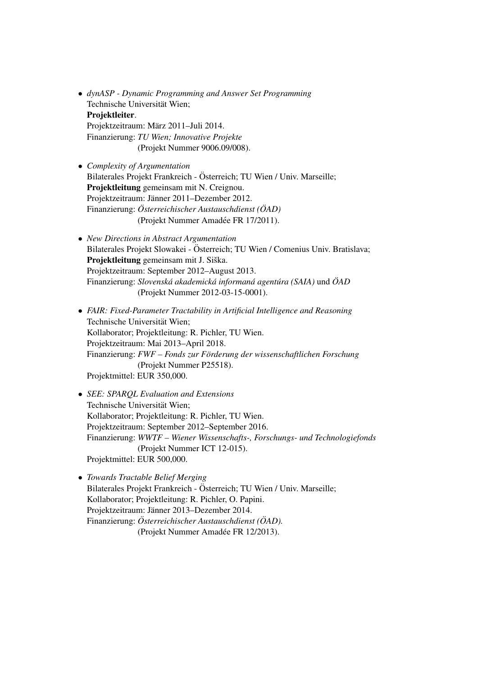- *dynASP Dynamic Programming and Answer Set Programming* Technische Universität Wien; Projektleiter. Projektzeitraum: März 2011–Juli 2014. Finanzierung: *TU Wien; Innovative Projekte* (Projekt Nummer 9006.09/008).
- *Complexity of Argumentation* Bilaterales Projekt Frankreich - Österreich; TU Wien / Univ. Marseille; Projektleitung gemeinsam mit N. Creignou. Projektzeitraum: Jänner 2011–Dezember 2012. Finanzierung: Österreichischer Austauschdienst (ÖAD) (Projekt Nummer Amadée FR 17/2011).
- *New Directions in Abstract Argumentation* Bilaterales Projekt Slowakei - Österreich; TU Wien / Comenius Univ. Bratislava; Projektleitung gemeinsam mit J. Siška. Projektzeitraum: September 2012–August 2013. Finanzierung: *Slovenska akademick ´ a informan ´ a agent ´ ura (SAIA) ´* und *OAD ¨* (Projekt Nummer 2012-03-15-0001).
- *FAIR: Fixed-Parameter Tractability in Artificial Intelligence and Reasoning* Technische Universität Wien; Kollaborator; Projektleitung: R. Pichler, TU Wien. Projektzeitraum: Mai 2013–April 2018. Finanzierung: *FWF – Fonds zur Förderung der wissenschaftlichen Forschung* (Projekt Nummer P25518). Projektmittel: EUR 350,000.
- *SEE: SPARQL Evaluation and Extensions* Technische Universität Wien; Kollaborator; Projektleitung: R. Pichler, TU Wien. Projektzeitraum: September 2012–September 2016. Finanzierung: *WWTF – Wiener Wissenschafts-, Forschungs- und Technologiefonds* (Projekt Nummer ICT 12-015). Projektmittel: EUR 500,000.
- *Towards Tractable Belief Merging* Bilaterales Projekt Frankreich - Österreich; TU Wien / Univ. Marseille; Kollaborator; Projektleitung: R. Pichler, O. Papini. Projektzeitraum: Jänner 2013–Dezember 2014. Finanzierung: Österreichischer Austauschdienst (ÖAD). (Projekt Nummer Amadée FR 12/2013).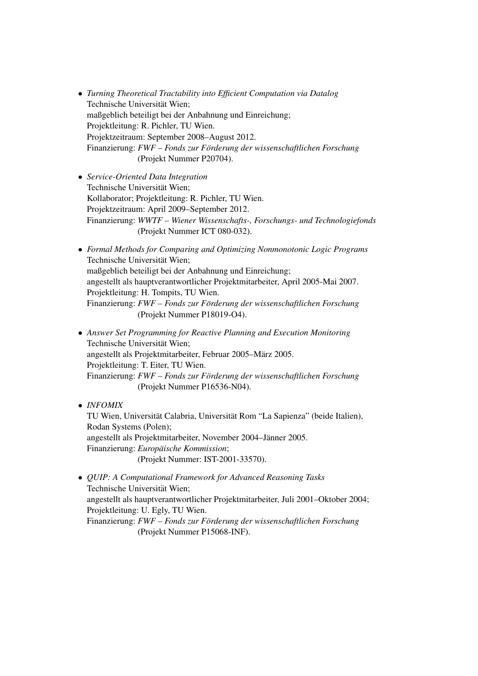- *Turning Theoretical Tractability into Efficient Computation via Datalog* Technische Universität Wien; maßgeblich beteiligt bei der Anbahnung und Einreichung; Projektleitung: R. Pichler, TU Wien. Projektzeitraum: September 2008–August 2012. Finanzierung: *FWF – Fonds zur Forderung der wissenschaftlichen Forschung ¨* (Projekt Nummer P20704).
- *Service-Oriented Data Integration* Technische Universität Wien: Kollaborator; Projektleitung: R. Pichler, TU Wien. Projektzeitraum: April 2009–September 2012. Finanzierung: *WWTF – Wiener Wissenschafts-, Forschungs- und Technologiefonds* (Projekt Nummer ICT 080-032).
- *Formal Methods for Comparing and Optimizing Nonmonotonic Logic Programs* Technische Universität Wien; maßgeblich beteiligt bei der Anbahnung und Einreichung; angestellt als hauptverantwortlicher Projektmitarbeiter, April 2005-Mai 2007. Projektleitung: H. Tompits, TU Wien. Finanzierung: *FWF – Fonds zur Förderung der wissenschaftlichen Forschung* (Projekt Nummer P18019-O4).
- *Answer Set Programming for Reactive Planning and Execution Monitoring* Technische Universität Wien; angestellt als Projektmitarbeiter, Februar 2005–März 2005. Projektleitung: T. Eiter, TU Wien. Finanzierung: *FWF – Fonds zur Förderung der wissenschaftlichen Forschung* (Projekt Nummer P16536-N04).
- *INFOMIX*

TU Wien, Universität Calabria, Universität Rom "La Sapienza" (beide Italien), Rodan Systems (Polen); angestellt als Projektmitarbeiter, November 2004–Jänner 2005. Finanzierung: *Europäische Kommission*; (Projekt Nummer: IST-2001-33570).

• *QUIP: A Computational Framework for Advanced Reasoning Tasks* Technische Universität Wien: angestellt als hauptverantwortlicher Projektmitarbeiter, Juli 2001–Oktober 2004; Projektleitung: U. Egly, TU Wien. Finanzierung: *FWF – Fonds zur Förderung der wissenschaftlichen Forschung* (Projekt Nummer P15068-INF).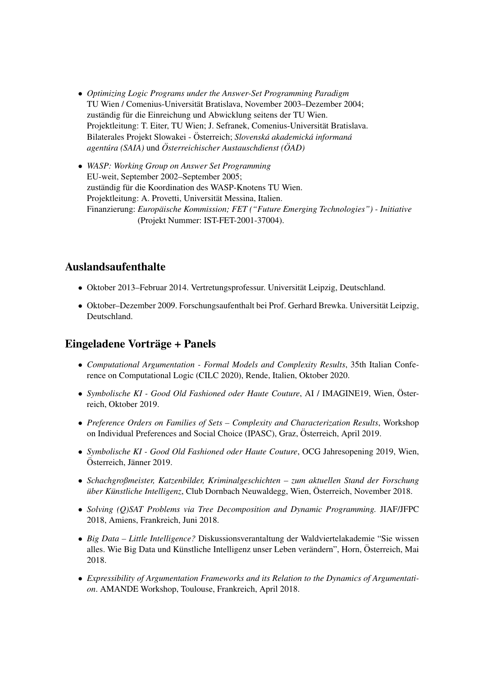- *Optimizing Logic Programs under the Answer-Set Programming Paradigm* TU Wien / Comenius-Universität Bratislava, November 2003–Dezember 2004; zuständig für die Einreichung und Abwicklung seitens der TU Wien. Projektleitung: T. Eiter, TU Wien; J. Sefranek, Comenius-Universitat Bratislava. ¨ Bilaterales Projekt Slowakei - Österreich; Slovenská akademická informaná *agentura (SAIA) ´* und *Osterreichischer Austauschdienst ( ¨ OAD) ¨*
- *WASP: Working Group on Answer Set Programming* EU-weit, September 2002–September 2005; zuständig für die Koordination des WASP-Knotens TU Wien. Projektleitung: A. Provetti, Universität Messina, Italien. Finanzierung: *Europaische Kommission; FET ("Future Emerging Technologies") - Initiative ¨* (Projekt Nummer: IST-FET-2001-37004).

## Auslandsaufenthalte

- Oktober 2013–Februar 2014. Vertretungsprofessur. Universität Leipzig, Deutschland.
- Oktober–Dezember 2009. Forschungsaufenthalt bei Prof. Gerhard Brewka. Universität Leipzig, Deutschland.

## Eingeladene Vorträge + Panels

- *Computational Argumentation Formal Models and Complexity Results*, 35th Italian Conference on Computational Logic (CILC 2020), Rende, Italien, Oktober 2020.
- *Symbolische KI Good Old Fashioned oder Haute Couture*, AI / IMAGINE19, Wien, Österreich, Oktober 2019.
- *Preference Orders on Families of Sets Complexity and Characterization Results*, Workshop on Individual Preferences and Social Choice (IPASC), Graz, Osterreich, April 2019. ¨
- *Symbolische KI Good Old Fashioned oder Haute Couture*, OCG Jahresopening 2019, Wien, Österreich, Jänner 2019.
- *Schachgroßmeister, Katzenbilder, Kriminalgeschichten zum aktuellen Stand der Forschung über Künstliche Intelligenz*, Club Dornbach Neuwaldegg, Wien, Österreich, November 2018.
- *Solving (Q)SAT Problems via Tree Decomposition and Dynamic Programming.* JIAF/JFPC 2018, Amiens, Frankreich, Juni 2018.
- *Big Data Little Intelligence?* Diskussionsverantaltung der Waldviertelakademie "Sie wissen alles. Wie Big Data und Künstliche Intelligenz unser Leben verändern", Horn, Österreich, Mai 2018.
- *Expressibility of Argumentation Frameworks and its Relation to the Dynamics of Argumentation*. AMANDE Workshop, Toulouse, Frankreich, April 2018.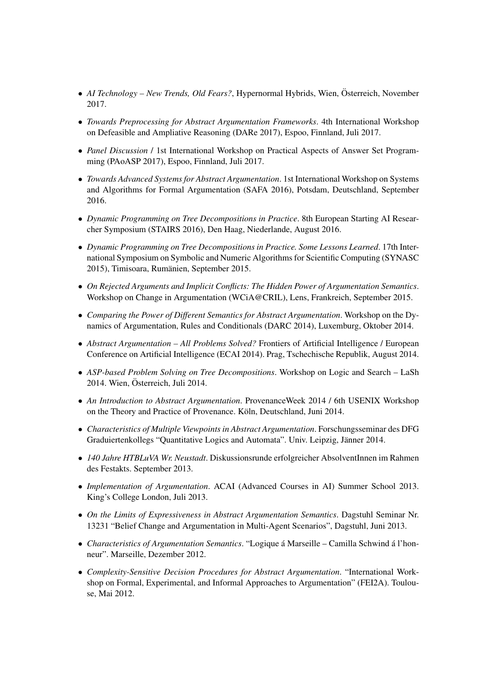- *AI Technology New Trends, Old Fears?*, Hypernormal Hybrids, Wien, Österreich, November 2017.
- *Towards Preprocessing for Abstract Argumentation Frameworks*. 4th International Workshop on Defeasible and Ampliative Reasoning (DARe 2017), Espoo, Finnland, Juli 2017.
- *Panel Discussion* / 1st International Workshop on Practical Aspects of Answer Set Programming (PAoASP 2017), Espoo, Finnland, Juli 2017.
- *Towards Advanced Systems for Abstract Argumentation*. 1st International Workshop on Systems and Algorithms for Formal Argumentation (SAFA 2016), Potsdam, Deutschland, September 2016.
- *Dynamic Programming on Tree Decompositions in Practice*. 8th European Starting AI Researcher Symposium (STAIRS 2016), Den Haag, Niederlande, August 2016.
- *Dynamic Programming on Tree Decompositions in Practice. Some Lessons Learned*. 17th International Symposium on Symbolic and Numeric Algorithms for Scientific Computing (SYNASC 2015), Timisoara, Rumänien, September 2015.
- *On Rejected Arguments and Implicit Conflicts: The Hidden Power of Argumentation Semantics*. Workshop on Change in Argumentation (WCiA@CRIL), Lens, Frankreich, September 2015.
- *Comparing the Power of Different Semantics for Abstract Argumentation*. Workshop on the Dynamics of Argumentation, Rules and Conditionals (DARC 2014), Luxemburg, Oktober 2014.
- *Abstract Argumentation All Problems Solved?* Frontiers of Artificial Intelligence / European Conference on Artificial Intelligence (ECAI 2014). Prag, Tschechische Republik, August 2014.
- *ASP-based Problem Solving on Tree Decompositions*. Workshop on Logic and Search LaSh 2014. Wien, Osterreich, Juli 2014. ¨
- *An Introduction to Abstract Argumentation*. ProvenanceWeek 2014 / 6th USENIX Workshop on the Theory and Practice of Provenance. Köln, Deutschland, Juni 2014.
- *Characteristics of Multiple Viewpoints in Abstract Argumentation*. Forschungsseminar des DFG Graduiertenkollegs "Quantitative Logics and Automata". Univ. Leipzig, Jänner 2014.
- *140 Jahre HTBLuVA Wr. Neustadt*. Diskussionsrunde erfolgreicher AbsolventInnen im Rahmen des Festakts. September 2013.
- *Implementation of Argumentation*. ACAI (Advanced Courses in AI) Summer School 2013. King's College London, Juli 2013.
- *On the Limits of Expressiveness in Abstract Argumentation Semantics*. Dagstuhl Seminar Nr. 13231 "Belief Change and Argumentation in Multi-Agent Scenarios", Dagstuhl, Juni 2013.
- *Characteristics of Argumentation Semantics*. "Logique á Marseille Camilla Schwind á l'honneur". Marseille, Dezember 2012.
- *Complexity-Sensitive Decision Procedures for Abstract Argumentation*. "International Workshop on Formal, Experimental, and Informal Approaches to Argumentation" (FEI2A). Toulouse, Mai 2012.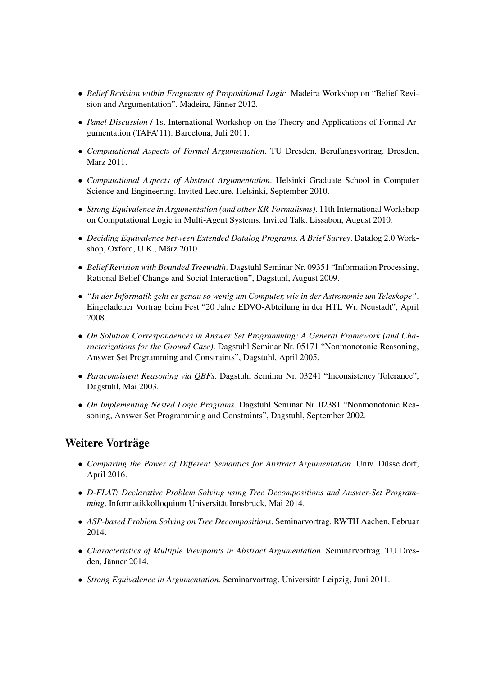- *Belief Revision within Fragments of Propositional Logic*. Madeira Workshop on "Belief Revision and Argumentation". Madeira, Jänner 2012.
- *Panel Discussion* / 1st International Workshop on the Theory and Applications of Formal Argumentation (TAFA'11). Barcelona, Juli 2011.
- *Computational Aspects of Formal Argumentation*. TU Dresden. Berufungsvortrag. Dresden, März 2011.
- *Computational Aspects of Abstract Argumentation*. Helsinki Graduate School in Computer Science and Engineering. Invited Lecture. Helsinki, September 2010.
- *Strong Equivalence in Argumentation (and other KR-Formalisms)*. 11th International Workshop on Computational Logic in Multi-Agent Systems. Invited Talk. Lissabon, August 2010.
- *Deciding Equivalence between Extended Datalog Programs. A Brief Survey*. Datalog 2.0 Workshop, Oxford, U.K., März 2010.
- *Belief Revision with Bounded Treewidth*. Dagstuhl Seminar Nr. 09351 "Information Processing, Rational Belief Change and Social Interaction", Dagstuhl, August 2009.
- *"In der Informatik geht es genau so wenig um Computer, wie in der Astronomie um Teleskope"*. Eingeladener Vortrag beim Fest "20 Jahre EDVO-Abteilung in der HTL Wr. Neustadt", April 2008.
- *On Solution Correspondences in Answer Set Programming: A General Framework (and Characterizations for the Ground Case)*. Dagstuhl Seminar Nr. 05171 "Nonmonotonic Reasoning, Answer Set Programming and Constraints", Dagstuhl, April 2005.
- *Paraconsistent Reasoning via QBFs*. Dagstuhl Seminar Nr. 03241 "Inconsistency Tolerance", Dagstuhl, Mai 2003.
- *On Implementing Nested Logic Programs*. Dagstuhl Seminar Nr. 02381 "Nonmonotonic Reasoning, Answer Set Programming and Constraints", Dagstuhl, September 2002.

## Weitere Vorträge

- *Comparing the Power of Different Semantics for Abstract Argumentation*. Univ. Düsseldorf, April 2016.
- *D-FLAT: Declarative Problem Solving using Tree Decompositions and Answer-Set Programming*. Informatikkolloquium Universität Innsbruck, Mai 2014.
- *ASP-based Problem Solving on Tree Decompositions*. Seminarvortrag. RWTH Aachen, Februar 2014.
- *Characteristics of Multiple Viewpoints in Abstract Argumentation*. Seminarvortrag. TU Dresden. Jänner 2014.
- *Strong Equivalence in Argumentation*. Seminarvortrag. Universitat Leipzig, Juni 2011. ¨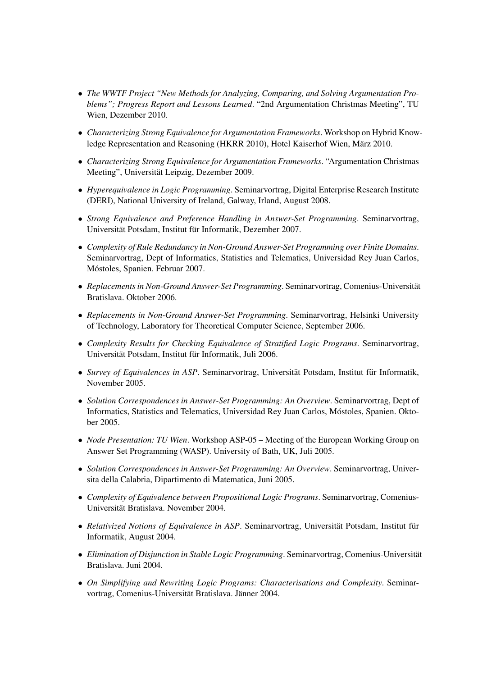- *The WWTF Project "New Methods for Analyzing, Comparing, and Solving Argumentation Problems"; Progress Report and Lessons Learned*. "2nd Argumentation Christmas Meeting", TU Wien, Dezember 2010.
- *Characterizing Strong Equivalence for Argumentation Frameworks*. Workshop on Hybrid Knowledge Representation and Reasoning (HKRR 2010), Hotel Kaiserhof Wien, März 2010.
- *Characterizing Strong Equivalence for Argumentation Frameworks*. "Argumentation Christmas Meeting", Universität Leipzig, Dezember 2009.
- *Hyperequivalence in Logic Programming*. Seminarvortrag, Digital Enterprise Research Institute (DERI), National University of Ireland, Galway, Irland, August 2008.
- *Strong Equivalence and Preference Handling in Answer-Set Programming*. Seminarvortrag, Universität Potsdam, Institut für Informatik, Dezember 2007.
- *Complexity of Rule Redundancy in Non-Ground Answer-Set Programming over Finite Domains*. Seminarvortrag, Dept of Informatics, Statistics and Telematics, Universidad Rey Juan Carlos, Móstoles, Spanien. Februar 2007.
- *Replacements in Non-Ground Answer-Set Programming*. Seminarvortrag, Comenius-Universitat¨ Bratislava. Oktober 2006.
- *Replacements in Non-Ground Answer-Set Programming*. Seminarvortrag, Helsinki University of Technology, Laboratory for Theoretical Computer Science, September 2006.
- *Complexity Results for Checking Equivalence of Stratified Logic Programs*. Seminarvortrag, Universität Potsdam, Institut für Informatik, Juli 2006.
- *Survey of Equivalences in ASP*. Seminarvortrag, Universität Potsdam, Institut für Informatik, November 2005.
- *Solution Correspondences in Answer-Set Programming: An Overview*. Seminarvortrag, Dept of Informatics, Statistics and Telematics, Universidad Rey Juan Carlos, Mostoles, Spanien. Okto- ´ ber 2005.
- *Node Presentation: TU Wien*. Workshop ASP-05 Meeting of the European Working Group on Answer Set Programming (WASP). University of Bath, UK, Juli 2005.
- *Solution Correspondences in Answer-Set Programming: An Overview*. Seminarvortrag, Universita della Calabria, Dipartimento di Matematica, Juni 2005.
- *Complexity of Equivalence between Propositional Logic Programs*. Seminarvortrag, Comenius-Universität Bratislava. November 2004.
- *Relativized Notions of Equivalence in ASP*. Seminarvortrag, Universität Potsdam, Institut für Informatik, August 2004.
- *Elimination of Disjunction in Stable Logic Programming*. Seminarvortrag, Comenius-Universitat¨ Bratislava. Juni 2004.
- *On Simplifying and Rewriting Logic Programs: Characterisations and Complexity*. Seminarvortrag, Comenius-Universität Bratislava. Jänner 2004.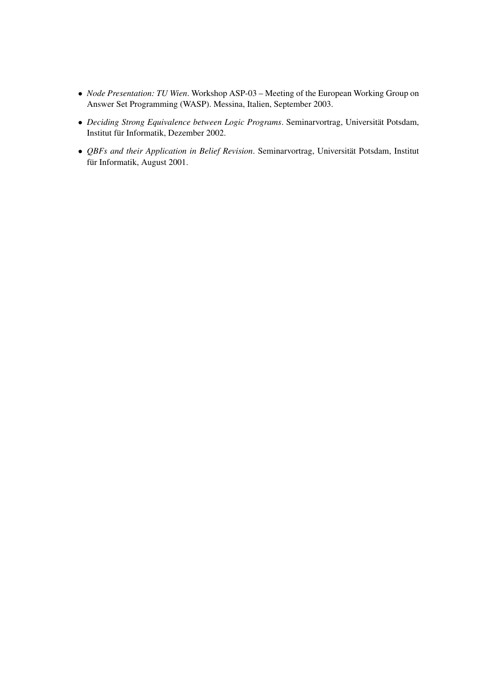- *Node Presentation: TU Wien*. Workshop ASP-03 Meeting of the European Working Group on Answer Set Programming (WASP). Messina, Italien, September 2003.
- *Deciding Strong Equivalence between Logic Programs*. Seminarvortrag, Universitat Potsdam, ¨ Institut für Informatik, Dezember 2002.
- *QBFs and their Application in Belief Revision*. Seminarvortrag, Universität Potsdam, Institut für Informatik, August 2001.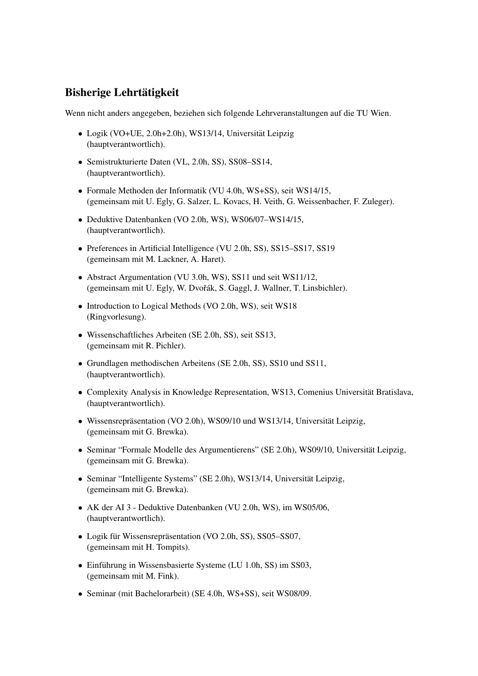## Bisherige Lehrtätigkeit

Wenn nicht anders angegeben, beziehen sich folgende Lehrveranstaltungen auf die TU Wien.

- Logik (VO+UE, 2.0h+2.0h), WS13/14, Universität Leipzig (hauptverantwortlich).
- Semistrukturierte Daten (VL, 2.0h, SS), SS08–SS14, (hauptverantwortlich).
- Formale Methoden der Informatik (VU 4.0h, WS+SS), seit WS14/15, (gemeinsam mit U. Egly, G. Salzer, L. Kovacs, H. Veith, G. Weissenbacher, F. Zuleger).
- Deduktive Datenbanken (VO 2.0h, WS), WS06/07–WS14/15, (hauptverantwortlich).
- Preferences in Artificial Intelligence (VU 2.0h, SS), SS15–SS17, SS19 (gemeinsam mit M. Lackner, A. Haret).
- Abstract Argumentation (VU 3.0h, WS), SS11 und seit WS11/12, (gemeinsam mit U. Egly, W. Dvořák, S. Gaggl, J. Wallner, T. Linsbichler).
- Introduction to Logical Methods (VO 2.0h, WS), seit WS18 (Ringvorlesung).
- Wissenschaftliches Arbeiten (SE 2.0h, SS), seit SS13, (gemeinsam mit R. Pichler).
- Grundlagen methodischen Arbeitens (SE 2.0h, SS), SS10 und SS11, (hauptverantwortlich).
- Complexity Analysis in Knowledge Representation, WS13, Comenius Universität Bratislava, (hauptverantwortlich).
- Wissensrepräsentation (VO 2.0h), WS09/10 und WS13/14, Universität Leipzig, (gemeinsam mit G. Brewka).
- Seminar "Formale Modelle des Argumentierens" (SE 2.0h), WS09/10, Universität Leipzig, (gemeinsam mit G. Brewka).
- Seminar "Intelligente Systems" (SE 2.0h), WS13/14, Universität Leipzig, (gemeinsam mit G. Brewka).
- AK der AI 3 Deduktive Datenbanken (VU 2.0h, WS), im WS05/06, (hauptverantwortlich).
- Logik für Wissensrepräsentation (VO 2.0h, SS), SS05–SS07, (gemeinsam mit H. Tompits).
- Einführung in Wissensbasierte Systeme (LU 1.0h, SS) im SS03, (gemeinsam mit M. Fink).
- Seminar (mit Bachelorarbeit) (SE 4.0h, WS+SS), seit WS08/09.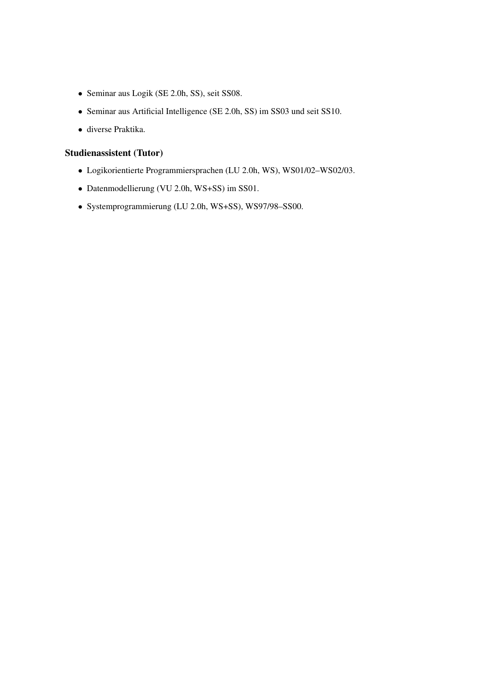- Seminar aus Logik (SE 2.0h, SS), seit SS08.
- Seminar aus Artificial Intelligence (SE 2.0h, SS) im SS03 und seit SS10.
- diverse Praktika.

### Studienassistent (Tutor)

- Logikorientierte Programmiersprachen (LU 2.0h, WS), WS01/02–WS02/03.
- Datenmodellierung (VU 2.0h, WS+SS) im SS01.
- Systemprogrammierung (LU 2.0h, WS+SS), WS97/98–SS00.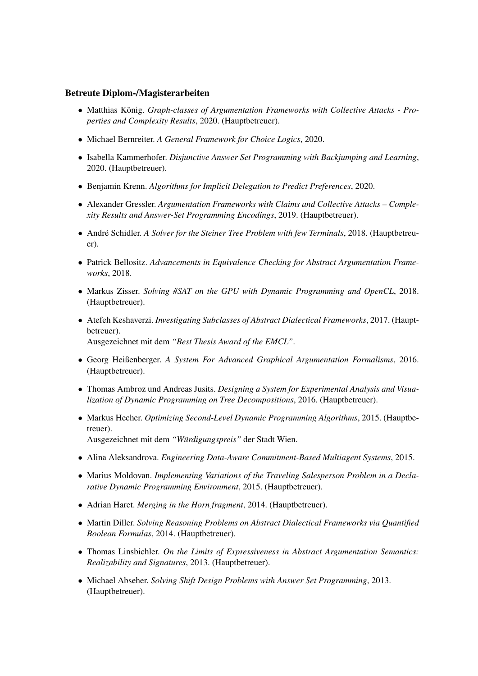### Betreute Diplom-/Magisterarbeiten

- Matthias König. Graph-classes of Argumentation Frameworks with Collective Attacks Pro*perties and Complexity Results*, 2020. (Hauptbetreuer).
- Michael Bernreiter. *A General Framework for Choice Logics*, 2020.
- Isabella Kammerhofer. *Disjunctive Answer Set Programming with Backjumping and Learning*, 2020. (Hauptbetreuer).
- Benjamin Krenn. *Algorithms for Implicit Delegation to Predict Preferences*, 2020.
- Alexander Gressler. *Argumentation Frameworks with Claims and Collective Attacks Complexity Results and Answer-Set Programming Encodings*, 2019. (Hauptbetreuer).
- André Schidler. *A Solver for the Steiner Tree Problem with few Terminals*, 2018. (Hauptbetreuer).
- Patrick Bellositz. *Advancements in Equivalence Checking for Abstract Argumentation Frameworks*, 2018.
- Markus Zisser. *Solving #SAT on the GPU with Dynamic Programming and OpenCL*, 2018. (Hauptbetreuer).
- Atefeh Keshaverzi. *Investigating Subclasses of Abstract Dialectical Frameworks*, 2017. (Hauptbetreuer). Ausgezeichnet mit dem *"Best Thesis Award of the EMCL"*.
- Georg Heißenberger. *A System For Advanced Graphical Argumentation Formalisms*, 2016. (Hauptbetreuer).
- Thomas Ambroz und Andreas Jusits. *Designing a System for Experimental Analysis and Visualization of Dynamic Programming on Tree Decompositions*, 2016. (Hauptbetreuer).
- Markus Hecher. *Optimizing Second-Level Dynamic Programming Algorithms*, 2015. (Hauptbetreuer). Ausgezeichnet mit dem "Würdigungspreis" der Stadt Wien.
- Alina Aleksandrova. *Engineering Data-Aware Commitment-Based Multiagent Systems*, 2015.
- Marius Moldovan. *Implementing Variations of the Traveling Salesperson Problem in a Declarative Dynamic Programming Environment*, 2015. (Hauptbetreuer).
- Adrian Haret. *Merging in the Horn fragment*, 2014. (Hauptbetreuer).
- Martin Diller. *Solving Reasoning Problems on Abstract Dialectical Frameworks via Quantified Boolean Formulas*, 2014. (Hauptbetreuer).
- Thomas Linsbichler. *On the Limits of Expressiveness in Abstract Argumentation Semantics: Realizability and Signatures*, 2013. (Hauptbetreuer).
- Michael Abseher. *Solving Shift Design Problems with Answer Set Programming*, 2013. (Hauptbetreuer).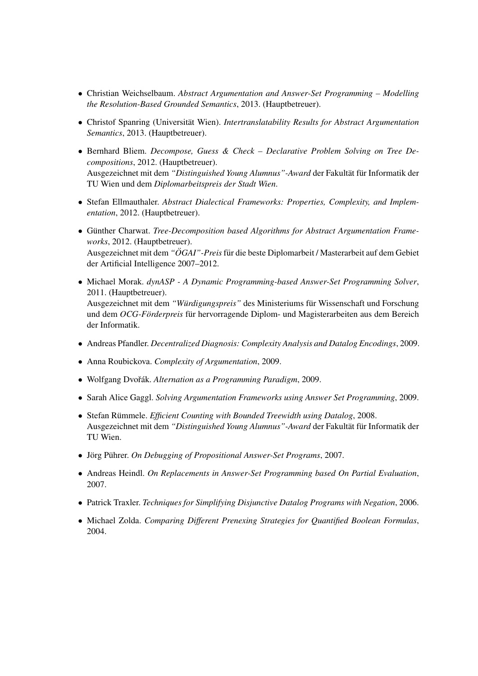- Christian Weichselbaum. *Abstract Argumentation and Answer-Set Programming Modelling the Resolution-Based Grounded Semantics*, 2013. (Hauptbetreuer).
- Christof Spanring (Universität Wien). *Intertranslatability Results for Abstract Argumentation Semantics*, 2013. (Hauptbetreuer).
- Bernhard Bliem. *Decompose, Guess & Check Declarative Problem Solving on Tree Decompositions*, 2012. (Hauptbetreuer). Ausgezeichnet mit dem "*Distinguished Young Alumnus"-Award* der Fakultät für Informatik der TU Wien und dem *Diplomarbeitspreis der Stadt Wien*.
- Stefan Ellmauthaler. *Abstract Dialectical Frameworks: Properties, Complexity, and Implementation*, 2012. (Hauptbetreuer).
- Günther Charwat. *Tree-Decomposition based Algorithms for Abstract Argumentation Frameworks*, 2012. (Hauptbetreuer). Ausgezeichnet mit dem "ÖGAI"-Preis für die beste Diplomarbeit / Masterarbeit auf dem Gebiet der Artificial Intelligence 2007–2012.
- Michael Morak. *dynASP A Dynamic Programming-based Answer-Set Programming Solver*, 2011. (Hauptbetreuer). Ausgezeichnet mit dem *"Wurdigungspreis" ¨* des Ministeriums fur Wissenschaft und Forschung ¨ und dem *OCG-Förderpreis* für hervorragende Diplom- und Magisterarbeiten aus dem Bereich der Informatik.
- Andreas Pfandler. *Decentralized Diagnosis: Complexity Analysis and Datalog Encodings*, 2009.
- Anna Roubickova. *Complexity of Argumentation*, 2009.
- Wolfgang Dvořák. Alternation as a Programming Paradigm, 2009.
- Sarah Alice Gaggl. *Solving Argumentation Frameworks using Answer Set Programming*, 2009.
- Stefan Rümmele. *Efficient Counting with Bounded Treewidth using Datalog*, 2008. Ausgezeichnet mit dem *"Distinguished Young Alumnus"-Award* der Fakultät für Informatik der TU Wien.
- Jörg Pührer. On Debugging of Propositional Answer-Set Programs, 2007.
- Andreas Heindl. *On Replacements in Answer-Set Programming based On Partial Evaluation*, 2007.
- Patrick Traxler. *Techniques for Simplifying Disjunctive Datalog Programs with Negation*, 2006.
- Michael Zolda. *Comparing Different Prenexing Strategies for Quantified Boolean Formulas*, 2004.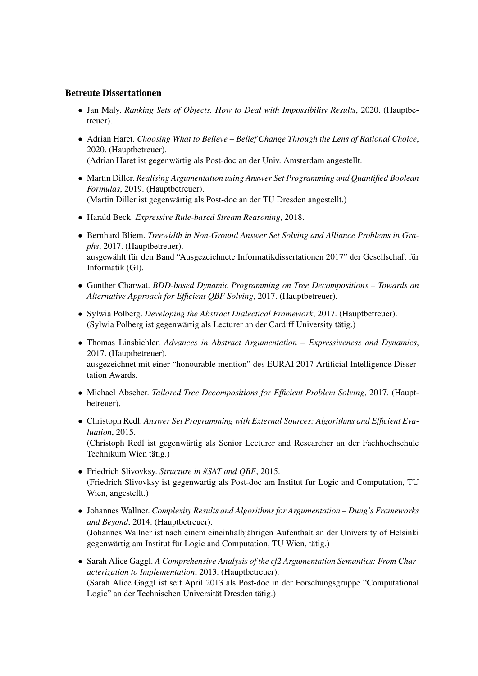### Betreute Dissertationen

- Jan Maly. *Ranking Sets of Objects. How to Deal with Impossibility Results*, 2020. (Hauptbetreuer).
- Adrian Haret. *Choosing What to Believe Belief Change Through the Lens of Rational Choice*, 2020. (Hauptbetreuer).

(Adrian Haret ist gegenwärtig als Post-doc an der Univ. Amsterdam angestellt.

- Martin Diller. *Realising Argumentation using Answer Set Programming and Quantified Boolean Formulas*, 2019. (Hauptbetreuer). (Martin Diller ist gegenwartig als Post-doc an der TU Dresden angestellt.) ¨
- Harald Beck. *Expressive Rule-based Stream Reasoning*, 2018.
- Bernhard Bliem. *Treewidth in Non-Ground Answer Set Solving and Alliance Problems in Graphs*, 2017. (Hauptbetreuer). ausgewählt für den Band "Ausgezeichnete Informatikdissertationen 2017" der Gesellschaft für Informatik (GI).
- Günther Charwat. *BDD-based Dynamic Programming on Tree Decompositions Towards an Alternative Approach for Efficient QBF Solving*, 2017. (Hauptbetreuer).
- Sylwia Polberg. *Developing the Abstract Dialectical Framework*, 2017. (Hauptbetreuer). (Sylwia Polberg ist gegenwärtig als Lecturer an der Cardiff University tätig.)
- Thomas Linsbichler. *Advances in Abstract Argumentation Expressiveness and Dynamics*, 2017. (Hauptbetreuer). ausgezeichnet mit einer "honourable mention" des EURAI 2017 Artificial Intelligence Dissertation Awards.
- Michael Abseher. *Tailored Tree Decompositions for Efficient Problem Solving*, 2017. (Hauptbetreuer).
- Christoph Redl. *Answer Set Programming with External Sources: Algorithms and Efficient Evaluation*, 2015. (Christoph Redl ist gegenwartig als Senior Lecturer and Researcher an der Fachhochschule ¨ Technikum Wien tätig.)
- Friedrich Slivovksy. *Structure in #SAT and QBF*, 2015. (Friedrich Slivovksy ist gegenwärtig als Post-doc am Institut für Logic and Computation, TU Wien, angestellt.)
- Johannes Wallner. *Complexity Results and Algorithms for Argumentation Dung's Frameworks and Beyond*, 2014. (Hauptbetreuer). (Johannes Wallner ist nach einem eineinhalbjahrigen Aufenthalt an der University of Helsinki ¨ gegenwärtig am Institut für Logic and Computation, TU Wien, tätig.)
- Sarah Alice Gaggl. *A Comprehensive Analysis of the cf2 Argumentation Semantics: From Characterization to Implementation*, 2013. (Hauptbetreuer). (Sarah Alice Gaggl ist seit April 2013 als Post-doc in der Forschungsgruppe "Computational Logic" an der Technischen Universität Dresden tätig.)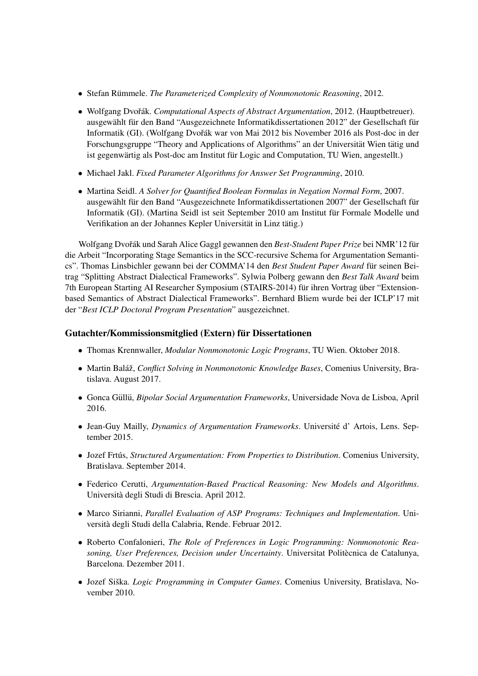- Stefan Rümmele. *The Parameterized Complexity of Nonmonotonic Reasoning*, 2012.
- Wolfgang Dvořák. Computational Aspects of Abstract Argumentation, 2012. (Hauptbetreuer). ausgewählt für den Band "Ausgezeichnete Informatikdissertationen 2012" der Gesellschaft für Informatik (GI). (Wolfgang Dvořák war von Mai 2012 bis November 2016 als Post-doc in der Forschungsgruppe "Theory and Applications of Algorithms" an der Universität Wien tätig und ist gegenwärtig als Post-doc am Institut für Logic and Computation, TU Wien, angestellt.)
- Michael Jakl. *Fixed Parameter Algorithms for Answer Set Programming*, 2010.
- Martina Seidl. *A Solver for Quantified Boolean Formulas in Negation Normal Form*, 2007. ausgewählt für den Band "Ausgezeichnete Informatikdissertationen 2007" der Gesellschaft für Informatik (GI). (Martina Seidl ist seit September 2010 am Institut fur Formale Modelle und ¨ Verifikation an der Johannes Kepler Universität in Linz tätig.)

Wolfgang Dvořák und Sarah Alice Gaggl gewannen den Best-Student Paper Prize bei NMR'12 für die Arbeit "Incorporating Stage Semantics in the SCC-recursive Schema for Argumentation Semantics". Thomas Linsbichler gewann bei der COMMA'14 den *Best Student Paper Award* für seinen Beitrag "Splitting Abstract Dialectical Frameworks". Sylwia Polberg gewann den *Best Talk Award* beim 7th European Starting AI Researcher Symposium (STAIRS-2014) für ihren Vortrag über "Extensionbased Semantics of Abstract Dialectical Frameworks". Bernhard Bliem wurde bei der ICLP'17 mit der "*Best ICLP Doctoral Program Presentation*" ausgezeichnet.

### Gutachter/Kommissionsmitglied (Extern) für Dissertationen

- Thomas Krennwaller, *Modular Nonmonotonic Logic Programs*, TU Wien. Oktober 2018.
- Martin Baláž, *Conflict Solving in Nonmonotonic Knowledge Bases*, Comenius University, Bratislava. August 2017.
- Gonca Güllü, *Bipolar Social Argumentation Frameworks*, Universidade Nova de Lisboa, April 2016.
- Jean-Guy Mailly, *Dynamics of Argumentation Frameworks*. Universite d' Artois, Lens. Sep- ´ tember 2015.
- Jozef Frtús, *Structured Argumentation: From Properties to Distribution*. Comenius University, Bratislava. September 2014.
- Federico Cerutti, *Argumentation-Based Practical Reasoning: New Models and Algorithms*. Universita degli Studi di Brescia. April 2012. `
- Marco Sirianni, *Parallel Evaluation of ASP Programs: Techniques and Implementation*. Universita degli Studi della Calabria, Rende. Februar 2012. `
- Roberto Confalonieri, *The Role of Preferences in Logic Programming: Nonmonotonic Reasoning, User Preferences, Decision under Uncertainty*. Universitat Politecnica de Catalunya, ` Barcelona. Dezember 2011.
- Jozef Siška. *Logic Programming in Computer Games*. Comenius University, Bratislava, November 2010.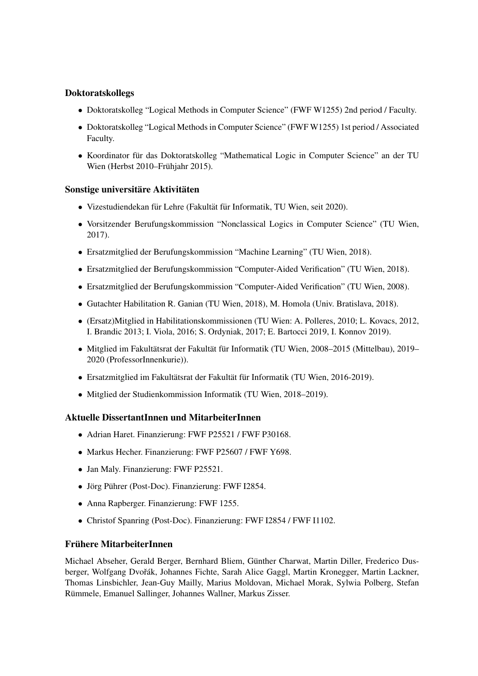## Doktoratskollegs

- Doktoratskolleg "Logical Methods in Computer Science" (FWF W1255) 2nd period / Faculty.
- Doktoratskolleg "Logical Methods in Computer Science" (FWF W1255) 1st period / Associated Faculty.
- Koordinator für das Doktoratskolleg "Mathematical Logic in Computer Science" an der TU Wien (Herbst 2010–Frühjahr 2015).

### Sonstige universitäre Aktivitäten

- Vizestudiendekan für Lehre (Fakultät für Informatik, TU Wien, seit 2020).
- Vorsitzender Berufungskommission "Nonclassical Logics in Computer Science" (TU Wien, 2017).
- Ersatzmitglied der Berufungskommission "Machine Learning" (TU Wien, 2018).
- Ersatzmitglied der Berufungskommission "Computer-Aided Verification" (TU Wien, 2018).
- Ersatzmitglied der Berufungskommission "Computer-Aided Verification" (TU Wien, 2008).
- Gutachter Habilitation R. Ganian (TU Wien, 2018), M. Homola (Univ. Bratislava, 2018).
- (Ersatz)Mitglied in Habilitationskommissionen (TU Wien: A. Polleres, 2010; L. Kovacs, 2012, I. Brandic 2013; I. Viola, 2016; S. Ordyniak, 2017; E. Bartocci 2019, I. Konnov 2019).
- Mitglied im Fakultätsrat der Fakultät für Informatik (TU Wien, 2008–2015 (Mittelbau), 2019– 2020 (ProfessorInnenkurie)).
- Ersatzmitglied im Fakultätsrat der Fakultät für Informatik (TU Wien, 2016-2019).
- Mitglied der Studienkommission Informatik (TU Wien, 2018–2019).

### Aktuelle DissertantInnen und MitarbeiterInnen

- Adrian Haret. Finanzierung: FWF P25521 / FWF P30168.
- Markus Hecher. Finanzierung: FWF P25607 / FWF Y698.
- Jan Maly. Finanzierung: FWF P25521.
- Jörg Pührer (Post-Doc). Finanzierung: FWF I2854.
- Anna Rapberger. Finanzierung: FWF 1255.
- Christof Spanring (Post-Doc). Finanzierung: FWF I2854 / FWF I1102.

## Frühere MitarbeiterInnen

Michael Abseher, Gerald Berger, Bernhard Bliem, Gunther Charwat, Martin Diller, Frederico Dus- ¨ berger, Wolfgang Dvořák, Johannes Fichte, Sarah Alice Gaggl, Martin Kronegger, Martin Lackner, Thomas Linsbichler, Jean-Guy Mailly, Marius Moldovan, Michael Morak, Sylwia Polberg, Stefan Rümmele, Emanuel Sallinger, Johannes Wallner, Markus Zisser.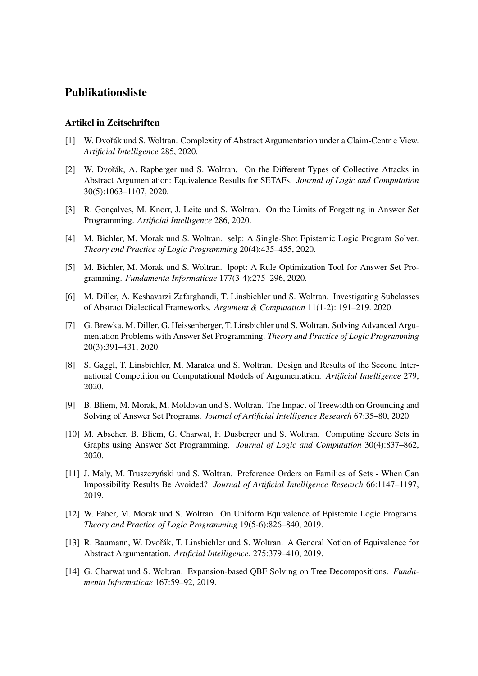## Publikationsliste

### Artikel in Zeitschriften

- [1] W. Dvořák und S. Woltran. Complexity of Abstract Argumentation under a Claim-Centric View. *Artificial Intelligence* 285, 2020.
- [2] W. Dvořák, A. Rapberger und S. Woltran. On the Different Types of Collective Attacks in Abstract Argumentation: Equivalence Results for SETAFs. *Journal of Logic and Computation* 30(5):1063–1107, 2020.
- [3] R. Gonçalves, M. Knorr, J. Leite und S. Woltran. On the Limits of Forgetting in Answer Set Programming. *Artificial Intelligence* 286, 2020.
- [4] M. Bichler, M. Morak und S. Woltran. selp: A Single-Shot Epistemic Logic Program Solver. *Theory and Practice of Logic Programming* 20(4):435–455, 2020.
- [5] M. Bichler, M. Morak und S. Woltran. lpopt: A Rule Optimization Tool for Answer Set Programming. *Fundamenta Informaticae* 177(3-4):275–296, 2020.
- [6] M. Diller, A. Keshavarzi Zafarghandi, T. Linsbichler und S. Woltran. Investigating Subclasses of Abstract Dialectical Frameworks. *Argument & Computation* 11(1-2): 191–219. 2020.
- [7] G. Brewka, M. Diller, G. Heissenberger, T. Linsbichler und S. Woltran. Solving Advanced Argumentation Problems with Answer Set Programming. *Theory and Practice of Logic Programming* 20(3):391–431, 2020.
- [8] S. Gaggl, T. Linsbichler, M. Maratea und S. Woltran. Design and Results of the Second International Competition on Computational Models of Argumentation. *Artificial Intelligence* 279, 2020.
- [9] B. Bliem, M. Morak, M. Moldovan und S. Woltran. The Impact of Treewidth on Grounding and Solving of Answer Set Programs. *Journal of Artificial Intelligence Research* 67:35–80, 2020.
- [10] M. Abseher, B. Bliem, G. Charwat, F. Dusberger und S. Woltran. Computing Secure Sets in Graphs using Answer Set Programming. *Journal of Logic and Computation* 30(4):837–862, 2020.
- [11] J. Maly, M. Truszczynski und S. Woltran. Preference Orders on Families of Sets When Can ´ Impossibility Results Be Avoided? *Journal of Artificial Intelligence Research* 66:1147–1197, 2019.
- [12] W. Faber, M. Morak und S. Woltran. On Uniform Equivalence of Epistemic Logic Programs. *Theory and Practice of Logic Programming* 19(5-6):826–840, 2019.
- [13] R. Baumann, W. Dvořák, T. Linsbichler und S. Woltran. A General Notion of Equivalence for Abstract Argumentation. *Artificial Intelligence*, 275:379–410, 2019.
- [14] G. Charwat und S. Woltran. Expansion-based QBF Solving on Tree Decompositions. *Fundamenta Informaticae* 167:59–92, 2019.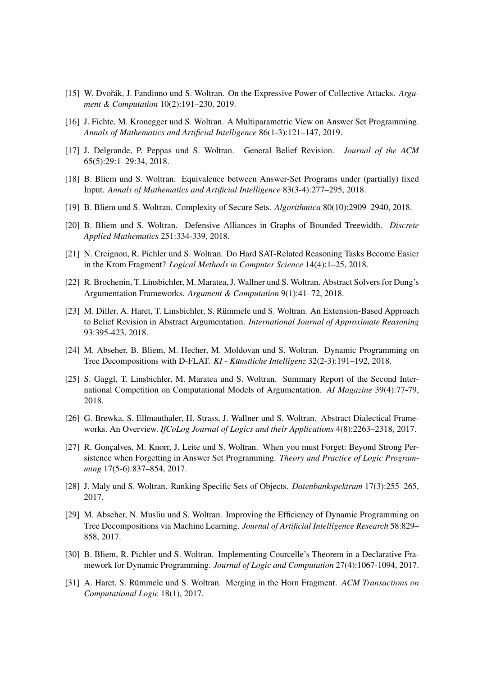- [15] W. Dvořák, J. Fandinno und S. Woltran. On the Expressive Power of Collective Attacks. *Argument & Computation* 10(2):191–230, 2019.
- [16] J. Fichte, M. Kronegger und S. Woltran. A Multiparametric View on Answer Set Programming. *Annals of Mathematics and Artificial Intelligence* 86(1-3):121–147, 2019.
- [17] J. Delgrande, P. Peppas und S. Woltran. General Belief Revision. *Journal of the ACM* 65(5):29:1–29:34, 2018.
- [18] B. Bliem und S. Woltran. Equivalence between Answer-Set Programs under (partially) fixed Input. *Annals of Mathematics and Artificial Intelligence* 83(3-4):277–295, 2018.
- [19] B. Bliem und S. Woltran. Complexity of Secure Sets. *Algorithmica* 80(10):2909–2940, 2018.
- [20] B. Bliem und S. Woltran. Defensive Alliances in Graphs of Bounded Treewidth. *Discrete Applied Mathematics* 251:334-339, 2018.
- [21] N. Creignou, R. Pichler und S. Woltran. Do Hard SAT-Related Reasoning Tasks Become Easier in the Krom Fragment? *Logical Methods in Computer Science* 14(4):1–25, 2018.
- [22] R. Brochenin, T. Linsbichler, M. Maratea, J. Wallner und S. Woltran. Abstract Solvers for Dung's Argumentation Frameworks. *Argument & Computation* 9(1):41–72, 2018.
- [23] M. Diller, A. Haret, T. Linsbichler, S. Rümmele und S. Woltran. An Extension-Based Approach to Belief Revision in Abstract Argumentation. *International Journal of Approximate Reasoning* 93:395-423, 2018.
- [24] M. Abseher, B. Bliem, M. Hecher, M. Moldovan und S. Woltran. Dynamic Programming on Tree Decompositions with D-FLAT. *KI - Künstliche Intelligenz* 32(2-3):191–192, 2018.
- [25] S. Gaggl, T. Linsbichler, M. Maratea und S. Woltran. Summary Report of the Second International Competition on Computational Models of Argumentation. *AI Magazine* 39(4):77-79, 2018.
- [26] G. Brewka, S. Ellmauthaler, H. Strass, J. Wallner und S. Woltran. Abstract Dialectical Frameworks. An Overview. *IfCoLog Journal of Logics and their Applications* 4(8):2263–2318, 2017.
- [27] R. Gonçalves, M. Knorr, J. Leite und S. Woltran. When you must Forget: Beyond Strong Persistence when Forgetting in Answer Set Programming. *Theory and Practice of Logic Programming* 17(5-6):837–854, 2017.
- [28] J. Maly und S. Woltran. Ranking Specific Sets of Objects. *Datenbankspektrum* 17(3):255–265, 2017.
- [29] M. Abseher, N. Musliu und S. Woltran. Improving the Efficiency of Dynamic Programming on Tree Decompositions via Machine Learning. *Journal of Artificial Intelligence Research* 58:829– 858, 2017.
- [30] B. Bliem, R. Pichler und S. Woltran. Implementing Courcelle's Theorem in a Declarative Framework for Dynamic Programming. *Journal of Logic and Computation* 27(4):1067-1094, 2017.
- [31] A. Haret, S. Rümmele und S. Woltran. Merging in the Horn Fragment. ACM Transactions on *Computational Logic* 18(1), 2017.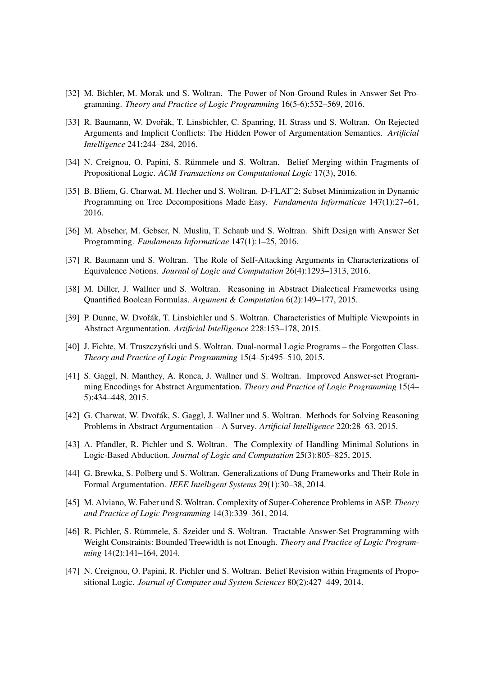- [32] M. Bichler, M. Morak und S. Woltran. The Power of Non-Ground Rules in Answer Set Programming. *Theory and Practice of Logic Programming* 16(5-6):552–569, 2016.
- [33] R. Baumann, W. Dvořák, T. Linsbichler, C. Spanring, H. Strass und S. Woltran. On Rejected Arguments and Implicit Conflicts: The Hidden Power of Argumentation Semantics. *Artificial Intelligence* 241:244–284, 2016.
- [34] N. Creignou, O. Papini, S. Rümmele und S. Woltran. Belief Merging within Fragments of Propositional Logic. *ACM Transactions on Computational Logic* 17(3), 2016.
- [35] B. Bliem, G. Charwat, M. Hecher und S. Woltran. D-FLATˆ2: Subset Minimization in Dynamic Programming on Tree Decompositions Made Easy. *Fundamenta Informaticae* 147(1):27–61, 2016.
- [36] M. Abseher, M. Gebser, N. Musliu, T. Schaub und S. Woltran. Shift Design with Answer Set Programming. *Fundamenta Informaticae* 147(1):1–25, 2016.
- [37] R. Baumann und S. Woltran. The Role of Self-Attacking Arguments in Characterizations of Equivalence Notions. *Journal of Logic and Computation* 26(4):1293–1313, 2016.
- [38] M. Diller, J. Wallner und S. Woltran. Reasoning in Abstract Dialectical Frameworks using Quantified Boolean Formulas. *Argument & Computation* 6(2):149–177, 2015.
- [39] P. Dunne, W. Dvořák, T. Linsbichler und S. Woltran. Characteristics of Multiple Viewpoints in Abstract Argumentation. *Artificial Intelligence* 228:153–178, 2015.
- [40] J. Fichte, M. Truszczyński und S. Woltran. Dual-normal Logic Programs the Forgotten Class. *Theory and Practice of Logic Programming* 15(4–5):495–510, 2015.
- [41] S. Gaggl, N. Manthey, A. Ronca, J. Wallner und S. Woltran. Improved Answer-set Programming Encodings for Abstract Argumentation. *Theory and Practice of Logic Programming* 15(4– 5):434–448, 2015.
- [42] G. Charwat, W. Dvořák, S. Gaggl, J. Wallner und S. Woltran. Methods for Solving Reasoning Problems in Abstract Argumentation – A Survey. *Artificial Intelligence* 220:28–63, 2015.
- [43] A. Pfandler, R. Pichler und S. Woltran. The Complexity of Handling Minimal Solutions in Logic-Based Abduction. *Journal of Logic and Computation* 25(3):805–825, 2015.
- [44] G. Brewka, S. Polberg und S. Woltran. Generalizations of Dung Frameworks and Their Role in Formal Argumentation. *IEEE Intelligent Systems* 29(1):30–38, 2014.
- [45] M. Alviano, W. Faber und S. Woltran. Complexity of Super-Coherence Problems in ASP. *Theory and Practice of Logic Programming* 14(3):339–361, 2014.
- [46] R. Pichler, S. Rümmele, S. Szeider und S. Woltran. Tractable Answer-Set Programming with Weight Constraints: Bounded Treewidth is not Enough. *Theory and Practice of Logic Programming* 14(2):141–164, 2014.
- [47] N. Creignou, O. Papini, R. Pichler und S. Woltran. Belief Revision within Fragments of Propositional Logic. *Journal of Computer and System Sciences* 80(2):427–449, 2014.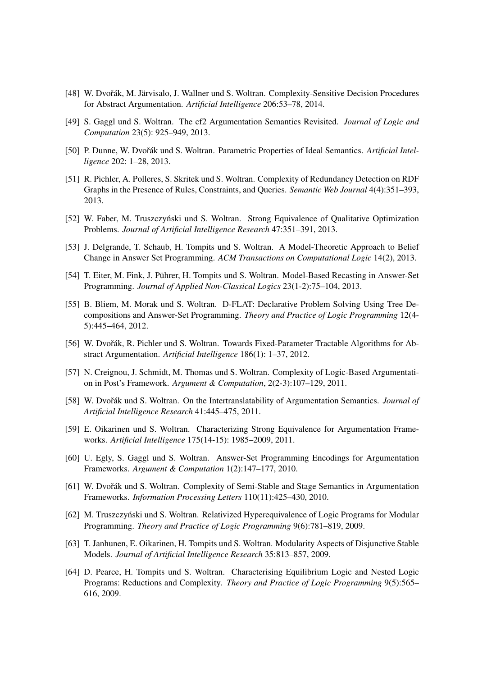- [48] W. Dvořák, M. Järvisalo, J. Wallner und S. Woltran. Complexity-Sensitive Decision Procedures for Abstract Argumentation. *Artificial Intelligence* 206:53–78, 2014.
- [49] S. Gaggl und S. Woltran. The cf2 Argumentation Semantics Revisited. *Journal of Logic and Computation* 23(5): 925–949, 2013.
- [50] P. Dunne, W. Dvořák und S. Woltran. Parametric Properties of Ideal Semantics. *Artificial Intelligence* 202: 1–28, 2013.
- [51] R. Pichler, A. Polleres, S. Skritek und S. Woltran. Complexity of Redundancy Detection on RDF Graphs in the Presence of Rules, Constraints, and Queries. *Semantic Web Journal* 4(4):351–393, 2013.
- [52] W. Faber, M. Truszczyński und S. Woltran. Strong Equivalence of Qualitative Optimization Problems. *Journal of Artificial Intelligence Research* 47:351–391, 2013.
- [53] J. Delgrande, T. Schaub, H. Tompits und S. Woltran. A Model-Theoretic Approach to Belief Change in Answer Set Programming. *ACM Transactions on Computational Logic* 14(2), 2013.
- [54] T. Eiter, M. Fink, J. Pührer, H. Tompits und S. Woltran. Model-Based Recasting in Answer-Set Programming. *Journal of Applied Non-Classical Logics* 23(1-2):75–104, 2013.
- [55] B. Bliem, M. Morak und S. Woltran. D-FLAT: Declarative Problem Solving Using Tree Decompositions and Answer-Set Programming. *Theory and Practice of Logic Programming* 12(4- 5):445–464, 2012.
- [56] W. Dvořák, R. Pichler und S. Woltran. Towards Fixed-Parameter Tractable Algorithms for Abstract Argumentation. *Artificial Intelligence* 186(1): 1–37, 2012.
- [57] N. Creignou, J. Schmidt, M. Thomas und S. Woltran. Complexity of Logic-Based Argumentation in Post's Framework. *Argument & Computation*, 2(2-3):107–129, 2011.
- [58] W. Dvořák und S. Woltran. On the Intertranslatability of Argumentation Semantics. *Journal of Artificial Intelligence Research* 41:445–475, 2011.
- [59] E. Oikarinen und S. Woltran. Characterizing Strong Equivalence for Argumentation Frameworks. *Artificial Intelligence* 175(14-15): 1985–2009, 2011.
- [60] U. Egly, S. Gaggl und S. Woltran. Answer-Set Programming Encodings for Argumentation Frameworks. *Argument & Computation* 1(2):147–177, 2010.
- [61] W. Dvořák und S. Woltran. Complexity of Semi-Stable and Stage Semantics in Argumentation Frameworks. *Information Processing Letters* 110(11):425–430, 2010.
- [62] M. Truszczyński und S. Woltran. Relativized Hyperequivalence of Logic Programs for Modular Programming. *Theory and Practice of Logic Programming* 9(6):781–819, 2009.
- [63] T. Janhunen, E. Oikarinen, H. Tompits und S. Woltran. Modularity Aspects of Disjunctive Stable Models. *Journal of Artificial Intelligence Research* 35:813–857, 2009.
- [64] D. Pearce, H. Tompits und S. Woltran. Characterising Equilibrium Logic and Nested Logic Programs: Reductions and Complexity. *Theory and Practice of Logic Programming* 9(5):565– 616, 2009.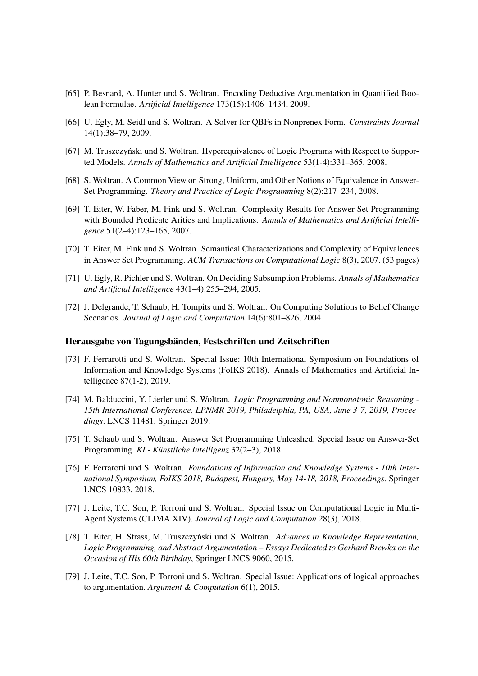- [65] P. Besnard, A. Hunter und S. Woltran. Encoding Deductive Argumentation in Quantified Boolean Formulae. *Artificial Intelligence* 173(15):1406–1434, 2009.
- [66] U. Egly, M. Seidl und S. Woltran. A Solver for QBFs in Nonprenex Form. *Constraints Journal* 14(1):38–79, 2009.
- [67] M. Truszczyński und S. Woltran. Hyperequivalence of Logic Programs with Respect to Supported Models. *Annals of Mathematics and Artificial Intelligence* 53(1-4):331–365, 2008.
- [68] S. Woltran. A Common View on Strong, Uniform, and Other Notions of Equivalence in Answer-Set Programming. *Theory and Practice of Logic Programming* 8(2):217–234, 2008.
- [69] T. Eiter, W. Faber, M. Fink und S. Woltran. Complexity Results for Answer Set Programming with Bounded Predicate Arities and Implications. *Annals of Mathematics and Artificial Intelligence* 51(2–4):123–165, 2007.
- [70] T. Eiter, M. Fink und S. Woltran. Semantical Characterizations and Complexity of Equivalences in Answer Set Programming. *ACM Transactions on Computational Logic* 8(3), 2007. (53 pages)
- [71] U. Egly, R. Pichler und S. Woltran. On Deciding Subsumption Problems. *Annals of Mathematics and Artificial Intelligence* 43(1–4):255–294, 2005.
- [72] J. Delgrande, T. Schaub, H. Tompits und S. Woltran. On Computing Solutions to Belief Change Scenarios. *Journal of Logic and Computation* 14(6):801–826, 2004.

#### Herausgabe von Tagungsbänden, Festschriften und Zeitschriften

- [73] F. Ferrarotti und S. Woltran. Special Issue: 10th International Symposium on Foundations of Information and Knowledge Systems (FoIKS 2018). Annals of Mathematics and Artificial Intelligence 87(1-2), 2019.
- [74] M. Balduccini, Y. Lierler und S. Woltran. *Logic Programming and Nonmonotonic Reasoning - 15th International Conference, LPNMR 2019, Philadelphia, PA, USA, June 3-7, 2019, Proceedings*. LNCS 11481, Springer 2019.
- [75] T. Schaub und S. Woltran. Answer Set Programming Unleashed. Special Issue on Answer-Set Programming. *KI - Künstliche Intelligenz* 32(2–3), 2018.
- [76] F. Ferrarotti und S. Woltran. *Foundations of Information and Knowledge Systems 10th International Symposium, FoIKS 2018, Budapest, Hungary, May 14-18, 2018, Proceedings*. Springer LNCS 10833, 2018.
- [77] J. Leite, T.C. Son, P. Torroni und S. Woltran. Special Issue on Computational Logic in Multi-Agent Systems (CLIMA XIV). *Journal of Logic and Computation* 28(3), 2018.
- [78] T. Eiter, H. Strass, M. Truszczynski und S. Woltran. ´ *Advances in Knowledge Representation, Logic Programming, and Abstract Argumentation – Essays Dedicated to Gerhard Brewka on the Occasion of His 60th Birthday*, Springer LNCS 9060, 2015.
- [79] J. Leite, T.C. Son, P. Torroni und S. Woltran. Special Issue: Applications of logical approaches to argumentation. *Argument & Computation* 6(1), 2015.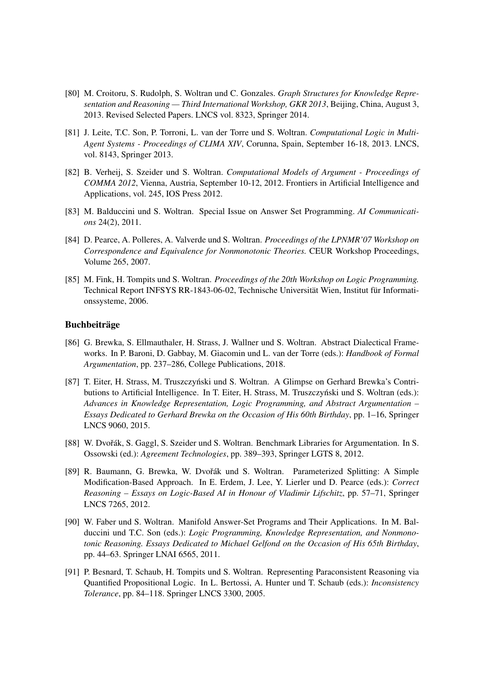- [80] M. Croitoru, S. Rudolph, S. Woltran und C. Gonzales. *Graph Structures for Knowledge Representation and Reasoning — Third International Workshop, GKR 2013*, Beijing, China, August 3, 2013. Revised Selected Papers. LNCS vol. 8323, Springer 2014.
- [81] J. Leite, T.C. Son, P. Torroni, L. van der Torre und S. Woltran. *Computational Logic in Multi-Agent Systems - Proceedings of CLIMA XIV*, Corunna, Spain, September 16-18, 2013. LNCS, vol. 8143, Springer 2013.
- [82] B. Verheij, S. Szeider und S. Woltran. *Computational Models of Argument Proceedings of COMMA 2012*, Vienna, Austria, September 10-12, 2012. Frontiers in Artificial Intelligence and Applications, vol. 245, IOS Press 2012.
- [83] M. Balduccini und S. Woltran. Special Issue on Answer Set Programming. *AI Communications* 24(2), 2011.
- [84] D. Pearce, A. Polleres, A. Valverde und S. Woltran. *Proceedings of the LPNMR'07 Workshop on Correspondence and Equivalence for Nonmonotonic Theories.* CEUR Workshop Proceedings, Volume 265, 2007.
- [85] M. Fink, H. Tompits und S. Woltran. *Proceedings of the 20th Workshop on Logic Programming.* Technical Report INFSYS RR-1843-06-02, Technische Universität Wien, Institut für Informationssysteme, 2006.

#### **Buchbeiträge**

- [86] G. Brewka, S. Ellmauthaler, H. Strass, J. Wallner und S. Woltran. Abstract Dialectical Frameworks. In P. Baroni, D. Gabbay, M. Giacomin und L. van der Torre (eds.): *Handbook of Formal Argumentation*, pp. 237–286, College Publications, 2018.
- [87] T. Eiter, H. Strass, M. Truszczyński und S. Woltran. A Glimpse on Gerhard Brewka's Contributions to Artificial Intelligence. In T. Eiter, H. Strass, M. Truszczyński und S. Woltran (eds.): *Advances in Knowledge Representation, Logic Programming, and Abstract Argumentation – Essays Dedicated to Gerhard Brewka on the Occasion of His 60th Birthday*, pp. 1–16, Springer LNCS 9060, 2015.
- [88] W. Dvořák, S. Gaggl, S. Szeider und S. Woltran. Benchmark Libraries for Argumentation. In S. Ossowski (ed.): *Agreement Technologies*, pp. 389–393, Springer LGTS 8, 2012.
- [89] R. Baumann, G. Brewka, W. Dvořák und S. Woltran. Parameterized Splitting: A Simple Modification-Based Approach. In E. Erdem, J. Lee, Y. Lierler und D. Pearce (eds.): *Correct Reasoning – Essays on Logic-Based AI in Honour of Vladimir Lifschitz*, pp. 57–71, Springer LNCS 7265, 2012.
- [90] W. Faber und S. Woltran. Manifold Answer-Set Programs and Their Applications. In M. Balduccini und T.C. Son (eds.): *Logic Programming, Knowledge Representation, and Nonmonotonic Reasoning. Essays Dedicated to Michael Gelfond on the Occasion of His 65th Birthday*, pp. 44–63. Springer LNAI 6565, 2011.
- [91] P. Besnard, T. Schaub, H. Tompits und S. Woltran. Representing Paraconsistent Reasoning via Quantified Propositional Logic. In L. Bertossi, A. Hunter und T. Schaub (eds.): *Inconsistency Tolerance*, pp. 84–118. Springer LNCS 3300, 2005.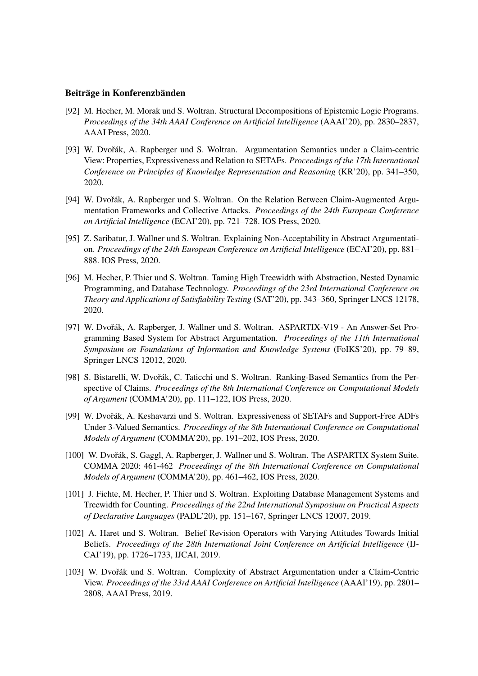### Beiträge in Konferenzbänden

- [92] M. Hecher, M. Morak und S. Woltran. Structural Decompositions of Epistemic Logic Programs. *Proceedings of the 34th AAAI Conference on Artificial Intelligence* (AAAI'20), pp. 2830–2837, AAAI Press, 2020.
- [93] W. Dvořák, A. Rapberger und S. Woltran. Argumentation Semantics under a Claim-centric View: Properties, Expressiveness and Relation to SETAFs. *Proceedings of the 17th International Conference on Principles of Knowledge Representation and Reasoning* (KR'20), pp. 341–350, 2020.
- [94] W. Dvořák, A. Rapberger und S. Woltran. On the Relation Between Claim-Augmented Argumentation Frameworks and Collective Attacks. *Proceedings of the 24th European Conference on Artificial Intelligence* (ECAI'20), pp. 721–728. IOS Press, 2020.
- [95] Z. Saribatur, J. Wallner und S. Woltran. Explaining Non-Acceptability in Abstract Argumentation. *Proceedings of the 24th European Conference on Artificial Intelligence* (ECAI'20), pp. 881– 888. IOS Press, 2020.
- [96] M. Hecher, P. Thier und S. Woltran. Taming High Treewidth with Abstraction, Nested Dynamic Programming, and Database Technology. *Proceedings of the 23rd International Conference on Theory and Applications of Satisfiability Testing* (SAT'20), pp. 343–360, Springer LNCS 12178, 2020.
- [97] W. Dvořák, A. Rapberger, J. Wallner und S. Woltran. ASPARTIX-V19 An Answer-Set Programming Based System for Abstract Argumentation. *Proceedings of the 11th International Symposium on Foundations of Information and Knowledge Systems* (FoIKS'20), pp. 79–89, Springer LNCS 12012, 2020.
- [98] S. Bistarelli, W. Dvořák, C. Taticchi und S. Woltran. Ranking-Based Semantics from the Perspective of Claims. *Proceedings of the 8th International Conference on Computational Models of Argument* (COMMA'20), pp. 111–122, IOS Press, 2020.
- [99] W. Dvořák, A. Keshavarzi und S. Woltran. Expressiveness of SETAFs and Support-Free ADFs Under 3-Valued Semantics. *Proceedings of the 8th International Conference on Computational Models of Argument* (COMMA'20), pp. 191–202, IOS Press, 2020.
- [100] W. Dvořák, S. Gaggl, A. Rapberger, J. Wallner und S. Woltran. The ASPARTIX System Suite. COMMA 2020: 461-462 *Proceedings of the 8th International Conference on Computational Models of Argument* (COMMA'20), pp. 461–462, IOS Press, 2020.
- [101] J. Fichte, M. Hecher, P. Thier und S. Woltran. Exploiting Database Management Systems and Treewidth for Counting. *Proceedings of the 22nd International Symposium on Practical Aspects of Declarative Languages* (PADL'20), pp. 151–167, Springer LNCS 12007, 2019.
- [102] A. Haret und S. Woltran. Belief Revision Operators with Varying Attitudes Towards Initial Beliefs. *Proceedings of the 28th International Joint Conference on Artificial Intelligence* (IJ-CAI'19), pp. 1726–1733, IJCAI, 2019.
- [103] W. Dvořák und S. Woltran. Complexity of Abstract Argumentation under a Claim-Centric View. *Proceedings of the 33rd AAAI Conference on Artificial Intelligence* (AAAI'19), pp. 2801– 2808, AAAI Press, 2019.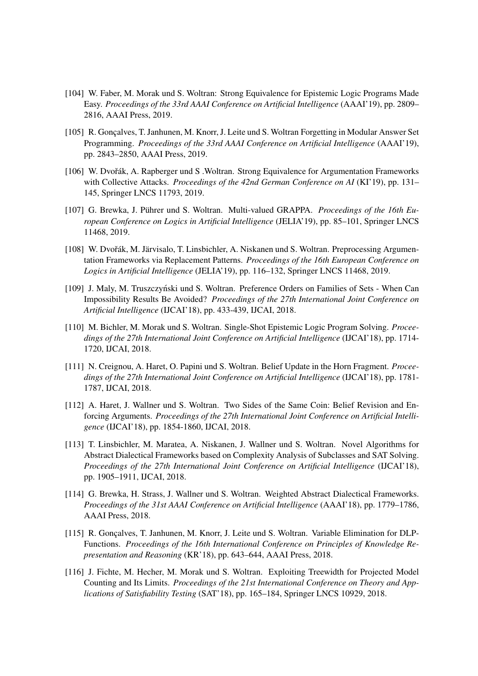- [104] W. Faber, M. Morak und S. Woltran: Strong Equivalence for Epistemic Logic Programs Made Easy. *Proceedings of the 33rd AAAI Conference on Artificial Intelligence* (AAAI'19), pp. 2809– 2816, AAAI Press, 2019.
- [105] R. Gonçalves, T. Janhunen, M. Knorr, J. Leite und S. Woltran Forgetting in Modular Answer Set Programming. *Proceedings of the 33rd AAAI Conference on Artificial Intelligence* (AAAI'19), pp. 2843–2850, AAAI Press, 2019.
- [106] W. Dvořák, A. Rapberger und S. Woltran. Strong Equivalence for Argumentation Frameworks with Collective Attacks. *Proceedings of the 42nd German Conference on AI* (KI'19), pp. 131– 145, Springer LNCS 11793, 2019.
- [107] G. Brewka, J. Pührer und S. Woltran. Multi-valued GRAPPA. *Proceedings of the 16th European Conference on Logics in Artificial Intelligence* (JELIA'19), pp. 85–101, Springer LNCS 11468, 2019.
- [108] W. Dvořák, M. Järvisalo, T. Linsbichler, A. Niskanen und S. Woltran. Preprocessing Argumentation Frameworks via Replacement Patterns. *Proceedings of the 16th European Conference on Logics in Artificial Intelligence* (JELIA'19), pp. 116–132, Springer LNCS 11468, 2019.
- [109] J. Maly, M. Truszczyński und S. Woltran. Preference Orders on Families of Sets When Can Impossibility Results Be Avoided? *Proceedings of the 27th International Joint Conference on Artificial Intelligence* (IJCAI'18), pp. 433-439, IJCAI, 2018.
- [110] M. Bichler, M. Morak und S. Woltran. Single-Shot Epistemic Logic Program Solving. *Proceedings of the 27th International Joint Conference on Artificial Intelligence* (IJCAI'18), pp. 1714- 1720, IJCAI, 2018.
- [111] N. Creignou, A. Haret, O. Papini und S. Woltran. Belief Update in the Horn Fragment. *Proceedings of the 27th International Joint Conference on Artificial Intelligence* (IJCAI'18), pp. 1781- 1787, IJCAI, 2018.
- [112] A. Haret, J. Wallner und S. Woltran. Two Sides of the Same Coin: Belief Revision and Enforcing Arguments. *Proceedings of the 27th International Joint Conference on Artificial Intelligence* (IJCAI'18), pp. 1854-1860, IJCAI, 2018.
- [113] T. Linsbichler, M. Maratea, A. Niskanen, J. Wallner und S. Woltran. Novel Algorithms for Abstract Dialectical Frameworks based on Complexity Analysis of Subclasses and SAT Solving. *Proceedings of the 27th International Joint Conference on Artificial Intelligence* (IJCAI'18), pp. 1905–1911, IJCAI, 2018.
- [114] G. Brewka, H. Strass, J. Wallner und S. Woltran. Weighted Abstract Dialectical Frameworks. *Proceedings of the 31st AAAI Conference on Artificial Intelligence* (AAAI'18), pp. 1779–1786, AAAI Press, 2018.
- [115] R. Goncalves, T. Janhunen, M. Knorr, J. Leite und S. Woltran. Variable Elimination for DLP-Functions. *Proceedings of the 16th International Conference on Principles of Knowledge Representation and Reasoning* (KR'18), pp. 643–644, AAAI Press, 2018.
- [116] J. Fichte, M. Hecher, M. Morak und S. Woltran. Exploiting Treewidth for Projected Model Counting and Its Limits. *Proceedings of the 21st International Conference on Theory and Applications of Satisfiability Testing* (SAT'18), pp. 165–184, Springer LNCS 10929, 2018.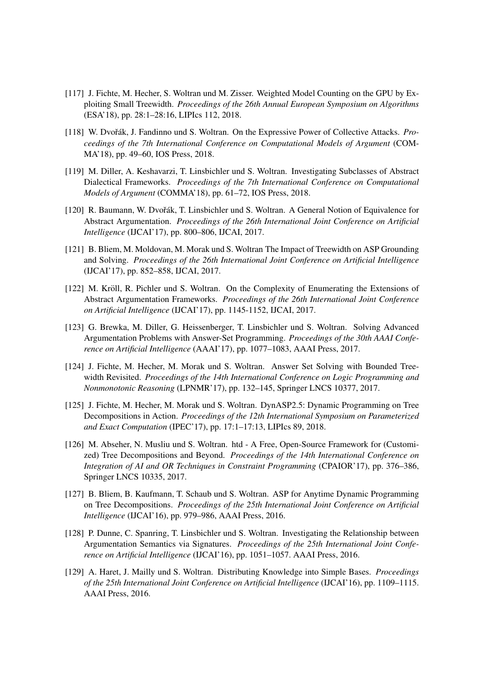- [117] J. Fichte, M. Hecher, S. Woltran und M. Zisser. Weighted Model Counting on the GPU by Exploiting Small Treewidth. *Proceedings of the 26th Annual European Symposium on Algorithms* (ESA'18), pp. 28:1–28:16, LIPIcs 112, 2018.
- [118] W. Dvořák, J. Fandinno und S. Woltran. On the Expressive Power of Collective Attacks. *Proceedings of the 7th International Conference on Computational Models of Argument* (COM-MA'18), pp. 49–60, IOS Press, 2018.
- [119] M. Diller, A. Keshavarzi, T. Linsbichler und S. Woltran. Investigating Subclasses of Abstract Dialectical Frameworks. *Proceedings of the 7th International Conference on Computational Models of Argument* (COMMA'18), pp. 61–72, IOS Press, 2018.
- [120] R. Baumann, W. Dvořák, T. Linsbichler und S. Woltran. A General Notion of Equivalence for Abstract Argumentation. *Proceedings of the 26th International Joint Conference on Artificial Intelligence* (IJCAI'17), pp. 800–806, IJCAI, 2017.
- [121] B. Bliem, M. Moldovan, M. Morak und S. Woltran The Impact of Treewidth on ASP Grounding and Solving. *Proceedings of the 26th International Joint Conference on Artificial Intelligence* (IJCAI'17), pp. 852–858, IJCAI, 2017.
- [122] M. Kröll, R. Pichler und S. Woltran. On the Complexity of Enumerating the Extensions of Abstract Argumentation Frameworks. *Proceedings of the 26th International Joint Conference on Artificial Intelligence* (IJCAI'17), pp. 1145-1152, IJCAI, 2017.
- [123] G. Brewka, M. Diller, G. Heissenberger, T. Linsbichler und S. Woltran. Solving Advanced Argumentation Problems with Answer-Set Programming. *Proceedings of the 30th AAAI Conference on Artificial Intelligence* (AAAI'17), pp. 1077–1083, AAAI Press, 2017.
- [124] J. Fichte, M. Hecher, M. Morak und S. Woltran. Answer Set Solving with Bounded Treewidth Revisited. *Proceedings of the 14th International Conference on Logic Programming and Nonmonotonic Reasoning* (LPNMR'17), pp. 132–145, Springer LNCS 10377, 2017.
- [125] J. Fichte, M. Hecher, M. Morak und S. Woltran. DynASP2.5: Dynamic Programming on Tree Decompositions in Action. *Proceedings of the 12th International Symposium on Parameterized and Exact Computation* (IPEC'17), pp. 17:1–17:13, LIPIcs 89, 2018.
- [126] M. Abseher, N. Musliu und S. Woltran. htd A Free, Open-Source Framework for (Customized) Tree Decompositions and Beyond. *Proceedings of the 14th International Conference on Integration of AI and OR Techniques in Constraint Programming* (CPAIOR'17), pp. 376–386, Springer LNCS 10335, 2017.
- [127] B. Bliem, B. Kaufmann, T. Schaub und S. Woltran. ASP for Anytime Dynamic Programming on Tree Decompositions. *Proceedings of the 25th International Joint Conference on Artificial Intelligence* (IJCAI'16), pp. 979–986, AAAI Press, 2016.
- [128] P. Dunne, C. Spanring, T. Linsbichler und S. Woltran. Investigating the Relationship between Argumentation Semantics via Signatures. *Proceedings of the 25th International Joint Conference on Artificial Intelligence* (IJCAI'16), pp. 1051–1057. AAAI Press, 2016.
- [129] A. Haret, J. Mailly und S. Woltran. Distributing Knowledge into Simple Bases. *Proceedings of the 25th International Joint Conference on Artificial Intelligence* (IJCAI'16), pp. 1109–1115. AAAI Press, 2016.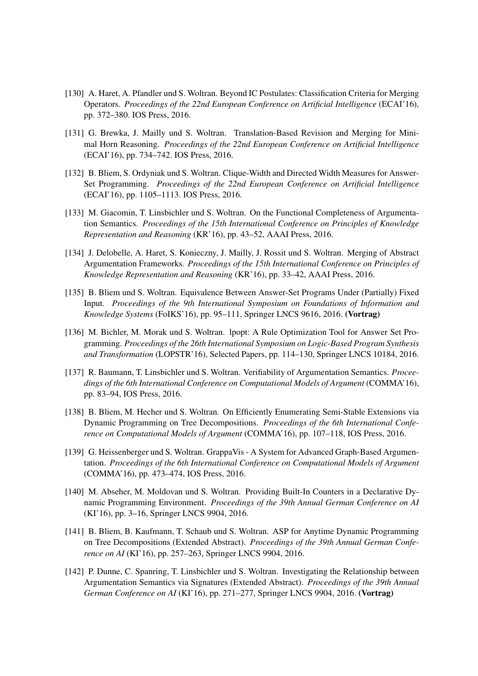- [130] A. Haret, A. Pfandler und S. Woltran. Beyond IC Postulates: Classification Criteria for Merging Operators. *Proceedings of the 22nd European Conference on Artificial Intelligence* (ECAI'16), pp. 372–380. IOS Press, 2016.
- [131] G. Brewka, J. Mailly und S. Woltran. Translation-Based Revision and Merging for Minimal Horn Reasoning. *Proceedings of the 22nd European Conference on Artificial Intelligence* (ECAI'16), pp. 734–742. IOS Press, 2016.
- [132] B. Bliem, S. Ordyniak und S. Woltran. Clique-Width and Directed Width Measures for Answer-Set Programming. *Proceedings of the 22nd European Conference on Artificial Intelligence* (ECAI'16), pp. 1105–1113. IOS Press, 2016.
- [133] M. Giacomin, T. Linsbichler und S. Woltran. On the Functional Completeness of Argumentation Semantics. *Proceedings of the 15th International Conference on Principles of Knowledge Representation and Reasoning* (KR'16), pp. 43–52, AAAI Press, 2016.
- [134] J. Delobelle, A. Haret, S. Konieczny, J. Mailly, J. Rossit und S. Woltran. Merging of Abstract Argumentation Frameworks. *Proceedings of the 15th International Conference on Principles of Knowledge Representation and Reasoning* (KR'16), pp. 33–42, AAAI Press, 2016.
- [135] B. Bliem und S. Woltran. Equivalence Between Answer-Set Programs Under (Partially) Fixed Input. *Proceedings of the 9th International Symposium on Foundations of Information and Knowledge Systems* (FoIKS'16), pp. 95–111, Springer LNCS 9616, 2016. (Vortrag)
- [136] M. Bichler, M. Morak und S. Woltran. lpopt: A Rule Optimization Tool for Answer Set Programming. *Proceedings of the 26th International Symposium on Logic-Based Program Synthesis and Transformation* (LOPSTR'16), Selected Papers, pp. 114–130, Springer LNCS 10184, 2016.
- [137] R. Baumann, T. Linsbichler und S. Woltran. Verifiability of Argumentation Semantics. *Proceedings of the 6th International Conference on Computational Models of Argument* (COMMA'16), pp. 83–94, IOS Press, 2016.
- [138] B. Bliem, M. Hecher und S. Woltran. On Efficiently Enumerating Semi-Stable Extensions via Dynamic Programming on Tree Decompositions. *Proceedings of the 6th International Conference on Computational Models of Argument* (COMMA'16), pp. 107–118, IOS Press, 2016.
- [139] G. Heissenberger und S. Woltran. GrappaVis A System for Advanced Graph-Based Argumentation. *Proceedings of the 6th International Conference on Computational Models of Argument* (COMMA'16), pp. 473–474, IOS Press, 2016.
- [140] M. Abseher, M. Moldovan und S. Woltran. Providing Built-In Counters in a Declarative Dynamic Programming Environment. *Proceedings of the 39th Annual German Conference on AI* (KI'16), pp. 3–16, Springer LNCS 9904, 2016.
- [141] B. Bliem, B. Kaufmann, T. Schaub und S. Woltran. ASP for Anytime Dynamic Programming on Tree Decompositions (Extended Abstract). *Proceedings of the 39th Annual German Conference on AI* (KI'16), pp. 257–263, Springer LNCS 9904, 2016.
- [142] P. Dunne, C. Spanring, T. Linsbichler und S. Woltran. Investigating the Relationship between Argumentation Semantics via Signatures (Extended Abstract). *Proceedings of the 39th Annual German Conference on AI* (KI'16), pp. 271–277, Springer LNCS 9904, 2016. (Vortrag)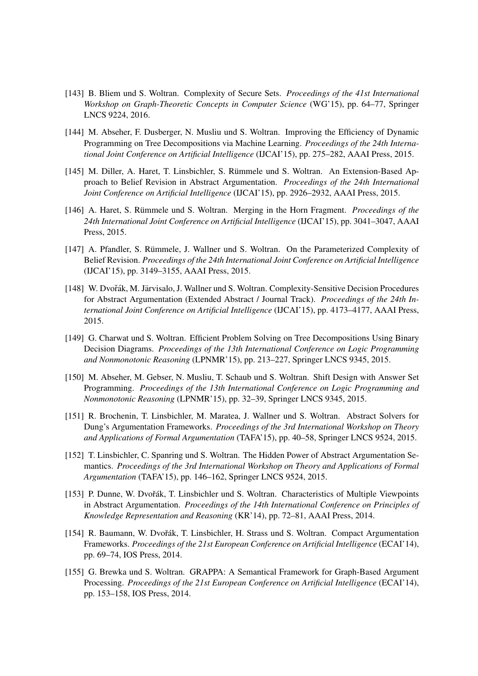- [143] B. Bliem und S. Woltran. Complexity of Secure Sets. *Proceedings of the 41st International Workshop on Graph-Theoretic Concepts in Computer Science* (WG'15), pp. 64–77, Springer LNCS 9224, 2016.
- [144] M. Abseher, F. Dusberger, N. Musliu und S. Woltran. Improving the Efficiency of Dynamic Programming on Tree Decompositions via Machine Learning. *Proceedings of the 24th International Joint Conference on Artificial Intelligence* (IJCAI'15), pp. 275–282, AAAI Press, 2015.
- [145] M. Diller, A. Haret, T. Linsbichler, S. Rümmele und S. Woltran. An Extension-Based Approach to Belief Revision in Abstract Argumentation. *Proceedings of the 24th International Joint Conference on Artificial Intelligence* (IJCAI'15), pp. 2926–2932, AAAI Press, 2015.
- [146] A. Haret, S. Rümmele und S. Woltran. Merging in the Horn Fragment. *Proceedings of the 24th International Joint Conference on Artificial Intelligence* (IJCAI'15), pp. 3041–3047, AAAI Press, 2015.
- [147] A. Pfandler, S. Rümmele, J. Wallner und S. Woltran. On the Parameterized Complexity of Belief Revision. *Proceedings of the 24th International Joint Conference on Artificial Intelligence* (IJCAI'15), pp. 3149–3155, AAAI Press, 2015.
- [148] W. Dvořák, M. Järvisalo, J. Wallner und S. Woltran. Complexity-Sensitive Decision Procedures for Abstract Argumentation (Extended Abstract / Journal Track). *Proceedings of the 24th International Joint Conference on Artificial Intelligence* (IJCAI'15), pp. 4173–4177, AAAI Press, 2015.
- [149] G. Charwat und S. Woltran. Efficient Problem Solving on Tree Decompositions Using Binary Decision Diagrams. *Proceedings of the 13th International Conference on Logic Programming and Nonmonotonic Reasoning* (LPNMR'15), pp. 213–227, Springer LNCS 9345, 2015.
- [150] M. Abseher, M. Gebser, N. Musliu, T. Schaub und S. Woltran. Shift Design with Answer Set Programming. *Proceedings of the 13th International Conference on Logic Programming and Nonmonotonic Reasoning* (LPNMR'15), pp. 32–39, Springer LNCS 9345, 2015.
- [151] R. Brochenin, T. Linsbichler, M. Maratea, J. Wallner und S. Woltran. Abstract Solvers for Dung's Argumentation Frameworks. *Proceedings of the 3rd International Workshop on Theory and Applications of Formal Argumentation* (TAFA'15), pp. 40–58, Springer LNCS 9524, 2015.
- [152] T. Linsbichler, C. Spanring und S. Woltran. The Hidden Power of Abstract Argumentation Semantics. *Proceedings of the 3rd International Workshop on Theory and Applications of Formal Argumentation* (TAFA'15), pp. 146–162, Springer LNCS 9524, 2015.
- [153] P. Dunne, W. Dvořák, T. Linsbichler und S. Woltran. Characteristics of Multiple Viewpoints in Abstract Argumentation. *Proceedings of the 14th International Conference on Principles of Knowledge Representation and Reasoning* (KR'14), pp. 72–81, AAAI Press, 2014.
- [154] R. Baumann, W. Dvořák, T. Linsbichler, H. Strass und S. Woltran. Compact Argumentation Frameworks. *Proceedings of the 21st European Conference on Artificial Intelligence* (ECAI'14), pp. 69–74, IOS Press, 2014.
- [155] G. Brewka und S. Woltran. GRAPPA: A Semantical Framework for Graph-Based Argument Processing. *Proceedings of the 21st European Conference on Artificial Intelligence* (ECAI'14), pp. 153–158, IOS Press, 2014.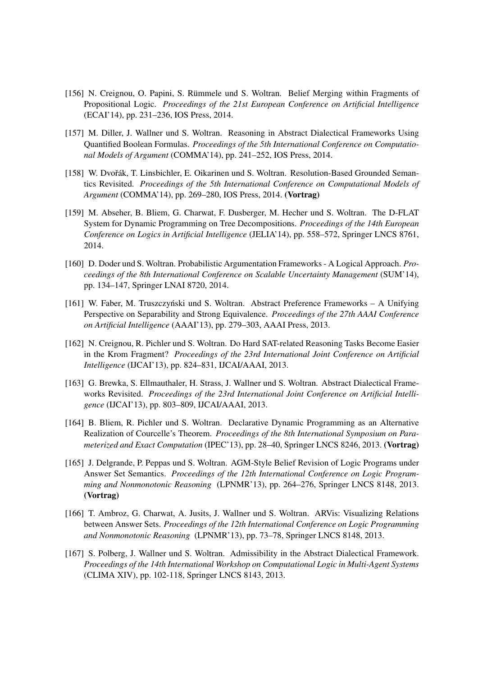- [156] N. Creignou, O. Papini, S. Rümmele und S. Woltran. Belief Merging within Fragments of Propositional Logic. *Proceedings of the 21st European Conference on Artificial Intelligence* (ECAI'14), pp. 231–236, IOS Press, 2014.
- [157] M. Diller, J. Wallner und S. Woltran. Reasoning in Abstract Dialectical Frameworks Using Quantified Boolean Formulas. *Proceedings of the 5th International Conference on Computational Models of Argument* (COMMA'14), pp. 241–252, IOS Press, 2014.
- [158] W. Dvořák, T. Linsbichler, E. Oikarinen und S. Woltran. Resolution-Based Grounded Semantics Revisited. *Proceedings of the 5th International Conference on Computational Models of Argument* (COMMA'14), pp. 269–280, IOS Press, 2014. (Vortrag)
- [159] M. Abseher, B. Bliem, G. Charwat, F. Dusberger, M. Hecher und S. Woltran. The D-FLAT System for Dynamic Programming on Tree Decompositions. *Proceedings of the 14th European Conference on Logics in Artificial Intelligence* (JELIA'14), pp. 558–572, Springer LNCS 8761, 2014.
- [160] D. Doder und S. Woltran. Probabilistic Argumentation Frameworks A Logical Approach. *Proceedings of the 8th International Conference on Scalable Uncertainty Management* (SUM'14), pp. 134–147, Springer LNAI 8720, 2014.
- [161] W. Faber, M. Truszczyński und S. Woltran. Abstract Preference Frameworks A Unifying Perspective on Separability and Strong Equivalence. *Proceedings of the 27th AAAI Conference on Artificial Intelligence* (AAAI'13), pp. 279–303, AAAI Press, 2013.
- [162] N. Creignou, R. Pichler und S. Woltran. Do Hard SAT-related Reasoning Tasks Become Easier in the Krom Fragment? *Proceedings of the 23rd International Joint Conference on Artificial Intelligence* (IJCAI'13), pp. 824–831, IJCAI/AAAI, 2013.
- [163] G. Brewka, S. Ellmauthaler, H. Strass, J. Wallner und S. Woltran. Abstract Dialectical Frameworks Revisited. *Proceedings of the 23rd International Joint Conference on Artificial Intelligence* (IJCAI'13), pp. 803–809, IJCAI/AAAI, 2013.
- [164] B. Bliem, R. Pichler und S. Woltran. Declarative Dynamic Programming as an Alternative Realization of Courcelle's Theorem. *Proceedings of the 8th International Symposium on Parameterized and Exact Computation* (IPEC'13), pp. 28–40, Springer LNCS 8246, 2013. (Vortrag)
- [165] J. Delgrande, P. Peppas und S. Woltran. AGM-Style Belief Revision of Logic Programs under Answer Set Semantics. *Proceedings of the 12th International Conference on Logic Programming and Nonmonotonic Reasoning* (LPNMR'13), pp. 264–276, Springer LNCS 8148, 2013. (Vortrag)
- [166] T. Ambroz, G. Charwat, A. Jusits, J. Wallner und S. Woltran. ARVis: Visualizing Relations between Answer Sets. *Proceedings of the 12th International Conference on Logic Programming and Nonmonotonic Reasoning* (LPNMR'13), pp. 73–78, Springer LNCS 8148, 2013.
- [167] S. Polberg, J. Wallner und S. Woltran. Admissibility in the Abstract Dialectical Framework. *Proceedings of the 14th International Workshop on Computational Logic in Multi-Agent Systems* (CLIMA XIV), pp. 102-118, Springer LNCS 8143, 2013.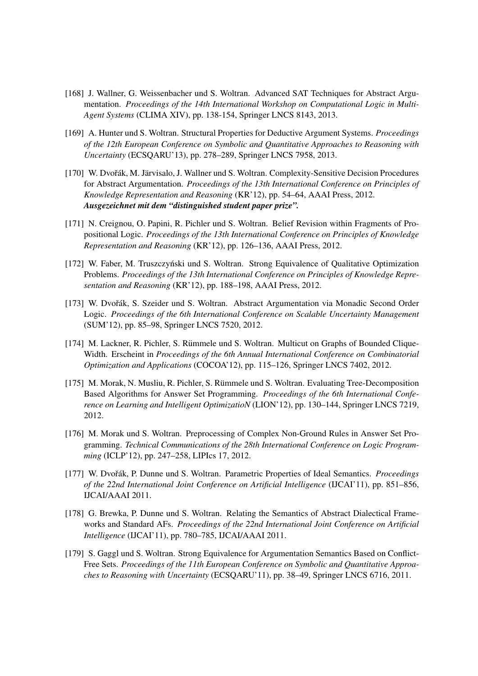- [168] J. Wallner, G. Weissenbacher und S. Woltran. Advanced SAT Techniques for Abstract Argumentation. *Proceedings of the 14th International Workshop on Computational Logic in Multi-Agent Systems* (CLIMA XIV), pp. 138-154, Springer LNCS 8143, 2013.
- [169] A. Hunter und S. Woltran. Structural Properties for Deductive Argument Systems. *Proceedings of the 12th European Conference on Symbolic and Quantitative Approaches to Reasoning with Uncertainty* (ECSQARU'13), pp. 278–289, Springer LNCS 7958, 2013.
- [170] W. Dvořák, M. Järvisalo, J. Wallner und S. Woltran. Complexity-Sensitive Decision Procedures for Abstract Argumentation. *Proceedings of the 13th International Conference on Principles of Knowledge Representation and Reasoning* (KR'12), pp. 54–64, AAAI Press, 2012. *Ausgezeichnet mit dem "distinguished student paper prize".*
- [171] N. Creignou, O. Papini, R. Pichler und S. Woltran. Belief Revision within Fragments of Propositional Logic. *Proceedings of the 13th International Conference on Principles of Knowledge Representation and Reasoning* (KR'12), pp. 126–136, AAAI Press, 2012.
- [172] W. Faber, M. Truszczyński und S. Woltran. Strong Equivalence of Qualitative Optimization Problems. *Proceedings of the 13th International Conference on Principles of Knowledge Representation and Reasoning* (KR'12), pp. 188–198, AAAI Press, 2012.
- [173] W. Dvořák, S. Szeider und S. Woltran. Abstract Argumentation via Monadic Second Order Logic. *Proceedings of the 6th International Conference on Scalable Uncertainty Management* (SUM'12), pp. 85–98, Springer LNCS 7520, 2012.
- [174] M. Lackner, R. Pichler, S. Rümmele und S. Woltran. Multicut on Graphs of Bounded Clique-Width. Erscheint in *Proceedings of the 6th Annual International Conference on Combinatorial Optimization and Applications* (COCOA'12), pp. 115–126, Springer LNCS 7402, 2012.
- [175] M. Morak, N. Musliu, R. Pichler, S. Rümmele und S. Woltran. Evaluating Tree-Decomposition Based Algorithms for Answer Set Programming. *Proceedings of the 6th International Conference on Learning and Intelligent OptimizatioN* (LION'12), pp. 130–144, Springer LNCS 7219, 2012.
- [176] M. Morak und S. Woltran. Preprocessing of Complex Non-Ground Rules in Answer Set Programming. *Technical Communications of the 28th International Conference on Logic Programming* (ICLP'12), pp. 247–258, LIPIcs 17, 2012.
- [177] W. Dvořák, P. Dunne und S. Woltran. Parametric Properties of Ideal Semantics. *Proceedings of the 22nd International Joint Conference on Artificial Intelligence* (IJCAI'11), pp. 851–856, IJCAI/AAAI 2011.
- [178] G. Brewka, P. Dunne und S. Woltran. Relating the Semantics of Abstract Dialectical Frameworks and Standard AFs. *Proceedings of the 22nd International Joint Conference on Artificial Intelligence* (IJCAI'11), pp. 780–785, IJCAI/AAAI 2011.
- [179] S. Gaggl und S. Woltran. Strong Equivalence for Argumentation Semantics Based on Conflict-Free Sets. *Proceedings of the 11th European Conference on Symbolic and Quantitative Approaches to Reasoning with Uncertainty* (ECSQARU'11), pp. 38–49, Springer LNCS 6716, 2011.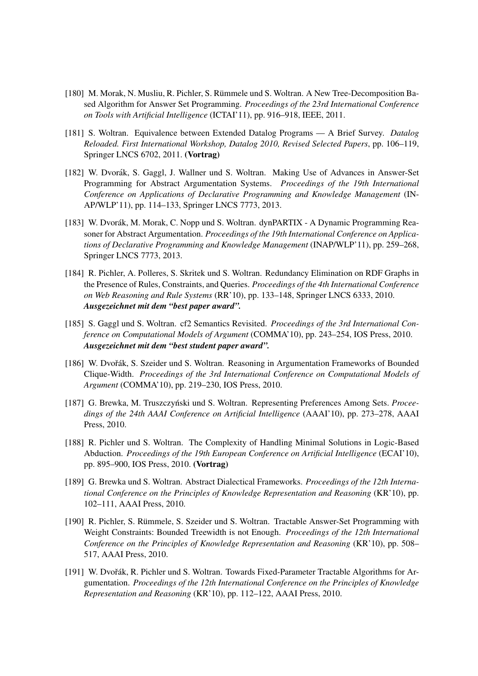- [180] M. Morak, N. Musliu, R. Pichler, S. Rümmele und S. Woltran. A New Tree-Decomposition Based Algorithm for Answer Set Programming. *Proceedings of the 23rd International Conference on Tools with Artificial Intelligence* (ICTAI'11), pp. 916–918, IEEE, 2011.
- [181] S. Woltran. Equivalence between Extended Datalog Programs A Brief Survey. *Datalog Reloaded. First International Workshop, Datalog 2010, Revised Selected Papers*, pp. 106–119, Springer LNCS 6702, 2011. (Vortrag)
- [182] W. Dvorák, S. Gaggl, J. Wallner und S. Woltran. Making Use of Advances in Answer-Set Programming for Abstract Argumentation Systems. *Proceedings of the 19th International Conference on Applications of Declarative Programming and Knowledge Management* (IN-AP/WLP'11), pp. 114–133, Springer LNCS 7773, 2013.
- [183] W. Dvorák, M. Morak, C. Nopp und S. Woltran. dynPARTIX A Dynamic Programming Reasoner for Abstract Argumentation. *Proceedings of the 19th International Conference on Applications of Declarative Programming and Knowledge Management* (INAP/WLP'11), pp. 259–268, Springer LNCS 7773, 2013.
- [184] R. Pichler, A. Polleres, S. Skritek und S. Woltran. Redundancy Elimination on RDF Graphs in the Presence of Rules, Constraints, and Queries. *Proceedings of the 4th International Conference on Web Reasoning and Rule Systems* (RR'10), pp. 133–148, Springer LNCS 6333, 2010. *Ausgezeichnet mit dem "best paper award".*
- [185] S. Gaggl und S. Woltran. cf2 Semantics Revisited. *Proceedings of the 3rd International Conference on Computational Models of Argument* (COMMA'10), pp. 243–254, IOS Press, 2010. *Ausgezeichnet mit dem "best student paper award".*
- [186] W. Dvořák, S. Szeider und S. Woltran. Reasoning in Argumentation Frameworks of Bounded Clique-Width. *Proceedings of the 3rd International Conference on Computational Models of Argument* (COMMA'10), pp. 219–230, IOS Press, 2010.
- [187] G. Brewka, M. Truszczyński und S. Woltran. Representing Preferences Among Sets. *Proceedings of the 24th AAAI Conference on Artificial Intelligence* (AAAI'10), pp. 273–278, AAAI Press, 2010.
- [188] R. Pichler und S. Woltran. The Complexity of Handling Minimal Solutions in Logic-Based Abduction. *Proceedings of the 19th European Conference on Artificial Intelligence* (ECAI'10), pp. 895–900, IOS Press, 2010. (Vortrag)
- [189] G. Brewka und S. Woltran. Abstract Dialectical Frameworks. *Proceedings of the 12th International Conference on the Principles of Knowledge Representation and Reasoning* (KR'10), pp. 102–111, AAAI Press, 2010.
- [190] R. Pichler, S. Rümmele, S. Szeider und S. Woltran. Tractable Answer-Set Programming with Weight Constraints: Bounded Treewidth is not Enough. *Proceedings of the 12th International Conference on the Principles of Knowledge Representation and Reasoning* (KR'10), pp. 508– 517, AAAI Press, 2010.
- [191] W. Dvořák, R. Pichler und S. Woltran. Towards Fixed-Parameter Tractable Algorithms for Argumentation. *Proceedings of the 12th International Conference on the Principles of Knowledge Representation and Reasoning* (KR'10), pp. 112–122, AAAI Press, 2010.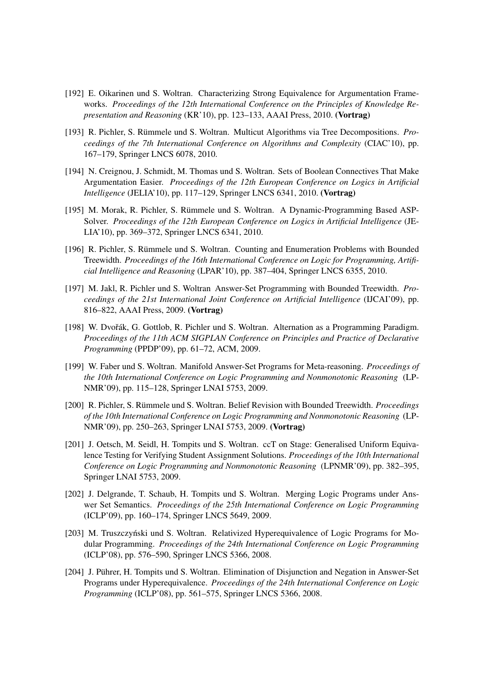- [192] E. Oikarinen und S. Woltran. Characterizing Strong Equivalence for Argumentation Frameworks. *Proceedings of the 12th International Conference on the Principles of Knowledge Representation and Reasoning* (KR'10), pp. 123–133, AAAI Press, 2010. (Vortrag)
- [193] R. Pichler, S. Rümmele und S. Woltran. Multicut Algorithms via Tree Decompositions. *Proceedings of the 7th International Conference on Algorithms and Complexity* (CIAC'10), pp. 167–179, Springer LNCS 6078, 2010.
- [194] N. Creignou, J. Schmidt, M. Thomas und S. Woltran. Sets of Boolean Connectives That Make Argumentation Easier. *Proceedings of the 12th European Conference on Logics in Artificial Intelligence* (JELIA'10), pp. 117–129, Springer LNCS 6341, 2010. (Vortrag)
- [195] M. Morak, R. Pichler, S. Rümmele und S. Woltran. A Dynamic-Programming Based ASP-Solver. *Proceedings of the 12th European Conference on Logics in Artificial Intelligence* (JE-LIA'10), pp. 369–372, Springer LNCS 6341, 2010.
- [196] R. Pichler, S. Rümmele und S. Woltran. Counting and Enumeration Problems with Bounded Treewidth. *Proceedings of the 16th International Conference on Logic for Programming, Artificial Intelligence and Reasoning* (LPAR'10), pp. 387–404, Springer LNCS 6355, 2010.
- [197] M. Jakl, R. Pichler und S. Woltran Answer-Set Programming with Bounded Treewidth. *Proceedings of the 21st International Joint Conference on Artificial Intelligence* (IJCAI'09), pp. 816–822, AAAI Press, 2009. (Vortrag)
- [198] W. Dvořák, G. Gottlob, R. Pichler und S. Woltran. Alternation as a Programming Paradigm. *Proceedings of the 11th ACM SIGPLAN Conference on Principles and Practice of Declarative Programming* (PPDP'09), pp. 61–72, ACM, 2009.
- [199] W. Faber und S. Woltran. Manifold Answer-Set Programs for Meta-reasoning. *Proceedings of the 10th International Conference on Logic Programming and Nonmonotonic Reasoning* (LP-NMR'09), pp. 115–128, Springer LNAI 5753, 2009.
- [200] R. Pichler, S. Rümmele und S. Woltran. Belief Revision with Bounded Treewidth. *Proceedings of the 10th International Conference on Logic Programming and Nonmonotonic Reasoning* (LP-NMR'09), pp. 250–263, Springer LNAI 5753, 2009. (Vortrag)
- [201] J. Oetsch, M. Seidl, H. Tompits und S. Woltran. ccT on Stage: Generalised Uniform Equivalence Testing for Verifying Student Assignment Solutions. *Proceedings of the 10th International Conference on Logic Programming and Nonmonotonic Reasoning* (LPNMR'09), pp. 382–395, Springer LNAI 5753, 2009.
- [202] J. Delgrande, T. Schaub, H. Tompits und S. Woltran. Merging Logic Programs under Answer Set Semantics. *Proceedings of the 25th International Conference on Logic Programming* (ICLP'09), pp. 160–174, Springer LNCS 5649, 2009.
- [203] M. Truszczyński und S. Woltran. Relativized Hyperequivalence of Logic Programs for Modular Programming. *Proceedings of the 24th International Conference on Logic Programming* (ICLP'08), pp. 576–590, Springer LNCS 5366, 2008.
- [204] J. Pührer, H. Tompits und S. Woltran. Elimination of Disjunction and Negation in Answer-Set Programs under Hyperequivalence. *Proceedings of the 24th International Conference on Logic Programming* (ICLP'08), pp. 561–575, Springer LNCS 5366, 2008.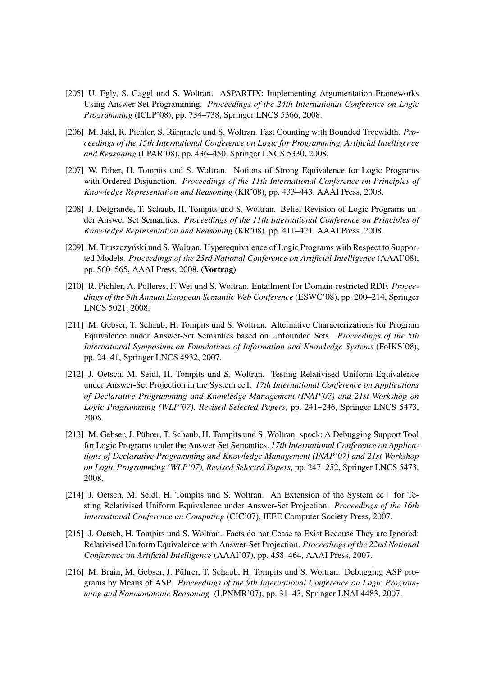- [205] U. Egly, S. Gaggl und S. Woltran. ASPARTIX: Implementing Argumentation Frameworks Using Answer-Set Programming. *Proceedings of the 24th International Conference on Logic Programming* (ICLP'08), pp. 734–738, Springer LNCS 5366, 2008.
- [206] M. Jakl, R. Pichler, S. Rümmele und S. Woltran. Fast Counting with Bounded Treewidth. *Proceedings of the 15th International Conference on Logic for Programming, Artificial Intelligence and Reasoning* (LPAR'08), pp. 436–450. Springer LNCS 5330, 2008.
- [207] W. Faber, H. Tompits und S. Woltran. Notions of Strong Equivalence for Logic Programs with Ordered Disjunction. *Proceedings of the 11th International Conference on Principles of Knowledge Representation and Reasoning* (KR'08), pp. 433–443. AAAI Press, 2008.
- [208] J. Delgrande, T. Schaub, H. Tompits und S. Woltran. Belief Revision of Logic Programs under Answer Set Semantics. *Proceedings of the 11th International Conference on Principles of Knowledge Representation and Reasoning* (KR'08), pp. 411–421. AAAI Press, 2008.
- [209] M. Truszczyński und S. Woltran. Hyperequivalence of Logic Programs with Respect to Supported Models. *Proceedings of the 23rd National Conference on Artificial Intelligence* (AAAI'08), pp. 560–565, AAAI Press, 2008. (Vortrag)
- [210] R. Pichler, A. Polleres, F. Wei und S. Woltran. Entailment for Domain-restricted RDF. *Proceedings of the 5th Annual European Semantic Web Conference* (ESWC'08), pp. 200–214, Springer LNCS 5021, 2008.
- [211] M. Gebser, T. Schaub, H. Tompits und S. Woltran. Alternative Characterizations for Program Equivalence under Answer-Set Semantics based on Unfounded Sets. *Proceedings of the 5th International Symposium on Foundations of Information and Knowledge Systems* (FoIKS'08), pp. 24–41, Springer LNCS 4932, 2007.
- [212] J. Oetsch, M. Seidl, H. Tompits und S. Woltran. Testing Relativised Uniform Equivalence under Answer-Set Projection in the System ccT. *17th International Conference on Applications of Declarative Programming and Knowledge Management (INAP'07) and 21st Workshop on Logic Programming (WLP'07), Revised Selected Papers*, pp. 241–246, Springer LNCS 5473, 2008.
- [213] M. Gebser, J. Pührer, T. Schaub, H. Tompits und S. Woltran. spock: A Debugging Support Tool for Logic Programs under the Answer-Set Semantics. *17th International Conference on Applications of Declarative Programming and Knowledge Management (INAP'07) and 21st Workshop on Logic Programming (WLP'07), Revised Selected Papers*, pp. 247–252, Springer LNCS 5473, 2008.
- [214] J. Oetsch, M. Seidl, H. Tompits und S. Woltran. An Extension of the System  $cc\top$  for Testing Relativised Uniform Equivalence under Answer-Set Projection. *Proceedings of the 16th International Conference on Computing* (CIC'07), IEEE Computer Society Press, 2007.
- [215] J. Oetsch, H. Tompits und S. Woltran. Facts do not Cease to Exist Because They are Ignored: Relativised Uniform Equivalence with Answer-Set Projection. *Proceedings of the 22nd National Conference on Artificial Intelligence* (AAAI'07), pp. 458–464, AAAI Press, 2007.
- [216] M. Brain, M. Gebser, J. Pührer, T. Schaub, H. Tompits und S. Woltran. Debugging ASP programs by Means of ASP. *Proceedings of the 9th International Conference on Logic Programming and Nonmonotonic Reasoning* (LPNMR'07), pp. 31–43, Springer LNAI 4483, 2007.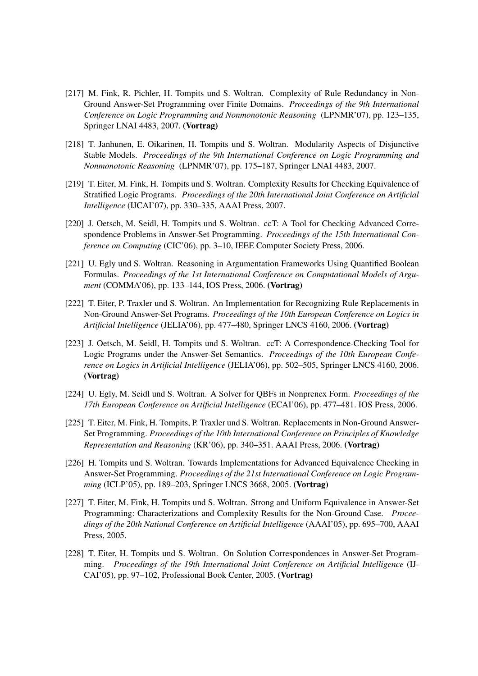- [217] M. Fink, R. Pichler, H. Tompits und S. Woltran. Complexity of Rule Redundancy in Non-Ground Answer-Set Programming over Finite Domains. *Proceedings of the 9th International Conference on Logic Programming and Nonmonotonic Reasoning* (LPNMR'07), pp. 123–135, Springer LNAI 4483, 2007. (Vortrag)
- [218] T. Janhunen, E. Oikarinen, H. Tompits und S. Woltran. Modularity Aspects of Disjunctive Stable Models. *Proceedings of the 9th International Conference on Logic Programming and Nonmonotonic Reasoning* (LPNMR'07), pp. 175–187, Springer LNAI 4483, 2007.
- [219] T. Eiter, M. Fink, H. Tompits und S. Woltran. Complexity Results for Checking Equivalence of Stratified Logic Programs. *Proceedings of the 20th International Joint Conference on Artificial Intelligence* (IJCAI'07), pp. 330–335, AAAI Press, 2007.
- [220] J. Oetsch, M. Seidl, H. Tompits und S. Woltran. ccT: A Tool for Checking Advanced Correspondence Problems in Answer-Set Programming. *Proceedings of the 15th International Conference on Computing* (CIC'06), pp. 3–10, IEEE Computer Society Press, 2006.
- [221] U. Egly und S. Woltran. Reasoning in Argumentation Frameworks Using Quantified Boolean Formulas. *Proceedings of the 1st International Conference on Computational Models of Argument* (COMMA'06), pp. 133–144, IOS Press, 2006. (Vortrag)
- [222] T. Eiter, P. Traxler und S. Woltran. An Implementation for Recognizing Rule Replacements in Non-Ground Answer-Set Programs. *Proceedings of the 10th European Conference on Logics in Artificial Intelligence* (JELIA'06), pp. 477–480, Springer LNCS 4160, 2006. (Vortrag)
- [223] J. Oetsch, M. Seidl, H. Tompits und S. Woltran. ccT: A Correspondence-Checking Tool for Logic Programs under the Answer-Set Semantics. *Proceedings of the 10th European Conference on Logics in Artificial Intelligence* (JELIA'06), pp. 502–505, Springer LNCS 4160, 2006. (Vortrag)
- [224] U. Egly, M. Seidl und S. Woltran. A Solver for QBFs in Nonprenex Form. *Proceedings of the 17th European Conference on Artificial Intelligence* (ECAI'06), pp. 477–481. IOS Press, 2006.
- [225] T. Eiter, M. Fink, H. Tompits, P. Traxler und S. Woltran. Replacements in Non-Ground Answer-Set Programming. *Proceedings of the 10th International Conference on Principles of Knowledge Representation and Reasoning* (KR'06), pp. 340–351. AAAI Press, 2006. (Vortrag)
- [226] H. Tompits und S. Woltran. Towards Implementations for Advanced Equivalence Checking in Answer-Set Programming. *Proceedings of the 21st International Conference on Logic Programming* (ICLP'05), pp. 189–203, Springer LNCS 3668, 2005. (Vortrag)
- [227] T. Eiter, M. Fink, H. Tompits und S. Woltran. Strong and Uniform Equivalence in Answer-Set Programming: Characterizations and Complexity Results for the Non-Ground Case. *Proceedings of the 20th National Conference on Artificial Intelligence* (AAAI'05), pp. 695–700, AAAI Press, 2005.
- [228] T. Eiter, H. Tompits und S. Woltran. On Solution Correspondences in Answer-Set Programming. *Proceedings of the 19th International Joint Conference on Artificial Intelligence* (IJ-CAI'05), pp. 97–102, Professional Book Center, 2005. (Vortrag)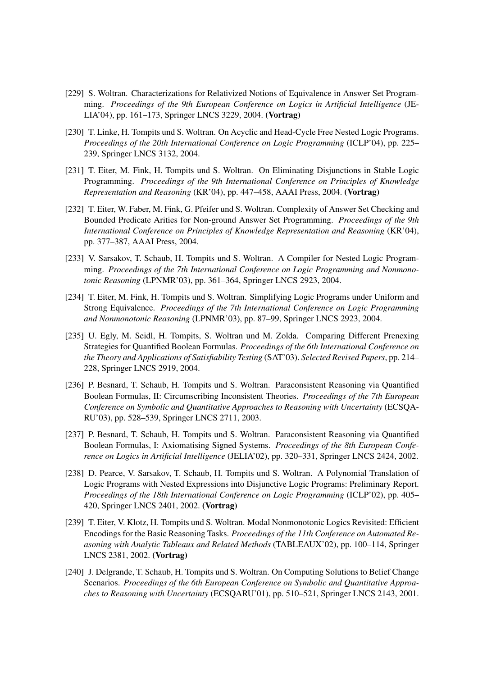- [229] S. Woltran. Characterizations for Relativized Notions of Equivalence in Answer Set Programming. *Proceedings of the 9th European Conference on Logics in Artificial Intelligence* (JE-LIA'04), pp. 161–173, Springer LNCS 3229, 2004. (Vortrag)
- [230] T. Linke, H. Tompits und S. Woltran. On Acyclic and Head-Cycle Free Nested Logic Programs. *Proceedings of the 20th International Conference on Logic Programming* (ICLP'04), pp. 225– 239, Springer LNCS 3132, 2004.
- [231] T. Eiter, M. Fink, H. Tompits und S. Woltran. On Eliminating Disjunctions in Stable Logic Programming. *Proceedings of the 9th International Conference on Principles of Knowledge Representation and Reasoning* (KR'04), pp. 447–458, AAAI Press, 2004. (Vortrag)
- [232] T. Eiter, W. Faber, M. Fink, G. Pfeifer und S. Woltran. Complexity of Answer Set Checking and Bounded Predicate Arities for Non-ground Answer Set Programming. *Proceedings of the 9th International Conference on Principles of Knowledge Representation and Reasoning* (KR'04), pp. 377–387, AAAI Press, 2004.
- [233] V. Sarsakov, T. Schaub, H. Tompits und S. Woltran. A Compiler for Nested Logic Programming. *Proceedings of the 7th International Conference on Logic Programming and Nonmonotonic Reasoning* (LPNMR'03), pp. 361–364, Springer LNCS 2923, 2004.
- [234] T. Eiter, M. Fink, H. Tompits und S. Woltran. Simplifying Logic Programs under Uniform and Strong Equivalence. *Proceedings of the 7th International Conference on Logic Programming and Nonmonotonic Reasoning* (LPNMR'03), pp. 87–99, Springer LNCS 2923, 2004.
- [235] U. Egly, M. Seidl, H. Tompits, S. Woltran und M. Zolda. Comparing Different Prenexing Strategies for Quantified Boolean Formulas. *Proceedings of the 6th International Conference on the Theory and Applications of Satisfiability Testing* (SAT'03). *Selected Revised Papers*, pp. 214– 228, Springer LNCS 2919, 2004.
- [236] P. Besnard, T. Schaub, H. Tompits und S. Woltran. Paraconsistent Reasoning via Quantified Boolean Formulas, II: Circumscribing Inconsistent Theories. *Proceedings of the 7th European Conference on Symbolic and Quantitative Approaches to Reasoning with Uncertainty* (ECSQA-RU'03), pp. 528–539, Springer LNCS 2711, 2003.
- [237] P. Besnard, T. Schaub, H. Tompits und S. Woltran. Paraconsistent Reasoning via Quantified Boolean Formulas, I: Axiomatising Signed Systems. *Proceedings of the 8th European Conference on Logics in Artificial Intelligence* (JELIA'02), pp. 320–331, Springer LNCS 2424, 2002.
- [238] D. Pearce, V. Sarsakov, T. Schaub, H. Tompits und S. Woltran. A Polynomial Translation of Logic Programs with Nested Expressions into Disjunctive Logic Programs: Preliminary Report. *Proceedings of the 18th International Conference on Logic Programming* (ICLP'02), pp. 405– 420, Springer LNCS 2401, 2002. (Vortrag)
- [239] T. Eiter, V. Klotz, H. Tompits und S. Woltran. Modal Nonmonotonic Logics Revisited: Efficient Encodings for the Basic Reasoning Tasks. *Proceedings of the 11th Conference on Automated Reasoning with Analytic Tableaux and Related Methods* (TABLEAUX'02), pp. 100–114, Springer LNCS 2381, 2002. (Vortrag)
- [240] J. Delgrande, T. Schaub, H. Tompits und S. Woltran. On Computing Solutions to Belief Change Scenarios. *Proceedings of the 6th European Conference on Symbolic and Quantitative Approaches to Reasoning with Uncertainty* (ECSQARU'01), pp. 510–521, Springer LNCS 2143, 2001.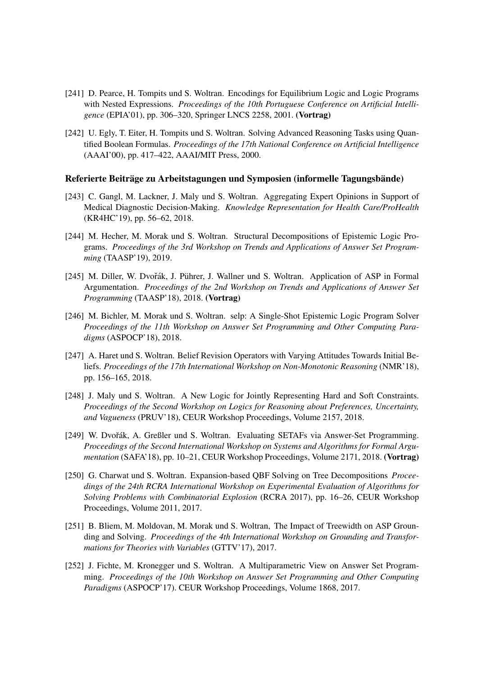- [241] D. Pearce, H. Tompits und S. Woltran. Encodings for Equilibrium Logic and Logic Programs with Nested Expressions. *Proceedings of the 10th Portuguese Conference on Artificial Intelligence* (EPIA'01), pp. 306–320, Springer LNCS 2258, 2001. (Vortrag)
- [242] U. Egly, T. Eiter, H. Tompits und S. Woltran. Solving Advanced Reasoning Tasks using Quantified Boolean Formulas. *Proceedings of the 17th National Conference on Artificial Intelligence* (AAAI'00), pp. 417–422, AAAI/MIT Press, 2000.

#### Referierte Beiträge zu Arbeitstagungen und Symposien (informelle Tagungsbände)

- [243] C. Gangl, M. Lackner, J. Maly und S. Woltran. Aggregating Expert Opinions in Support of Medical Diagnostic Decision-Making. *Knowledge Representation for Health Care/ProHealth* (KR4HC'19), pp. 56–62, 2018.
- [244] M. Hecher, M. Morak und S. Woltran. Structural Decompositions of Epistemic Logic Programs. *Proceedings of the 3rd Workshop on Trends and Applications of Answer Set Programming* (TAASP'19), 2019.
- [245] M. Diller, W. Dvořák, J. Pührer, J. Wallner und S. Woltran. Application of ASP in Formal Argumentation. *Proceedings of the 2nd Workshop on Trends and Applications of Answer Set Programming* (TAASP'18), 2018. (Vortrag)
- [246] M. Bichler, M. Morak und S. Woltran. selp: A Single-Shot Epistemic Logic Program Solver *Proceedings of the 11th Workshop on Answer Set Programming and Other Computing Paradigms* (ASPOCP'18), 2018.
- [247] A. Haret und S. Woltran. Belief Revision Operators with Varying Attitudes Towards Initial Beliefs. *Proceedings of the 17th International Workshop on Non-Monotonic Reasoning* (NMR'18), pp. 156–165, 2018.
- [248] J. Maly und S. Woltran. A New Logic for Jointly Representing Hard and Soft Constraints. *Proceedings of the Second Workshop on Logics for Reasoning about Preferences, Uncertainty, and Vagueness* (PRUV'18), CEUR Workshop Proceedings, Volume 2157, 2018.
- [249] W. Dvořák, A. Greßler und S. Woltran. Evaluating SETAFs via Answer-Set Programming. *Proceedings of the Second International Workshop on Systems and Algorithms for Formal Argumentation* (SAFA'18), pp. 10–21, CEUR Workshop Proceedings, Volume 2171, 2018. (Vortrag)
- [250] G. Charwat und S. Woltran. Expansion-based QBF Solving on Tree Decompositions *Proceedings of the 24th RCRA International Workshop on Experimental Evaluation of Algorithms for Solving Problems with Combinatorial Explosion* (RCRA 2017), pp. 16–26, CEUR Workshop Proceedings, Volume 2011, 2017.
- [251] B. Bliem, M. Moldovan, M. Morak und S. Woltran, The Impact of Treewidth on ASP Grounding and Solving. *Proceedings of the 4th International Workshop on Grounding and Transformations for Theories with Variables* (GTTV'17), 2017.
- [252] J. Fichte, M. Kronegger und S. Woltran. A Multiparametric View on Answer Set Programming. *Proceedings of the 10th Workshop on Answer Set Programming and Other Computing Paradigms* (ASPOCP'17). CEUR Workshop Proceedings, Volume 1868, 2017.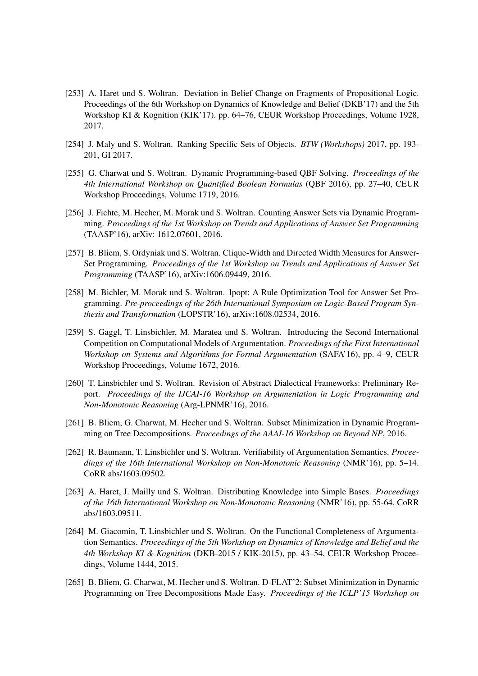- [253] A. Haret und S. Woltran. Deviation in Belief Change on Fragments of Propositional Logic. Proceedings of the 6th Workshop on Dynamics of Knowledge and Belief (DKB'17) and the 5th Workshop KI & Kognition (KIK'17). pp. 64–76, CEUR Workshop Proceedings, Volume 1928, 2017.
- [254] J. Maly und S. Woltran. Ranking Specific Sets of Objects. *BTW (Workshops)* 2017, pp. 193- 201, GI 2017.
- [255] G. Charwat und S. Woltran. Dynamic Programming-based QBF Solving. *Proceedings of the 4th International Workshop on Quantified Boolean Formulas* (QBF 2016), pp. 27–40, CEUR Workshop Proceedings, Volume 1719, 2016.
- [256] J. Fichte, M. Hecher, M. Morak und S. Woltran. Counting Answer Sets via Dynamic Programming. *Proceedings of the 1st Workshop on Trends and Applications of Answer Set Programming* (TAASP'16), arXiv: 1612.07601, 2016.
- [257] B. Bliem, S. Ordyniak und S. Woltran. Clique-Width and Directed Width Measures for Answer-Set Programming. *Proceedings of the 1st Workshop on Trends and Applications of Answer Set Programming* (TAASP'16), arXiv:1606.09449, 2016.
- [258] M. Bichler, M. Morak und S. Woltran. lpopt: A Rule Optimization Tool for Answer Set Programming. *Pre-proceedings of the 26th International Symposium on Logic-Based Program Synthesis and Transformation* (LOPSTR'16), arXiv:1608.02534, 2016.
- [259] S. Gaggl, T. Linsbichler, M. Maratea und S. Woltran. Introducing the Second International Competition on Computational Models of Argumentation. *Proceedings of the First International Workshop on Systems and Algorithms for Formal Argumentation* (SAFA'16), pp. 4–9, CEUR Workshop Proceedings, Volume 1672, 2016.
- [260] T. Linsbichler und S. Woltran. Revision of Abstract Dialectical Frameworks: Preliminary Report. *Proceedings of the IJCAI-16 Workshop on Argumentation in Logic Programming and Non-Monotonic Reasoning* (Arg-LPNMR'16), 2016.
- [261] B. Bliem, G. Charwat, M. Hecher und S. Woltran. Subset Minimization in Dynamic Programming on Tree Decompositions. *Proceedings of the AAAI-16 Workshop on Beyond NP*, 2016.
- [262] R. Baumann, T. Linsbichler und S. Woltran. Verifiability of Argumentation Semantics. *Proceedings of the 16th International Workshop on Non-Monotonic Reasoning* (NMR'16), pp. 5–14. CoRR abs/1603.09502.
- [263] A. Haret, J. Mailly und S. Woltran. Distributing Knowledge into Simple Bases. *Proceedings of the 16th International Workshop on Non-Monotonic Reasoning* (NMR'16), pp. 55-64. CoRR abs/1603.09511.
- [264] M. Giacomin, T. Linsbichler und S. Woltran. On the Functional Completeness of Argumentation Semantics. *Proceedings of the 5th Workshop on Dynamics of Knowledge and Belief and the 4th Workshop KI & Kognition* (DKB-2015 / KIK-2015), pp. 43–54, CEUR Workshop Proceedings, Volume 1444, 2015.
- [265] B. Bliem, G. Charwat, M. Hecher und S. Woltran. D-FLAT<sup> $\sim$ </sup>2: Subset Minimization in Dynamic Programming on Tree Decompositions Made Easy. *Proceedings of the ICLP'15 Workshop on*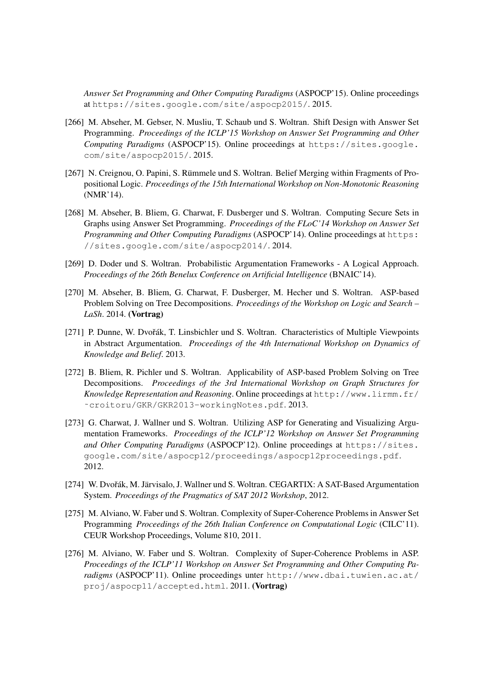*Answer Set Programming and Other Computing Paradigms* (ASPOCP'15). Online proceedings at https://sites.google.com/site/aspocp2015/. 2015.

- [266] M. Abseher, M. Gebser, N. Musliu, T. Schaub und S. Woltran. Shift Design with Answer Set Programming. *Proceedings of the ICLP'15 Workshop on Answer Set Programming and Other Computing Paradigms* (ASPOCP'15). Online proceedings at https://sites.google. com/site/aspocp2015/. 2015.
- [267] N. Creignou, O. Papini, S. Rümmele und S. Woltran. Belief Merging within Fragments of Propositional Logic. *Proceedings of the 15th International Workshop on Non-Monotonic Reasoning* (NMR'14).
- [268] M. Abseher, B. Bliem, G. Charwat, F. Dusberger und S. Woltran. Computing Secure Sets in Graphs using Answer Set Programming. *Proceedings of the FLoC'14 Workshop on Answer Set Programming and Other Computing Paradigms* (ASPOCP'14). Online proceedings at https: //sites.google.com/site/aspocp2014/. 2014.
- [269] D. Doder und S. Woltran. Probabilistic Argumentation Frameworks A Logical Approach. *Proceedings of the 26th Benelux Conference on Artificial Intelligence* (BNAIC'14).
- [270] M. Abseher, B. Bliem, G. Charwat, F. Dusberger, M. Hecher und S. Woltran. ASP-based Problem Solving on Tree Decompositions. *Proceedings of the Workshop on Logic and Search – LaSh*. 2014. (Vortrag)
- [271] P. Dunne, W. Dvořák, T. Linsbichler und S. Woltran. Characteristics of Multiple Viewpoints in Abstract Argumentation. *Proceedings of the 4th International Workshop on Dynamics of Knowledge and Belief*. 2013.
- [272] B. Bliem, R. Pichler und S. Woltran. Applicability of ASP-based Problem Solving on Tree Decompositions. *Proceedings of the 3rd International Workshop on Graph Structures for Knowledge Representation and Reasoning*. Online proceedings at http://www.lirmm.fr/ ˜croitoru/GKR/GKR2013-workingNotes.pdf. 2013.
- [273] G. Charwat, J. Wallner und S. Woltran. Utilizing ASP for Generating and Visualizing Argumentation Frameworks. *Proceedings of the ICLP'12 Workshop on Answer Set Programming* and Other Computing Paradigms (ASPOCP'12). Online proceedings at https://sites. google.com/site/aspocp12/proceedings/aspocp12proceedings.pdf. 2012.
- [274] W. Dvořák, M. Järvisalo, J. Wallner und S. Woltran. CEGARTIX: A SAT-Based Argumentation System. *Proceedings of the Pragmatics of SAT 2012 Workshop*, 2012.
- [275] M. Alviano, W. Faber und S. Woltran. Complexity of Super-Coherence Problems in Answer Set Programming *Proceedings of the 26th Italian Conference on Computational Logic* (CILC'11). CEUR Workshop Proceedings, Volume 810, 2011.
- [276] M. Alviano, W. Faber und S. Woltran. Complexity of Super-Coherence Problems in ASP. *Proceedings of the ICLP'11 Workshop on Answer Set Programming and Other Computing Paradigms* (ASPOCP'11). Online proceedings unter http://www.dbai.tuwien.ac.at/ proj/aspocp11/accepted.html. 2011. (Vortrag)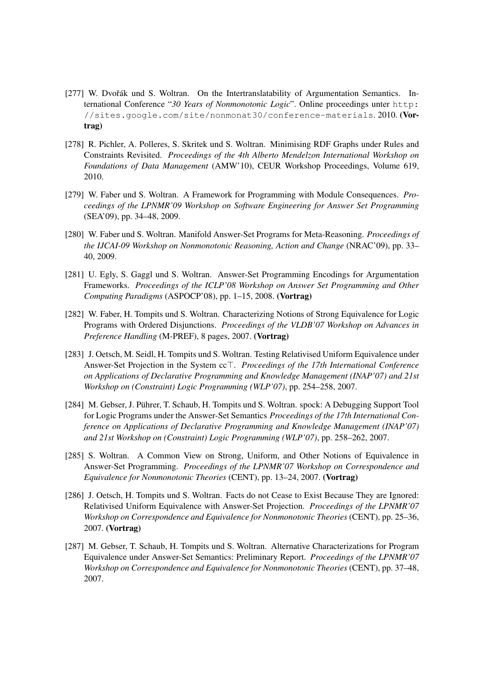- [277] W. Dvořák und S. Woltran. On the Intertranslatability of Argumentation Semantics. International Conference "*30 Years of Nonmonotonic Logic*". Online proceedings unter http: //sites.google.com/site/nonmonat30/conference-materials. 2010. (Vortrag)
- [278] R. Pichler, A. Polleres, S. Skritek und S. Woltran. Minimising RDF Graphs under Rules and Constraints Revisited. *Proceedings of the 4th Alberto Mendelzon International Workshop on Foundations of Data Management* (AMW'10), CEUR Workshop Proceedings, Volume 619, 2010.
- [279] W. Faber und S. Woltran. A Framework for Programming with Module Consequences. *Proceedings of the LPNMR'09 Workshop on Software Engineering for Answer Set Programming* (SEA'09), pp. 34–48, 2009.
- [280] W. Faber und S. Woltran. Manifold Answer-Set Programs for Meta-Reasoning. *Proceedings of the IJCAI-09 Workshop on Nonmonotonic Reasoning, Action and Change* (NRAC'09), pp. 33– 40, 2009.
- [281] U. Egly, S. Gaggl und S. Woltran. Answer-Set Programming Encodings for Argumentation Frameworks. *Proceedings of the ICLP'08 Workshop on Answer Set Programming and Other Computing Paradigms* (ASPOCP'08), pp. 1–15, 2008. (Vortrag)
- [282] W. Faber, H. Tompits und S. Woltran. Characterizing Notions of Strong Equivalence for Logic Programs with Ordered Disjunctions. *Proceedings of the VLDB'07 Workshop on Advances in Preference Handling* (M-PREF), 8 pages, 2007. (Vortrag)
- [283] J. Oetsch, M. Seidl, H. Tompits und S. Woltran. Testing Relativised Uniform Equivalence under Answer-Set Projection in the System cc<sup>T</sup>. *Proceedings of the 17th International Conference on Applications of Declarative Programming and Knowledge Management (INAP'07) and 21st Workshop on (Constraint) Logic Programming (WLP'07)*, pp. 254–258, 2007.
- [284] M. Gebser, J. Pührer, T. Schaub, H. Tompits und S. Woltran. spock: A Debugging Support Tool for Logic Programs under the Answer-Set Semantics *Proceedings of the 17th International Conference on Applications of Declarative Programming and Knowledge Management (INAP'07) and 21st Workshop on (Constraint) Logic Programming (WLP'07)*, pp. 258–262, 2007.
- [285] S. Woltran. A Common View on Strong, Uniform, and Other Notions of Equivalence in Answer-Set Programming. *Proceedings of the LPNMR'07 Workshop on Correspondence and Equivalence for Nonmonotonic Theories* (CENT), pp. 13–24, 2007. (Vortrag)
- [286] J. Oetsch, H. Tompits und S. Woltran. Facts do not Cease to Exist Because They are Ignored: Relativised Uniform Equivalence with Answer-Set Projection. *Proceedings of the LPNMR'07 Workshop on Correspondence and Equivalence for Nonmonotonic Theories* (CENT), pp. 25–36, 2007. (Vortrag)
- [287] M. Gebser, T. Schaub, H. Tompits und S. Woltran. Alternative Characterizations for Program Equivalence under Answer-Set Semantics: Preliminary Report. *Proceedings of the LPNMR'07 Workshop on Correspondence and Equivalence for Nonmonotonic Theories* (CENT), pp. 37–48, 2007.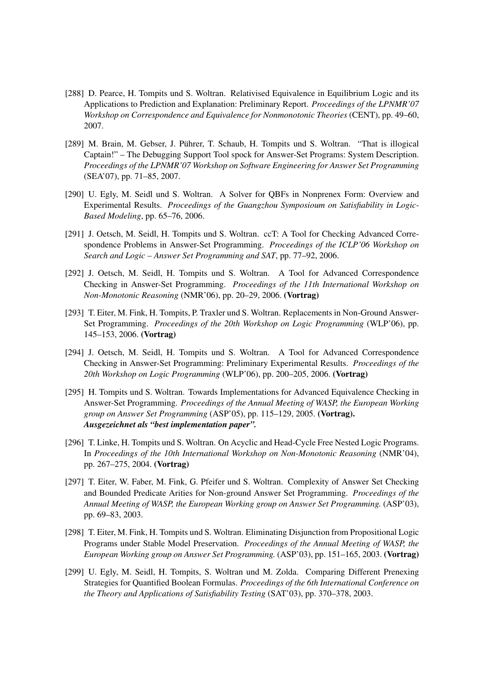- [288] D. Pearce, H. Tompits und S. Woltran. Relativised Equivalence in Equilibrium Logic and its Applications to Prediction and Explanation: Preliminary Report. *Proceedings of the LPNMR'07 Workshop on Correspondence and Equivalence for Nonmonotonic Theories* (CENT), pp. 49–60, 2007.
- [289] M. Brain, M. Gebser, J. Pührer, T. Schaub, H. Tompits und S. Woltran. "That is illogical Captain!" – The Debugging Support Tool spock for Answer-Set Programs: System Description. *Proceedings of the LPNMR'07 Workshop on Software Engineering for Answer Set Programming* (SEA'07), pp. 71–85, 2007.
- [290] U. Egly, M. Seidl und S. Woltran. A Solver for QBFs in Nonprenex Form: Overview and Experimental Results. *Proceedings of the Guangzhou Symposioum on Satisfiability in Logic-Based Modeling*, pp. 65–76, 2006.
- [291] J. Oetsch, M. Seidl, H. Tompits und S. Woltran. ccT: A Tool for Checking Advanced Correspondence Problems in Answer-Set Programming. *Proceedings of the ICLP'06 Workshop on Search and Logic – Answer Set Programming and SAT*, pp. 77–92, 2006.
- [292] J. Oetsch, M. Seidl, H. Tompits und S. Woltran. A Tool for Advanced Correspondence Checking in Answer-Set Programming. *Proceedings of the 11th International Workshop on Non-Monotonic Reasoning* (NMR'06), pp. 20–29, 2006. (Vortrag)
- [293] T. Eiter, M. Fink, H. Tompits, P. Traxler und S. Woltran. Replacements in Non-Ground Answer-Set Programming. *Proceedings of the 20th Workshop on Logic Programming* (WLP'06), pp. 145–153, 2006. (Vortrag)
- [294] J. Oetsch, M. Seidl, H. Tompits und S. Woltran. A Tool for Advanced Correspondence Checking in Answer-Set Programming: Preliminary Experimental Results. *Proceedings of the 20th Workshop on Logic Programming* (WLP'06), pp. 200–205, 2006. (Vortrag)
- [295] H. Tompits und S. Woltran. Towards Implementations for Advanced Equivalence Checking in Answer-Set Programming. *Proceedings of the Annual Meeting of WASP, the European Working group on Answer Set Programming* (ASP'05), pp. 115–129, 2005. (Vortrag). *Ausgezeichnet als "best implementation paper".*
- [296] T. Linke, H. Tompits und S. Woltran. On Acyclic and Head-Cycle Free Nested Logic Programs. In *Proceedings of the 10th International Workshop on Non-Monotonic Reasoning* (NMR'04), pp. 267–275, 2004. (Vortrag)
- [297] T. Eiter, W. Faber, M. Fink, G. Pfeifer und S. Woltran. Complexity of Answer Set Checking and Bounded Predicate Arities for Non-ground Answer Set Programming. *Proceedings of the Annual Meeting of WASP, the European Working group on Answer Set Programming.* (ASP'03), pp. 69–83, 2003.
- [298] T. Eiter, M. Fink, H. Tompits und S. Woltran. Eliminating Disjunction from Propositional Logic Programs under Stable Model Preservation. *Proceedings of the Annual Meeting of WASP, the European Working group on Answer Set Programming.* (ASP'03), pp. 151–165, 2003. (Vortrag)
- [299] U. Egly, M. Seidl, H. Tompits, S. Woltran und M. Zolda. Comparing Different Prenexing Strategies for Quantified Boolean Formulas. *Proceedings of the 6th International Conference on the Theory and Applications of Satisfiability Testing* (SAT'03), pp. 370–378, 2003.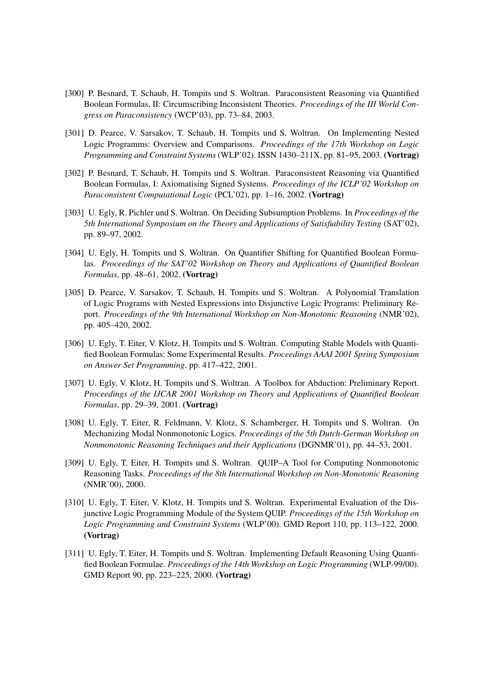- [300] P. Besnard, T. Schaub, H. Tompits und S. Woltran. Paraconsistent Reasoning via Quantified Boolean Formulas, II: Circumscribing Inconsistent Theories. *Proceedings of the III World Congress on Paraconsistency* (WCP'03), pp. 73–84, 2003.
- [301] D. Pearce, V. Sarsakov, T. Schaub, H. Tompits und S. Woltran. On Implementing Nested Logic Programms: Overview and Comparisons. *Proceedings of the 17th Workshop on Logic Programming and Constraint Systems* (WLP'02). ISSN 1430–211X, pp. 81–95, 2003. (Vortrag)
- [302] P. Besnard, T. Schaub, H. Tompits und S. Woltran. Paraconsistent Reasoning via Quantified Boolean Formulas, I: Axiomatising Signed Systems. *Proceedings of the ICLP'02 Workshop on Paraconsistent Computational Logic* (PCL'02), pp. 1–16, 2002. (Vortrag)
- [303] U. Egly, R. Pichler und S. Woltran. On Deciding Subsumption Problems. In *Proceedings of the 5th International Symposium on the Theory and Applications of Satisfiability Testing* (SAT'02), pp. 89–97, 2002.
- [304] U. Egly, H. Tompits und S. Woltran. On Quantifier Shifting for Quantified Boolean Formulas. *Proceedings of the SAT'02 Workshop on Theory and Applications of Quantified Boolean Formulas*, pp. 48–61, 2002. (Vortrag)
- [305] D. Pearce, V. Sarsakov, T. Schaub, H. Tompits und S. Woltran. A Polynomial Translation of Logic Programs with Nested Expressions into Disjunctive Logic Programs: Preliminary Report. *Proceedings of the 9th International Workshop on Non-Monotonic Reasoning* (NMR'02), pp. 405–420, 2002.
- [306] U. Egly, T. Eiter, V. Klotz, H. Tompits und S. Woltran. Computing Stable Models with Quantified Boolean Formulas: Some Experimental Results. *Proceedings AAAI 2001 Spring Symposium on Answer Set Programming*, pp. 417–422, 2001.
- [307] U. Egly, V. Klotz, H. Tompits und S. Woltran. A Toolbox for Abduction: Preliminary Report. *Proceedings of the IJCAR 2001 Workshop on Theory and Applications of Quantified Boolean Formulas*, pp. 29–39, 2001. (Vortrag)
- [308] U. Egly, T. Eiter, R. Feldmann, V. Klotz, S. Schamberger, H. Tompits und S. Woltran. On Mechanizing Modal Nonmonotonic Logics. *Proceedings of the 5th Dutch-German Workshop on Nonmonotonic Reasoning Techniques and their Applications* (DGNMR'01), pp. 44–53, 2001.
- [309] U. Egly, T. Eiter, H. Tompits und S. Woltran. QUIP-A Tool for Computing Nonmonotonic Reasoning Tasks. *Proceedings of the 8th International Workshop on Non-Monotonic Reasoning* (NMR'00), 2000.
- [310] U. Egly, T. Eiter, V. Klotz, H. Tompits und S. Woltran. Experimental Evaluation of the Disjunctive Logic Programming Module of the System QUIP. *Proceedings of the 15th Workshop on Logic Programming and Constraint Systems* (WLP'00). GMD Report 110, pp. 113–122, 2000. (Vortrag)
- [311] U. Egly, T. Eiter, H. Tompits und S. Woltran. Implementing Default Reasoning Using Quantified Boolean Formulae. *Proceedings of the 14th Workshop on Logic Programming* (WLP-99/00). GMD Report 90, pp. 223–225, 2000. (Vortrag)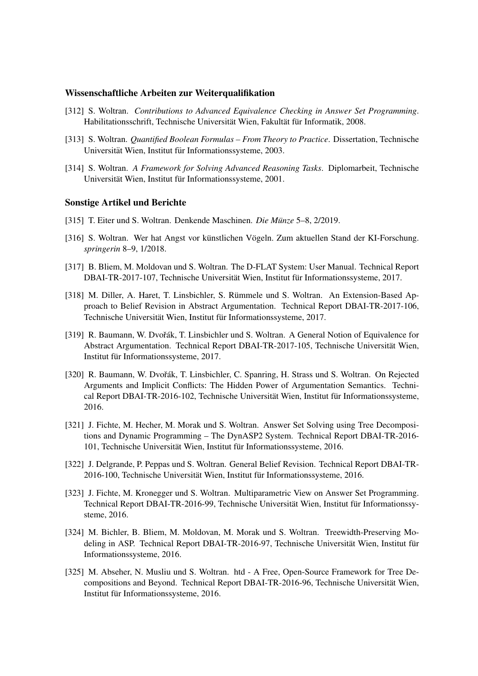#### Wissenschaftliche Arbeiten zur Weiterqualifikation

- [312] S. Woltran. *Contributions to Advanced Equivalence Checking in Answer Set Programming*. Habilitationsschrift, Technische Universität Wien, Fakultät für Informatik, 2008.
- [313] S. Woltran. *Quantified Boolean Formulas From Theory to Practice*. Dissertation, Technische Universität Wien, Institut für Informationssysteme, 2003.
- [314] S. Woltran. *A Framework for Solving Advanced Reasoning Tasks*. Diplomarbeit, Technische Universität Wien, Institut für Informationssysteme, 2001.

#### Sonstige Artikel und Berichte

- [315] T. Eiter und S. Woltran. Denkende Maschinen. *Die Munze ¨* 5–8, 2/2019.
- [316] S. Woltran. Wer hat Angst vor künstlichen Vögeln. Zum aktuellen Stand der KI-Forschung. *springerin* 8–9, 1/2018.
- [317] B. Bliem, M. Moldovan und S. Woltran. The D-FLAT System: User Manual. Technical Report DBAI-TR-2017-107, Technische Universität Wien, Institut für Informationssysteme, 2017.
- [318] M. Diller, A. Haret, T. Linsbichler, S. Rümmele und S. Woltran. An Extension-Based Approach to Belief Revision in Abstract Argumentation. Technical Report DBAI-TR-2017-106, Technische Universität Wien, Institut für Informationssysteme, 2017.
- [319] R. Baumann, W. Dvořák, T. Linsbichler und S. Woltran. A General Notion of Equivalence for Abstract Argumentation. Technical Report DBAI-TR-2017-105, Technische Universitat Wien, ¨ Institut für Informationssysteme, 2017.
- [320] R. Baumann, W. Dvořák, T. Linsbichler, C. Spanring, H. Strass und S. Woltran. On Rejected Arguments and Implicit Conflicts: The Hidden Power of Argumentation Semantics. Technical Report DBAI-TR-2016-102, Technische Universität Wien, Institut für Informationssysteme, 2016.
- [321] J. Fichte, M. Hecher, M. Morak und S. Woltran. Answer Set Solving using Tree Decompositions and Dynamic Programming – The DynASP2 System. Technical Report DBAI-TR-2016- 101, Technische Universität Wien, Institut für Informationssysteme, 2016.
- [322] J. Delgrande, P. Peppas und S. Woltran. General Belief Revision. Technical Report DBAI-TR-2016-100, Technische Universität Wien, Institut für Informationssysteme, 2016.
- [323] J. Fichte, M. Kronegger und S. Woltran. Multiparametric View on Answer Set Programming. Technical Report DBAI-TR-2016-99, Technische Universität Wien, Institut für Informationssysteme, 2016.
- [324] M. Bichler, B. Bliem, M. Moldovan, M. Morak und S. Woltran. Treewidth-Preserving Modeling in ASP. Technical Report DBAI-TR-2016-97, Technische Universität Wien, Institut für Informationssysteme, 2016.
- [325] M. Abseher, N. Musliu und S. Woltran. htd A Free, Open-Source Framework for Tree Decompositions and Beyond. Technical Report DBAI-TR-2016-96, Technische Universität Wien, Institut für Informationssysteme, 2016.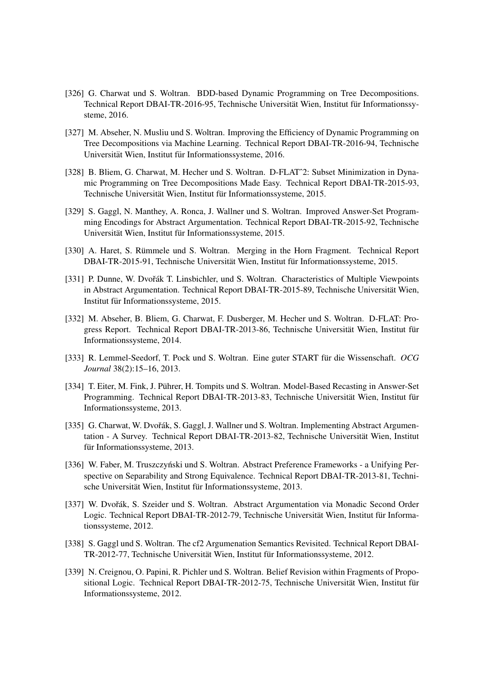- [326] G. Charwat und S. Woltran. BDD-based Dynamic Programming on Tree Decompositions. Technical Report DBAI-TR-2016-95, Technische Universität Wien, Institut für Informationssysteme, 2016.
- [327] M. Abseher, N. Musliu und S. Woltran. Improving the Efficiency of Dynamic Programming on Tree Decompositions via Machine Learning. Technical Report DBAI-TR-2016-94, Technische Universität Wien, Institut für Informationssysteme, 2016.
- [328] B. Bliem, G. Charwat, M. Hecher und S. Woltran. D-FLAT<sup>^2</sup>: Subset Minimization in Dynamic Programming on Tree Decompositions Made Easy. Technical Report DBAI-TR-2015-93, Technische Universität Wien, Institut für Informationssysteme, 2015.
- [329] S. Gaggl, N. Manthey, A. Ronca, J. Wallner und S. Woltran. Improved Answer-Set Programming Encodings for Abstract Argumentation. Technical Report DBAI-TR-2015-92, Technische Universität Wien, Institut für Informationssysteme, 2015.
- [330] A. Haret, S. Rümmele und S. Woltran. Merging in the Horn Fragment. Technical Report DBAI-TR-2015-91, Technische Universität Wien, Institut für Informationssysteme, 2015.
- [331] P. Dunne, W. Dvořák T. Linsbichler, und S. Woltran. Characteristics of Multiple Viewpoints in Abstract Argumentation. Technical Report DBAI-TR-2015-89, Technische Universität Wien, Institut für Informationssysteme, 2015.
- [332] M. Abseher, B. Bliem, G. Charwat, F. Dusberger, M. Hecher und S. Woltran. D-FLAT: Progress Report. Technical Report DBAI-TR-2013-86, Technische Universität Wien, Institut für Informationssysteme, 2014.
- [333] R. Lemmel-Seedorf, T. Pock und S. Woltran. Eine guter START für die Wissenschaft. OCG *Journal* 38(2):15–16, 2013.
- [334] T. Eiter, M. Fink, J. Pührer, H. Tompits und S. Woltran. Model-Based Recasting in Answer-Set Programming. Technical Report DBAI-TR-2013-83, Technische Universität Wien, Institut für Informationssysteme, 2013.
- [335] G. Charwat, W. Dvořák, S. Gaggl, J. Wallner und S. Woltran. Implementing Abstract Argumentation - A Survey. Technical Report DBAI-TR-2013-82, Technische Universitat Wien, Institut ¨ für Informationssysteme, 2013.
- [336] W. Faber, M. Truszczyński und S. Woltran. Abstract Preference Frameworks a Unifying Perspective on Separability and Strong Equivalence. Technical Report DBAI-TR-2013-81, Technische Universität Wien, Institut für Informationssysteme, 2013.
- [337] W. Dvořák, S. Szeider und S. Woltran. Abstract Argumentation via Monadic Second Order Logic. Technical Report DBAI-TR-2012-79, Technische Universität Wien, Institut für Informationssysteme, 2012.
- [338] S. Gaggl und S. Woltran. The cf2 Argumenation Semantics Revisited. Technical Report DBAI-TR-2012-77, Technische Universität Wien, Institut für Informationssysteme, 2012.
- [339] N. Creignou, O. Papini, R. Pichler und S. Woltran. Belief Revision within Fragments of Propositional Logic. Technical Report DBAI-TR-2012-75, Technische Universität Wien, Institut für Informationssysteme, 2012.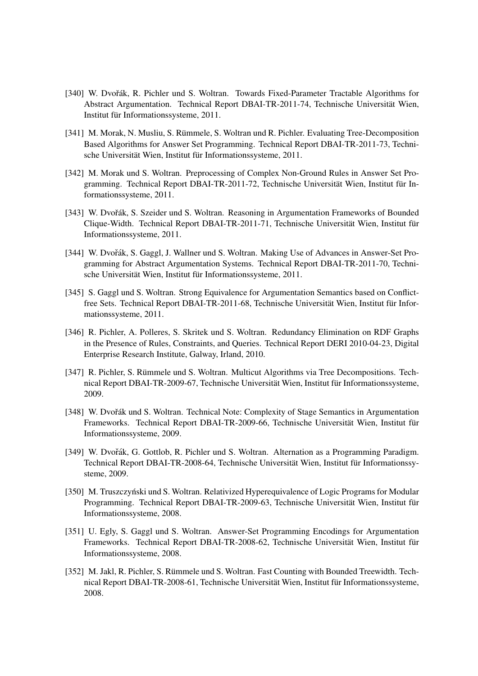- [340] W. Dvořák, R. Pichler und S. Woltran. Towards Fixed-Parameter Tractable Algorithms for Abstract Argumentation. Technical Report DBAI-TR-2011-74, Technische Universitat Wien, ¨ Institut für Informationssysteme, 2011.
- [341] M. Morak, N. Musliu, S. Rümmele, S. Woltran und R. Pichler. Evaluating Tree-Decomposition Based Algorithms for Answer Set Programming. Technical Report DBAI-TR-2011-73, Technische Universität Wien, Institut für Informationssysteme, 2011.
- [342] M. Morak und S. Woltran. Preprocessing of Complex Non-Ground Rules in Answer Set Programming. Technical Report DBAI-TR-2011-72, Technische Universität Wien, Institut für Informationssysteme, 2011.
- [343] W. Dvořák, S. Szeider und S. Woltran. Reasoning in Argumentation Frameworks of Bounded Clique-Width. Technical Report DBAI-TR-2011-71, Technische Universität Wien, Institut für Informationssysteme, 2011.
- [344] W. Dvořák, S. Gaggl, J. Wallner und S. Woltran. Making Use of Advances in Answer-Set Programming for Abstract Argumentation Systems. Technical Report DBAI-TR-2011-70, Technische Universität Wien, Institut für Informationssysteme, 2011.
- [345] S. Gaggl und S. Woltran. Strong Equivalence for Argumentation Semantics based on Conflictfree Sets. Technical Report DBAI-TR-2011-68, Technische Universität Wien, Institut für Informationssysteme, 2011.
- [346] R. Pichler, A. Polleres, S. Skritek und S. Woltran. Redundancy Elimination on RDF Graphs in the Presence of Rules, Constraints, and Queries. Technical Report DERI 2010-04-23, Digital Enterprise Research Institute, Galway, Irland, 2010.
- [347] R. Pichler, S. Rümmele und S. Woltran. Multicut Algorithms via Tree Decompositions. Technical Report DBAI-TR-2009-67, Technische Universität Wien, Institut für Informationssysteme, 2009.
- [348] W. Dvořák und S. Woltran. Technical Note: Complexity of Stage Semantics in Argumentation Frameworks. Technical Report DBAI-TR-2009-66, Technische Universität Wien, Institut für Informationssysteme, 2009.
- [349] W. Dvořák, G. Gottlob, R. Pichler und S. Woltran. Alternation as a Programming Paradigm. Technical Report DBAI-TR-2008-64, Technische Universität Wien, Institut für Informationssysteme, 2009.
- [350] M. Truszczyński und S. Woltran. Relativized Hyperequivalence of Logic Programs for Modular Programming. Technical Report DBAI-TR-2009-63, Technische Universität Wien, Institut für Informationssysteme, 2008.
- [351] U. Egly, S. Gaggl und S. Woltran. Answer-Set Programming Encodings for Argumentation Frameworks. Technical Report DBAI-TR-2008-62, Technische Universität Wien, Institut für Informationssysteme, 2008.
- [352] M. Jakl, R. Pichler, S. Rümmele und S. Woltran. Fast Counting with Bounded Treewidth. Technical Report DBAI-TR-2008-61, Technische Universität Wien, Institut für Informationssysteme, 2008.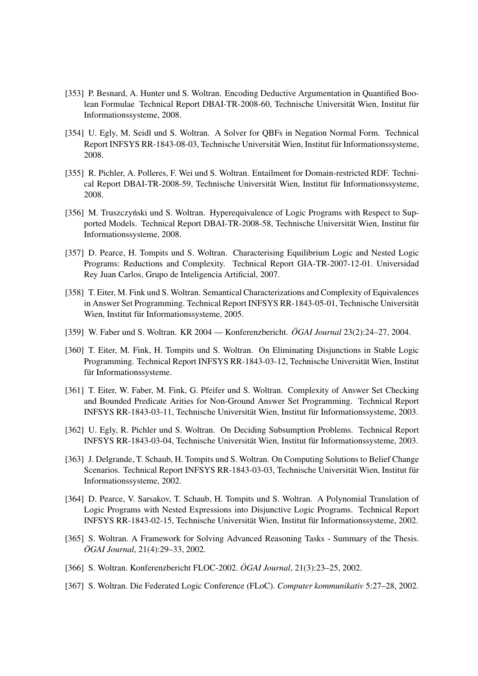- [353] P. Besnard, A. Hunter und S. Woltran. Encoding Deductive Argumentation in Quantified Boolean Formulae Technical Report DBAI-TR-2008-60, Technische Universität Wien, Institut für Informationssysteme, 2008.
- [354] U. Egly, M. Seidl und S. Woltran. A Solver for QBFs in Negation Normal Form. Technical Report INFSYS RR-1843-08-03, Technische Universität Wien, Institut für Informationssysteme, 2008.
- [355] R. Pichler, A. Polleres, F. Wei und S. Woltran. Entailment for Domain-restricted RDF. Technical Report DBAI-TR-2008-59, Technische Universität Wien, Institut für Informationssysteme, 2008.
- [356] M. Truszczyński und S. Woltran. Hyperequivalence of Logic Programs with Respect to Supported Models. Technical Report DBAI-TR-2008-58, Technische Universität Wien, Institut für Informationssysteme, 2008.
- [357] D. Pearce, H. Tompits und S. Woltran. Characterising Equilibrium Logic and Nested Logic Programs: Reductions and Complexity. Technical Report GIA-TR-2007-12-01. Universidad Rey Juan Carlos, Grupo de Inteligencia Artificial, 2007.
- [358] T. Eiter, M. Fink und S. Woltran. Semantical Characterizations and Complexity of Equivalences in Answer Set Programming. Technical Report INFSYS RR-1843-05-01, Technische Universität Wien, Institut für Informationssysteme, 2005.
- [359] W. Faber und S. Woltran. KR 2004 Konferenzbericht. *OGAI Journal* 23(2):24–27, 2004.
- [360] T. Eiter, M. Fink, H. Tompits und S. Woltran. On Eliminating Disjunctions in Stable Logic Programming. Technical Report INFSYS RR-1843-03-12, Technische Universitat Wien, Institut ¨ für Informationssysteme.
- [361] T. Eiter, W. Faber, M. Fink, G. Pfeifer und S. Woltran. Complexity of Answer Set Checking and Bounded Predicate Arities for Non-Ground Answer Set Programming. Technical Report INFSYS RR-1843-03-11, Technische Universität Wien, Institut für Informationssysteme, 2003.
- [362] U. Egly, R. Pichler und S. Woltran. On Deciding Subsumption Problems. Technical Report INFSYS RR-1843-03-04, Technische Universität Wien, Institut für Informationssysteme, 2003.
- [363] J. Delgrande, T. Schaub, H. Tompits und S. Woltran. On Computing Solutions to Belief Change Scenarios. Technical Report INFSYS RR-1843-03-03, Technische Universität Wien, Institut für Informationssysteme, 2002.
- [364] D. Pearce, V. Sarsakov, T. Schaub, H. Tompits und S. Woltran. A Polynomial Translation of Logic Programs with Nested Expressions into Disjunctive Logic Programs. Technical Report INFSYS RR-1843-02-15, Technische Universität Wien, Institut für Informationssysteme, 2002.
- [365] S. Woltran. A Framework for Solving Advanced Reasoning Tasks Summary of the Thesis. *OGAI Journal ¨* , 21(4):29–33, 2002.
- [366] S. Woltran. Konferenzbericht FLOC-2002. *ÖGAI Journal*, 21(3):23–25, 2002.
- [367] S. Woltran. Die Federated Logic Conference (FLoC). *Computer kommunikativ* 5:27–28, 2002.